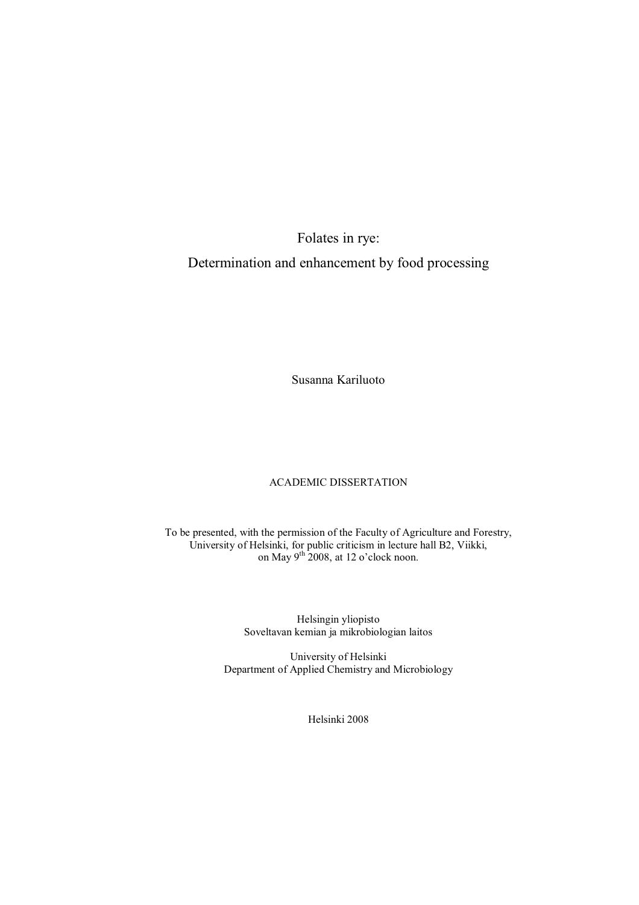# Folates in rye:

# Determination and enhancement by food processing

Susanna Kariluoto

## ACADEMIC DISSERTATION

To be presented, with the permission of the Faculty of Agriculture and Forestry, University of Helsinki, for public criticism in lecture hall B2, Viikki, on May  $9^{th}$  2008, at 12 o'clock noon.

> Helsingin yliopisto Soveltavan kemian ja mikrobiologian laitos

University of Helsinki Department of Applied Chemistry and Microbiology

Helsinki 2008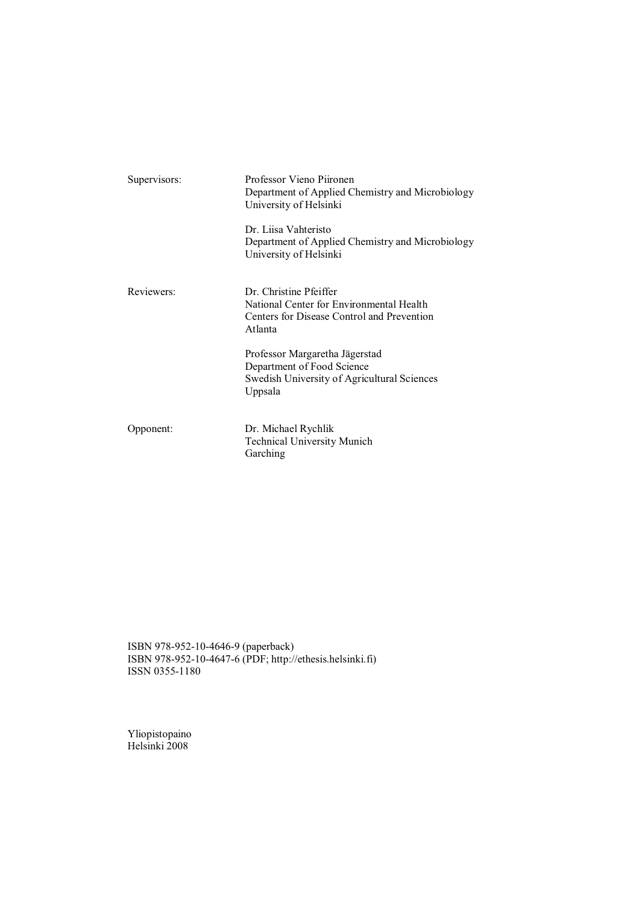| Supervisors: | Professor Vieno Piironen<br>Department of Applied Chemistry and Microbiology<br>University of Helsinki                      |
|--------------|-----------------------------------------------------------------------------------------------------------------------------|
|              | Dr. Liisa Vahteristo<br>Department of Applied Chemistry and Microbiology<br>University of Helsinki                          |
| Reviewers:   | Dr. Christine Pfeiffer<br>National Center for Environmental Health<br>Centers for Disease Control and Prevention<br>Atlanta |
|              | Professor Margaretha Jägerstad<br>Department of Food Science<br>Swedish University of Agricultural Sciences<br>Uppsala      |
| Opponent:    | Dr. Michael Rychlik<br><b>Technical University Munich</b><br>Garching                                                       |

ISBN 978-952-10-4646-9 (paperback) ISBN 978-952-10-4647-6 (PDF; http://ethesis.helsinki.fi) ISSN 0355-1180

Yliopistopaino Helsinki 2008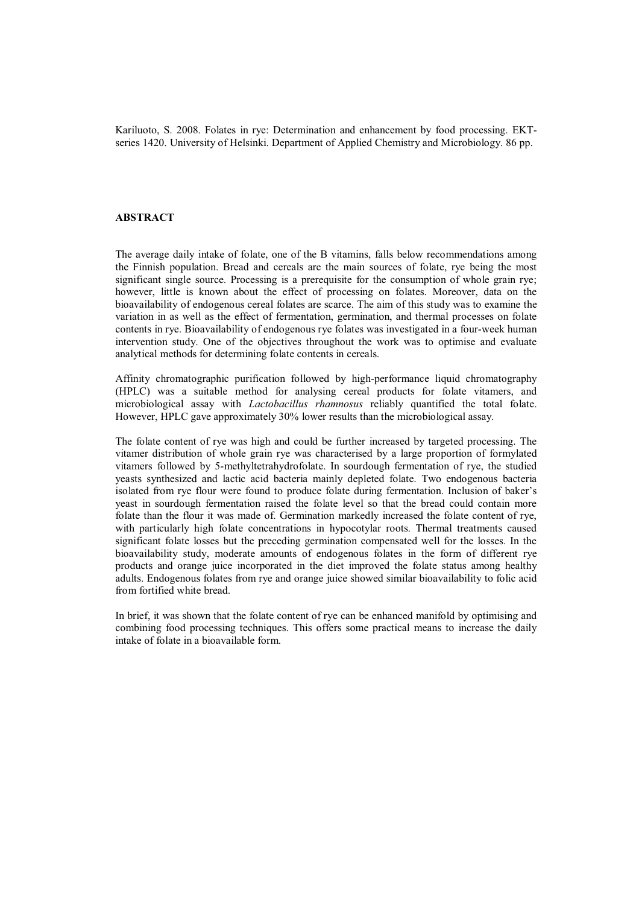Kariluoto, S. 2008. Folates in rye: Determination and enhancement by food processing. EKTseries 1420. University of Helsinki. Department of Applied Chemistry and Microbiology. 86 pp.

### **ABSTRACT**

The average daily intake of folate, one of the B vitamins, falls below recommendations among the Finnish population. Bread and cereals are the main sources of folate, rye being the most significant single source. Processing is a prerequisite for the consumption of whole grain rye; however, little is known about the effect of processing on folates. Moreover, data on the bioavailability of endogenous cereal folates are scarce. The aim of this study was to examine the variation in as well as the effect of fermentation, germination, and thermal processes on folate contents in rye. Bioavailability of endogenous rye folates was investigated in a four-week human intervention study. One of the objectives throughout the work was to optimise and evaluate analytical methods for determining folate contents in cereals.

Affinity chromatographic purification followed by high-performance liquid chromatography (HPLC) was a suitable method for analysing cereal products for folate vitamers, and microbiological assay with *Lactobacillus rhamnosus* reliably quantified the total folate. However, HPLC gave approximately 30% lower results than the microbiological assay.

The folate content of rye was high and could be further increased by targeted processing. The vitamer distribution of whole grain rye was characterised by a large proportion of formylated vitamers followed by 5-methyltetrahydrofolate. In sourdough fermentation of rye, the studied yeasts synthesized and lactic acid bacteria mainly depleted folate. Two endogenous bacteria isolated from rye flour were found to produce folate during fermentation. Inclusion of baker's yeast in sourdough fermentation raised the folate level so that the bread could contain more folate than the flour it was made of. Germination markedly increased the folate content of rye, with particularly high folate concentrations in hypocotylar roots. Thermal treatments caused significant folate losses but the preceding germination compensated well for the losses. In the bioavailability study, moderate amounts of endogenous folates in the form of different rye products and orange juice incorporated in the diet improved the folate status among healthy adults. Endogenous folates from rye and orange juice showed similar bioavailability to folic acid from fortified white bread.

In brief, it was shown that the folate content of rye can be enhanced manifold by optimising and combining food processing techniques. This offers some practical means to increase the daily intake of folate in a bioavailable form.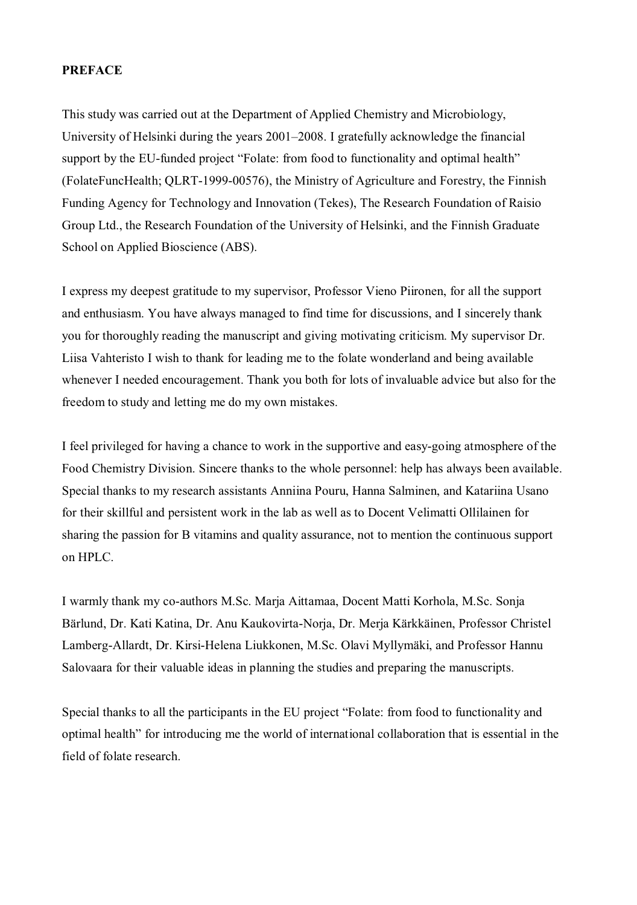## **PREFACE**

This study was carried out at the Department of Applied Chemistry and Microbiology, University of Helsinki during the years 2001–2008. I gratefully acknowledge the financial support by the EU-funded project "Folate: from food to functionality and optimal health" (FolateFuncHealth; QLRT-1999-00576), the Ministry of Agriculture and Forestry, the Finnish Funding Agency for Technology and Innovation (Tekes), The Research Foundation of Raisio Group Ltd., the Research Foundation of the University of Helsinki, and the Finnish Graduate School on Applied Bioscience (ABS).

I express my deepest gratitude to my supervisor, Professor Vieno Piironen, for all the support and enthusiasm. You have always managed to find time for discussions, and I sincerely thank you for thoroughly reading the manuscript and giving motivating criticism. My supervisor Dr. Liisa Vahteristo I wish to thank for leading me to the folate wonderland and being available whenever I needed encouragement. Thank you both for lots of invaluable advice but also for the freedom to study and letting me do my own mistakes.

I feel privileged for having a chance to work in the supportive and easy-going atmosphere of the Food Chemistry Division. Sincere thanks to the whole personnel: help has always been available. Special thanks to my research assistants Anniina Pouru, Hanna Salminen, and Katariina Usano for their skillful and persistent work in the lab as well as to Docent Velimatti Ollilainen for sharing the passion for B vitamins and quality assurance, not to mention the continuous support on HPLC.

I warmly thank my co-authors M.Sc. Marja Aittamaa, Docent Matti Korhola, M.Sc. Sonja Bärlund, Dr. Kati Katina, Dr. Anu Kaukovirta-Norja, Dr. Merja Kärkkäinen, Professor Christel Lamberg-Allardt, Dr. Kirsi-Helena Liukkonen, M.Sc. Olavi Myllymäki, and Professor Hannu Salovaara for their valuable ideas in planning the studies and preparing the manuscripts.

Special thanks to all the participants in the EU project "Folate: from food to functionality and optimal health" for introducing me the world of international collaboration that is essential in the field of folate research.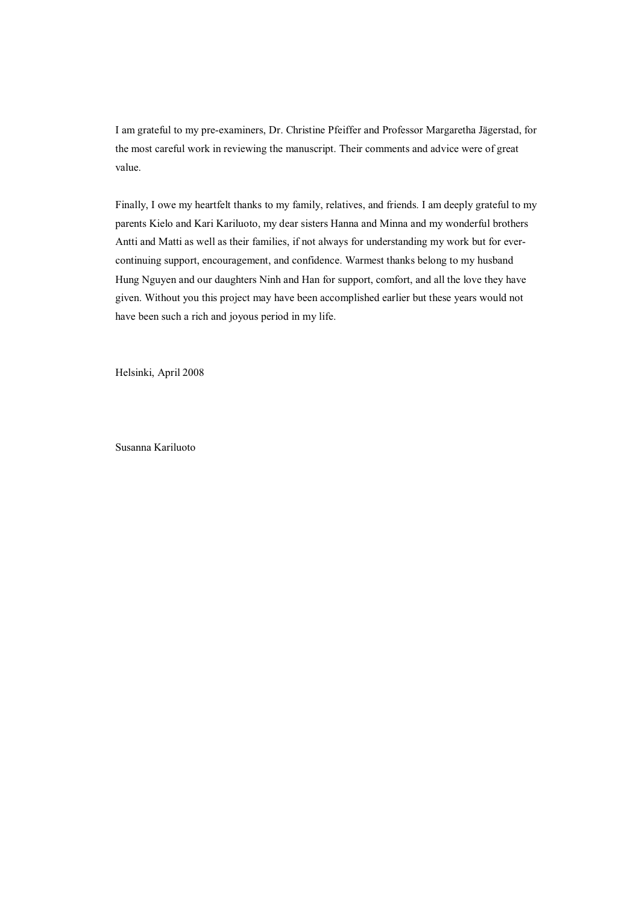I am grateful to my pre-examiners, Dr. Christine Pfeiffer and Professor Margaretha Jägerstad, for the most careful work in reviewing the manuscript. Their comments and advice were of great value.

Finally, I owe my heartfelt thanks to my family, relatives, and friends. I am deeply grateful to my parents Kielo and Kari Kariluoto, my dear sisters Hanna and Minna and my wonderful brothers Antti and Matti as well as their families, if not always for understanding my work but for evercontinuing support, encouragement, and confidence. Warmest thanks belong to my husband Hung Nguyen and our daughters Ninh and Han for support, comfort, and all the love they have given. Without you this project may have been accomplished earlier but these years would not have been such a rich and joyous period in my life.

Helsinki, April 2008

Susanna Kariluoto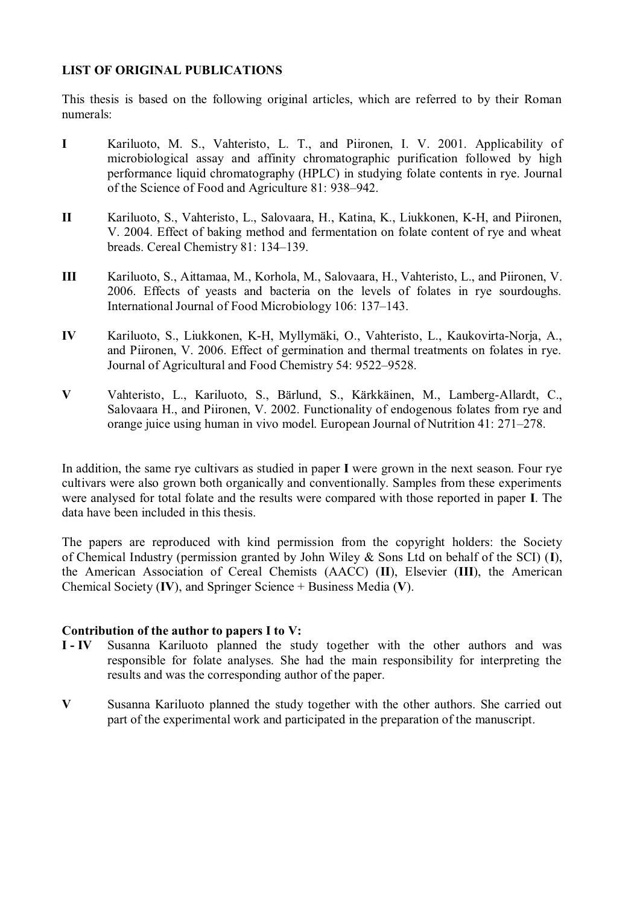## **LIST OF ORIGINAL PUBLICATIONS**

This thesis is based on the following original articles, which are referred to by their Roman numerals:

- **I** Kariluoto, M. S., Vahteristo, L. T., and Piironen, I. V. 2001. Applicability of microbiological assay and affinity chromatographic purification followed by high performance liquid chromatography (HPLC) in studying folate contents in rye. Journal of the Science of Food and Agriculture 81: 938–942.
- **II** Kariluoto, S., Vahteristo, L., Salovaara, H., Katina, K., Liukkonen, K-H, and Piironen, V. 2004. Effect of baking method and fermentation on folate content of rye and wheat breads. Cereal Chemistry 81: 134–139.
- **III** Kariluoto, S., Aittamaa, M., Korhola, M., Salovaara, H., Vahteristo, L., and Piironen, V. 2006. Effects of yeasts and bacteria on the levels of folates in rye sourdoughs. International Journal of Food Microbiology 106: 137–143.
- **IV** Kariluoto, S., Liukkonen, K-H, Myllymäki, O., Vahteristo, L., Kaukovirta-Norja, A., and Piironen, V. 2006. Effect of germination and thermal treatments on folates in rye. Journal of Agricultural and Food Chemistry 54: 9522–9528.
- **V** Vahteristo, L., Kariluoto, S., Bärlund, S., Kärkkäinen, M., Lamberg-Allardt, C., Salovaara H., and Piironen, V. 2002. Functionality of endogenous folates from rye and orange juice using human in vivo model. European Journal of Nutrition 41: 271–278.

In addition, the same rye cultivars as studied in paper **I** were grown in the next season. Four rye cultivars were also grown both organically and conventionally. Samples from these experiments were analysed for total folate and the results were compared with those reported in paper **I**. The data have been included in this thesis.

The papers are reproduced with kind permission from the copyright holders: the Society of Chemical Industry (permission granted by John Wiley & Sons Ltd on behalf of the SCI) (**I**), the American Association of Cereal Chemists (AACC) (**II**), Elsevier (**III**), the American Chemical Society (**IV**), and Springer Science + Business Media (**V**).

## **Contribution of the author to papers I to V:**

- **I IV** Susanna Kariluoto planned the study together with the other authors and was responsible for folate analyses. She had the main responsibility for interpreting the results and was the corresponding author of the paper.
- **V** Susanna Kariluoto planned the study together with the other authors. She carried out part of the experimental work and participated in the preparation of the manuscript.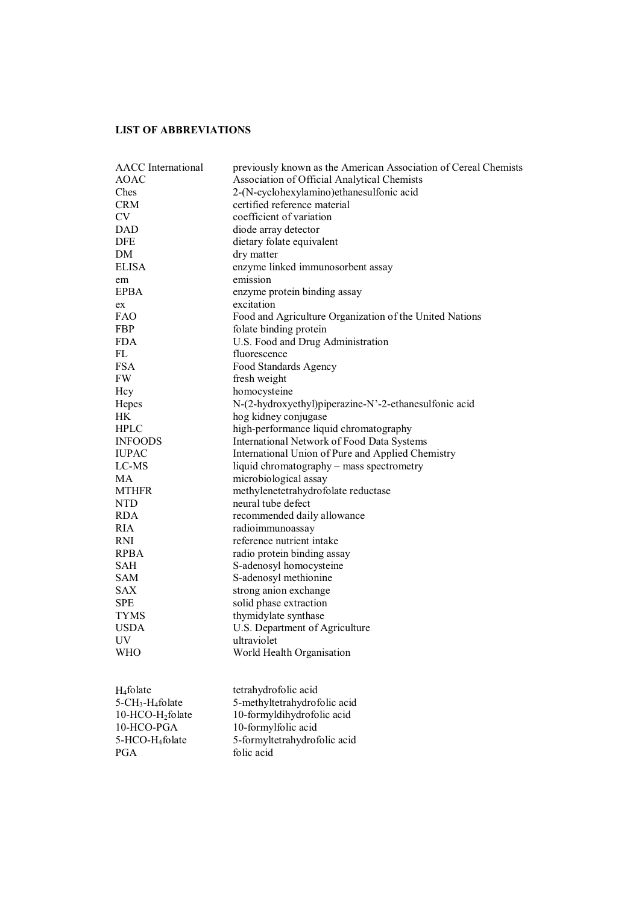## **LIST OF ABBREVIATIONS**

| <b>AACC</b> International                | previously known as the American Association of Cereal Chemists |
|------------------------------------------|-----------------------------------------------------------------|
| <b>AOAC</b>                              | Association of Official Analytical Chemists                     |
| Ches                                     | 2-(N-cyclohexylamino)ethanesulfonic acid                        |
| <b>CRM</b>                               | certified reference material                                    |
| <b>CV</b>                                | coefficient of variation                                        |
| <b>DAD</b>                               | diode array detector                                            |
| <b>DFE</b>                               | dietary folate equivalent                                       |
| DM                                       | dry matter                                                      |
| <b>ELISA</b>                             | enzyme linked immunosorbent assay                               |
| em                                       | emission                                                        |
| <b>EPBA</b>                              | enzyme protein binding assay                                    |
| ex                                       | excitation                                                      |
| <b>FAO</b>                               | Food and Agriculture Organization of the United Nations         |
| FBP                                      | folate binding protein                                          |
| <b>FDA</b>                               | U.S. Food and Drug Administration                               |
| FL                                       | fluorescence                                                    |
| <b>FSA</b>                               | Food Standards Agency                                           |
| <b>FW</b>                                | fresh weight                                                    |
| Hcy                                      | homocysteine                                                    |
| Hepes                                    | N-(2-hydroxyethyl)piperazine-N'-2-ethanesulfonic acid           |
| <b>HK</b>                                | hog kidney conjugase                                            |
| <b>HPLC</b>                              | high-performance liquid chromatography                          |
| <b>INFOODS</b>                           | <b>International Network of Food Data Systems</b>               |
| <b>IUPAC</b>                             | International Union of Pure and Applied Chemistry               |
| LC-MS                                    | liquid chromatography – mass spectrometry                       |
| MA                                       | microbiological assay                                           |
| <b>MTHFR</b>                             | methylenetetrahydrofolate reductase                             |
| <b>NTD</b>                               | neural tube defect                                              |
| <b>RDA</b>                               | recommended daily allowance                                     |
| <b>RIA</b>                               | radioimmunoassay                                                |
| <b>RNI</b>                               | reference nutrient intake                                       |
| <b>RPBA</b>                              | radio protein binding assay                                     |
| <b>SAH</b>                               | S-adenosyl homocysteine                                         |
| <b>SAM</b>                               | S-adenosyl methionine                                           |
| <b>SAX</b>                               | strong anion exchange                                           |
| <b>SPE</b>                               | solid phase extraction                                          |
| <b>TYMS</b>                              |                                                                 |
| <b>USDA</b>                              | thymidylate synthase<br>U.S. Department of Agriculture          |
|                                          |                                                                 |
| UV<br><b>WHO</b>                         | ultraviolet<br>World Health Organisation                        |
|                                          |                                                                 |
| H <sub>4</sub> folate                    | tetrahydrofolic acid                                            |
| 5-CH <sub>3</sub> -H <sub>4</sub> folate | 5-methyltetrahydrofolic acid                                    |
| 10-HCO-H <sub>2</sub> folate             | 10-formyldihydrofolic acid                                      |
| 10-HCO-PGA                               | 10-formylfolic acid                                             |
| 5-HCO-H <sub>4</sub> folate              | 5-formyltetrahydrofolic acid                                    |
| PGA                                      | folic acid                                                      |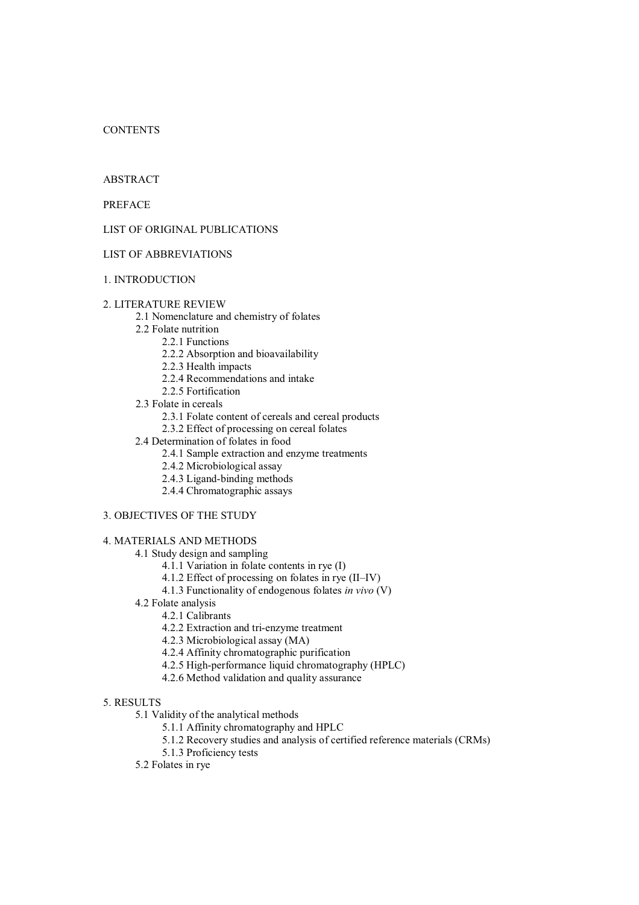## **CONTENTS**

## ABSTRACT

PREFACE

## LIST OF ORIGINAL PUBLICATIONS

## LIST OF ABBREVIATIONS

## 1. INTRODUCTION

## 2. LITERATURE REVIEW

- 2.1 Nomenclature and chemistry of folates
- 2.2 Folate nutrition
	- 2.2.1 Functions
	- 2.2.2 Absorption and bioavailability
	- 2.2.3 Health impacts
	- 2.2.4 Recommendations and intake
	- 2.2.5 Fortification
- 2.3 Folate in cereals
	- 2.3.1 Folate content of cereals and cereal products
	- 2.3.2 Effect of processing on cereal folates
- 2.4 Determination of folates in food
	- 2.4.1 Sample extraction and enzyme treatments
	- 2.4.2 Microbiological assay
	- 2.4.3 Ligand-binding methods
	- 2.4.4 Chromatographic assays
- 3. OBJECTIVES OF THE STUDY
- 4. MATERIALS AND METHODS
	- 4.1 Study design and sampling
		- 4.1.1 Variation in folate contents in rye (I)
		- 4.1.2 Effect of processing on folates in rye (II–IV)
		- 4.1.3 Functionality of endogenous folates *in vivo* (V)
	- 4.2 Folate analysis
		- 4.2.1 Calibrants
		- 4.2.2 Extraction and tri-enzyme treatment
		- 4.2.3 Microbiological assay (MA)
		- 4.2.4 Affinity chromatographic purification
		- 4.2.5 High-performance liquid chromatography (HPLC)
		- 4.2.6 Method validation and quality assurance

## 5. RESULTS

- 5.1 Validity of the analytical methods
	- 5.1.1 Affinity chromatography and HPLC
	- 5.1.2 Recovery studies and analysis of certified reference materials (CRMs)
	- 5.1.3 Proficiency tests
- 5.2 Folates in rye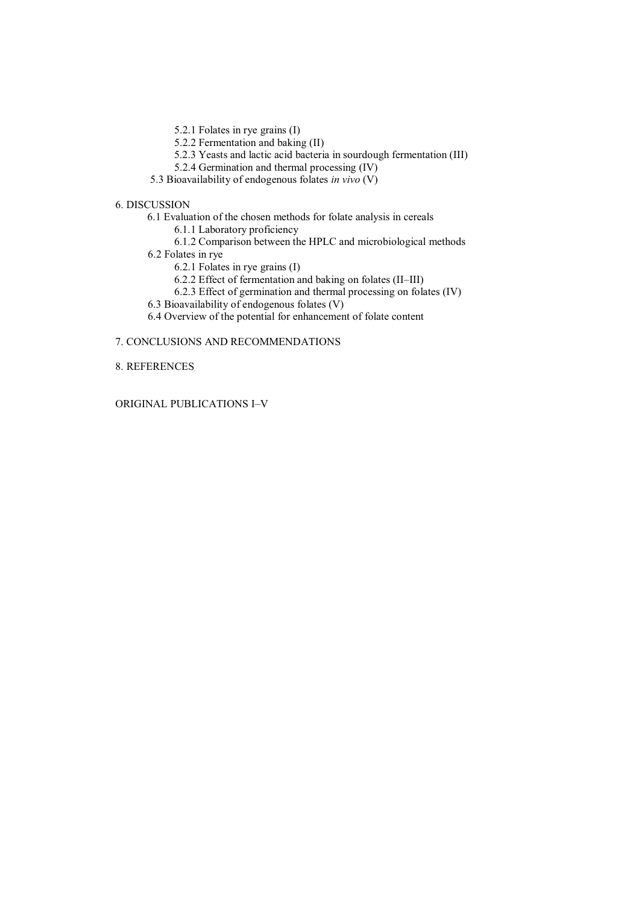- 5.2.1 Folates in rye grains (I)
- 5.2.2 Fermentation and baking (II)
- 5.2.3 Yeasts and lactic acid bacteria in sourdough fermentation (III)
- 5.2.4 Germination and thermal processing (IV)
- 5.3 Bioavailability of endogenous folates *in vivo* (V)

## 6. DISCUSSION

- 6.1 Evaluation of the chosen methods for folate analysis in cereals
	- 6.1.1 Laboratory proficiency
	- 6.1.2 Comparison between the HPLC and microbiological methods
- 6.2 Folates in rye
	- 6.2.1 Folates in rye grains (I)
	- 6.2.2 Effect of fermentation and baking on folates (II–III)
	- 6.2.3 Effect of germination and thermal processing on folates (IV)
- 6.3 Bioavailability of endogenous folates (V)
- 6.4 Overview of the potential for enhancement of folate content

## 7. CONCLUSIONS AND RECOMMENDATIONS

## 8. REFERENCES

## ORIGINAL PUBLICATIONS I–V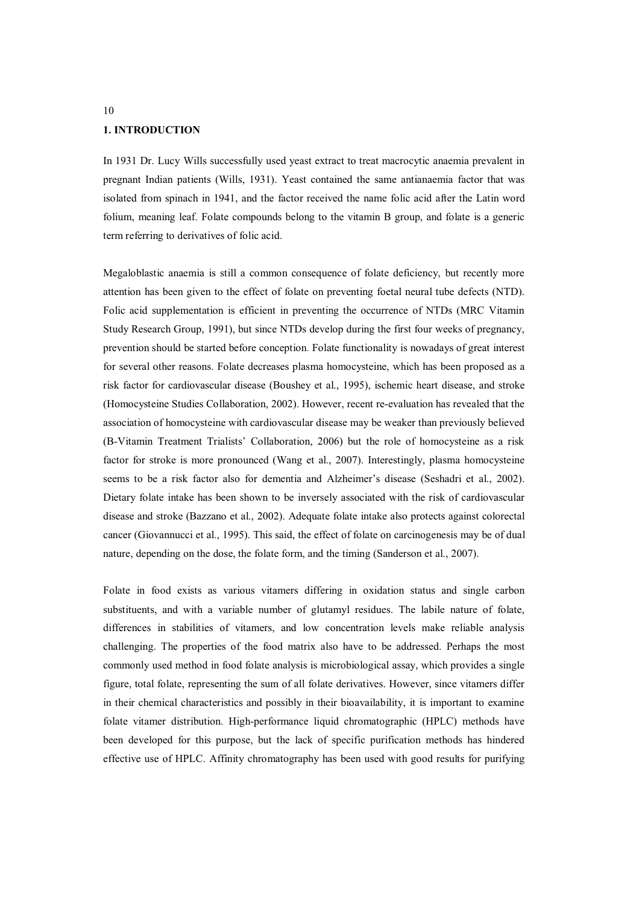#### **1. INTRODUCTION**

In 1931 Dr. Lucy Wills successfully used yeast extract to treat macrocytic anaemia prevalent in pregnant Indian patients (Wills, 1931). Yeast contained the same antianaemia factor that was isolated from spinach in 1941, and the factor received the name folic acid after the Latin word folium, meaning leaf. Folate compounds belong to the vitamin B group, and folate is a generic term referring to derivatives of folic acid.

Megaloblastic anaemia is still a common consequence of folate deficiency, but recently more attention has been given to the effect of folate on preventing foetal neural tube defects (NTD). Folic acid supplementation is efficient in preventing the occurrence of NTDs (MRC Vitamin Study Research Group, 1991), but since NTDs develop during the first four weeks of pregnancy, prevention should be started before conception. Folate functionality is nowadays of great interest for several other reasons. Folate decreases plasma homocysteine, which has been proposed as a risk factor for cardiovascular disease (Boushey et al., 1995), ischemic heart disease, and stroke (Homocysteine Studies Collaboration, 2002). However, recent re-evaluation has revealed that the association of homocysteine with cardiovascular disease may be weaker than previously believed (B-Vitamin Treatment Trialists' Collaboration, 2006) but the role of homocysteine as a risk factor for stroke is more pronounced (Wang et al., 2007). Interestingly, plasma homocysteine seems to be a risk factor also for dementia and Alzheimer's disease (Seshadri et al., 2002). Dietary folate intake has been shown to be inversely associated with the risk of cardiovascular disease and stroke (Bazzano et al., 2002). Adequate folate intake also protects against colorectal cancer (Giovannucci et al., 1995). This said, the effect of folate on carcinogenesis may be of dual nature, depending on the dose, the folate form, and the timing (Sanderson et al., 2007).

Folate in food exists as various vitamers differing in oxidation status and single carbon substituents, and with a variable number of glutamyl residues. The labile nature of folate, differences in stabilities of vitamers, and low concentration levels make reliable analysis challenging. The properties of the food matrix also have to be addressed. Perhaps the most commonly used method in food folate analysis is microbiological assay, which provides a single figure, total folate, representing the sum of all folate derivatives. However, since vitamers differ in their chemical characteristics and possibly in their bioavailability, it is important to examine folate vitamer distribution. High-performance liquid chromatographic (HPLC) methods have been developed for this purpose, but the lack of specific purification methods has hindered effective use of HPLC. Affinity chromatography has been used with good results for purifying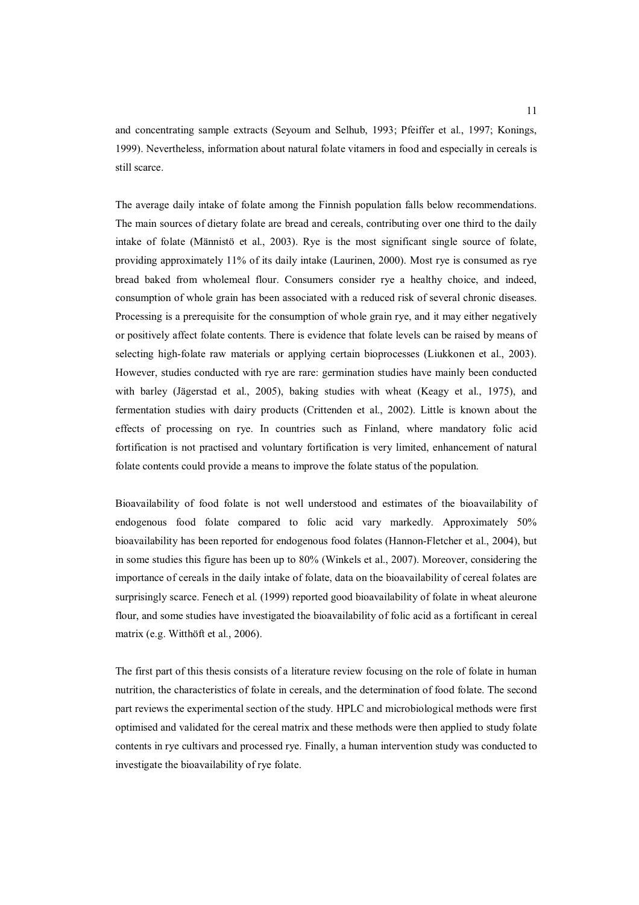and concentrating sample extracts (Seyoum and Selhub, 1993; Pfeiffer et al., 1997; Konings, 1999). Nevertheless, information about natural folate vitamers in food and especially in cereals is still scarce.

The average daily intake of folate among the Finnish population falls below recommendations. The main sources of dietary folate are bread and cereals, contributing over one third to the daily intake of folate (Männistö et al., 2003). Rye is the most significant single source of folate, providing approximately 11% of its daily intake (Laurinen, 2000). Most rye is consumed as rye bread baked from wholemeal flour. Consumers consider rye a healthy choice, and indeed, consumption of whole grain has been associated with a reduced risk of several chronic diseases. Processing is a prerequisite for the consumption of whole grain rye, and it may either negatively or positively affect folate contents. There is evidence that folate levels can be raised by means of selecting high-folate raw materials or applying certain bioprocesses (Liukkonen et al., 2003). However, studies conducted with rye are rare: germination studies have mainly been conducted with barley (Jägerstad et al., 2005), baking studies with wheat (Keagy et al., 1975), and fermentation studies with dairy products (Crittenden et al., 2002). Little is known about the effects of processing on rye. In countries such as Finland, where mandatory folic acid fortification is not practised and voluntary fortification is very limited, enhancement of natural folate contents could provide a means to improve the folate status of the population.

Bioavailability of food folate is not well understood and estimates of the bioavailability of endogenous food folate compared to folic acid vary markedly. Approximately 50% bioavailability has been reported for endogenous food folates (Hannon-Fletcher et al., 2004), but in some studies this figure has been up to 80% (Winkels et al., 2007). Moreover, considering the importance of cereals in the daily intake of folate, data on the bioavailability of cereal folates are surprisingly scarce. Fenech et al. (1999) reported good bioavailability of folate in wheat aleurone flour, and some studies have investigated the bioavailability of folic acid as a fortificant in cereal matrix (e.g. Witthöft et al., 2006).

The first part of this thesis consists of a literature review focusing on the role of folate in human nutrition, the characteristics of folate in cereals, and the determination of food folate. The second part reviews the experimental section of the study. HPLC and microbiological methods were first optimised and validated for the cereal matrix and these methods were then applied to study folate contents in rye cultivars and processed rye. Finally, a human intervention study was conducted to investigate the bioavailability of rye folate.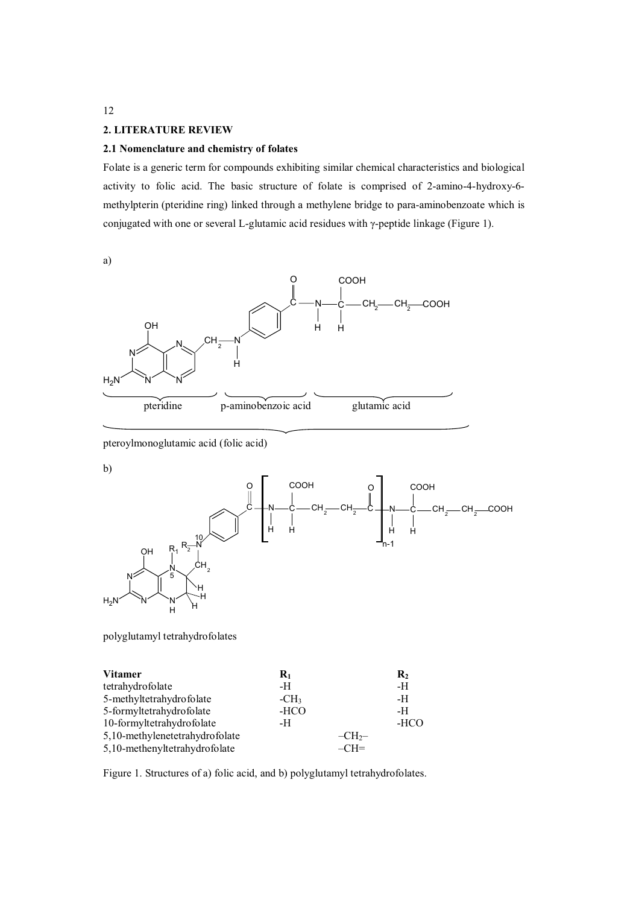#### **2. LITERATURE REVIEW**

#### **2.1 Nomenclature and chemistry of folates**

Folate is a generic term for compounds exhibiting similar chemical characteristics and biological activity to folic acid. The basic structure of folate is comprised of 2-amino-4-hydroxy-6 methylpterin (pteridine ring) linked through a methylene bridge to para-aminobenzoate which is conjugated with one or several L-glutamic acid residues with  $\gamma$ -peptide linkage (Figure 1).

a)



pteroylmonoglutamic acid (folic acid)

b)



polyglutamyl tetrahydrofolates

| <b>Vitamer</b>                 | $\mathbf{R}_1$ |        | $\mathbf{R}_2$ |
|--------------------------------|----------------|--------|----------------|
| tetrahydrofolate               | -H             |        | -H             |
| 5-methyltetrahydrofolate       | $-CH3$         |        | -H             |
| 5-formyltetrahydrofolate       | -HCO           |        | -H             |
| 10-formyltetrahydrofolate      | -H             |        | -HCO           |
| 5,10-methylenetetrahydrofolate |                | $-CH2$ |                |
| 5,10-methenyltetrahydrofolate  |                | $-CH=$ |                |

Figure 1. Structures of a) folic acid, and b) polyglutamyl tetrahydrofolates.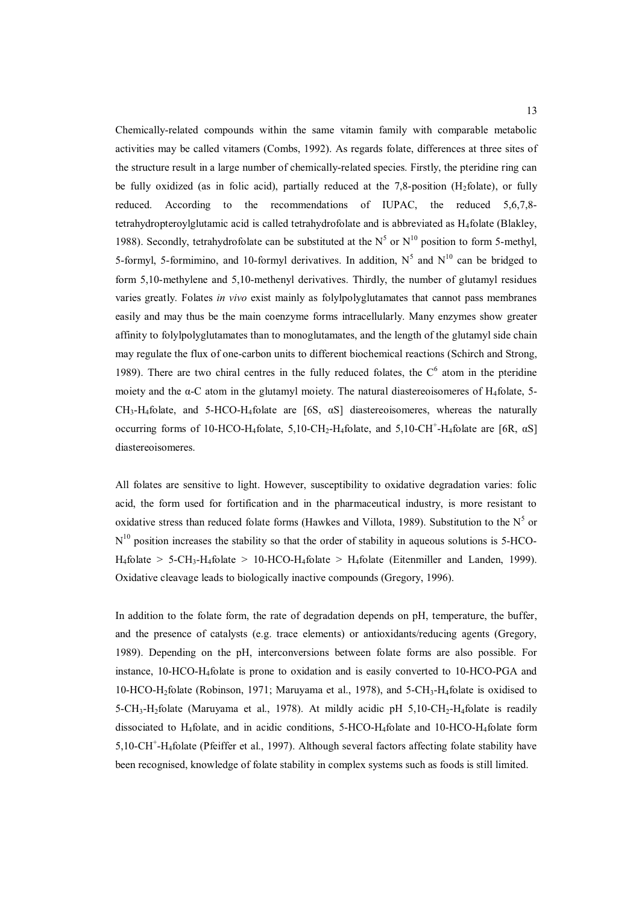Chemically-related compounds within the same vitamin family with comparable metabolic activities may be called vitamers (Combs, 1992). As regards folate, differences at three sites of the structure result in a large number of chemically-related species. Firstly, the pteridine ring can be fully oxidized (as in folic acid), partially reduced at the 7,8-position (H<sub>2</sub>folate), or fully reduced. According to the recommendations of IUPAC, the reduced 5,6,7,8 tetrahydropteroylglutamic acid is called tetrahydrofolate and is abbreviated as  $H_4$ folate (Blakley, 1988). Secondly, tetrahydrofolate can be substituted at the  $N^5$  or  $N^{10}$  position to form 5-methyl, 5-formyl, 5-formimino, and 10-formyl derivatives. In addition,  $N^5$  and  $N^{10}$  can be bridged to form 5,10-methylene and 5,10-methenyl derivatives. Thirdly, the number of glutamyl residues varies greatly. Folates *in vivo* exist mainly as folylpolyglutamates that cannot pass membranes easily and may thus be the main coenzyme forms intracellularly. Many enzymes show greater affinity to folylpolyglutamates than to monoglutamates, and the length of the glutamyl side chain may regulate the flux of one-carbon units to different biochemical reactions (Schirch and Strong, 1989). There are two chiral centres in the fully reduced folates, the  $C^6$  atom in the pteridine moiety and the  $\alpha$ -C atom in the glutamyl moiety. The natural diastereoisomeres of H<sub>4</sub>folate, 5- $CH_3-H_4$ folate, and 5-HCO-H<sub>4</sub>folate are [6S,  $\alpha S$ ] diastereoisomeres, whereas the naturally occurring forms of 10-HCO-H<sub>4</sub>folate, 5,10-CH<sub>2</sub>-H<sub>4</sub>folate, and 5,10-CH<sup>+</sup>-H<sub>4</sub>folate are [6R,  $\alpha S$ ] diastereoisomeres.

All folates are sensitive to light. However, susceptibility to oxidative degradation varies: folic acid, the form used for fortification and in the pharmaceutical industry, is more resistant to oxidative stress than reduced folate forms (Hawkes and Villota, 1989). Substitution to the  $N^5$  or  $N^{10}$  position increases the stability so that the order of stability in aqueous solutions is 5-HCO-H<sub>4</sub>folate > 5-CH<sub>3</sub>-H<sub>4</sub>folate > 10-HCO-H<sub>4</sub>folate > H<sub>4</sub>folate (Eitenmiller and Landen, 1999). Oxidative cleavage leads to biologically inactive compounds (Gregory, 1996).

In addition to the folate form, the rate of degradation depends on pH, temperature, the buffer, and the presence of catalysts (e.g. trace elements) or antioxidants/reducing agents (Gregory, 1989). Depending on the pH, interconversions between folate forms are also possible. For instance, 10-HCO-H4folate is prone to oxidation and is easily converted to 10-HCO-PGA and  $10-HCO-H<sub>2</sub>$ folate (Robinson, 1971; Maruyama et al., 1978), and 5-CH<sub>3</sub>-H<sub>4</sub>folate is oxidised to  $5-\text{CH}_3-\text{H}_2$ folate (Maruyama et al., 1978). At mildly acidic pH  $5,10-\text{CH}_2-\text{H}_4$ folate is readily dissociated to H4folate, and in acidic conditions, 5-HCO-H4folate and 10-HCO-H4folate form 5,10-CH<sup>+</sup>-H<sub>4</sub>folate (Pfeiffer et al., 1997). Although several factors affecting folate stability have been recognised, knowledge of folate stability in complex systems such as foods is still limited.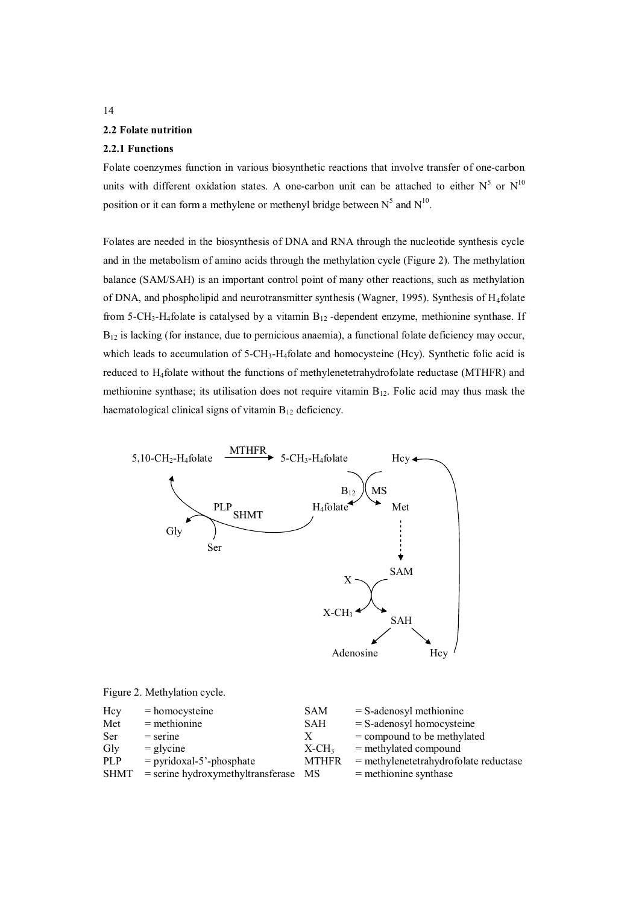#### **2.2 Folate nutrition**

## **2.2.1 Functions**

Folate coenzymes function in various biosynthetic reactions that involve transfer of one-carbon units with different oxidation states. A one-carbon unit can be attached to either  $N^5$  or  $N^{10}$ position or it can form a methylene or methenyl bridge between  $N^5$  and  $N^{10}$ .

Folates are needed in the biosynthesis of DNA and RNA through the nucleotide synthesis cycle and in the metabolism of amino acids through the methylation cycle (Figure 2). The methylation balance (SAM/SAH) is an important control point of many other reactions, such as methylation of DNA, and phospholipid and neurotransmitter synthesis (Wagner, 1995). Synthesis of H4folate from 5-CH<sub>3</sub>-H<sub>4</sub>folate is catalysed by a vitamin  $B_{12}$ -dependent enzyme, methionine synthase. If  $B_{12}$  is lacking (for instance, due to pernicious anaemia), a functional folate deficiency may occur, which leads to accumulation of  $5\text{-CH}_3\text{-H}_4$  folate and homocysteine (Hcy). Synthetic folic acid is reduced to H4folate without the functions of methylenetetrahydrofolate reductase (MTHFR) and methionine synthase; its utilisation does not require vitamin  $B_{12}$ . Folic acid may thus mask the haematological clinical signs of vitamin  $B_{12}$  deficiency.



| Hcy        | $=$ homocysteine                    | <b>SAM</b>           | $=$ S-adenosyl methionine               |
|------------|-------------------------------------|----------------------|-----------------------------------------|
| Met        | $=$ methionine                      | <b>SAH</b>           | $=$ S-adenosyl homocysteine             |
| Ser        | $=$ serine                          | X                    | $=$ compound to be methylated           |
| Gly        | $=$ glycine                         | $X$ -CH <sub>3</sub> | $=$ methylated compound                 |
| <b>PLP</b> | $=$ pyridoxal-5'-phosphate          | <b>MTHFR</b>         | $=$ methylenetetrahydrofolate reductase |
| SHMT       | $=$ serine hydroxymethyltransferase | <b>MS</b>            | $=$ methionine synthase                 |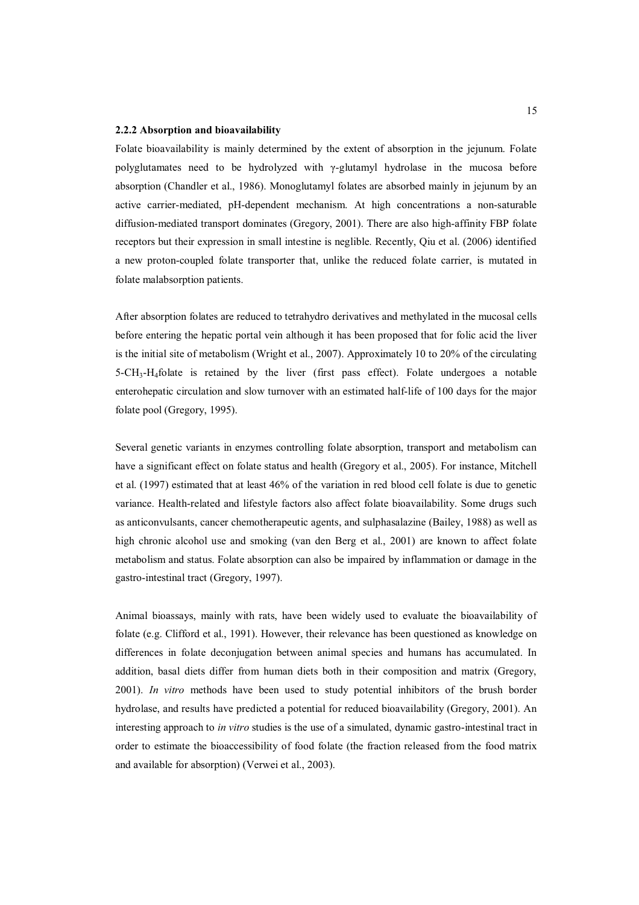#### **2.2.2 Absorption and bioavailability**

Folate bioavailability is mainly determined by the extent of absorption in the jejunum. Folate polyglutamates need to be hydrolyzed with Ȗ-glutamyl hydrolase in the mucosa before absorption (Chandler et al., 1986). Monoglutamyl folates are absorbed mainly in jejunum by an active carrier-mediated, pH-dependent mechanism. At high concentrations a non-saturable diffusion-mediated transport dominates (Gregory, 2001). There are also high-affinity FBP folate receptors but their expression in small intestine is neglible. Recently, Qiu et al. (2006) identified a new proton-coupled folate transporter that, unlike the reduced folate carrier, is mutated in folate malabsorption patients.

After absorption folates are reduced to tetrahydro derivatives and methylated in the mucosal cells before entering the hepatic portal vein although it has been proposed that for folic acid the liver is the initial site of metabolism (Wright et al., 2007). Approximately 10 to 20% of the circulating  $5-\text{CH}_3\text{-H}_4$  folate is retained by the liver (first pass effect). Folate undergoes a notable enterohepatic circulation and slow turnover with an estimated half-life of 100 days for the major folate pool (Gregory, 1995).

Several genetic variants in enzymes controlling folate absorption, transport and metabolism can have a significant effect on folate status and health (Gregory et al., 2005). For instance, Mitchell et al. (1997) estimated that at least 46% of the variation in red blood cell folate is due to genetic variance. Health-related and lifestyle factors also affect folate bioavailability. Some drugs such as anticonvulsants, cancer chemotherapeutic agents, and sulphasalazine (Bailey, 1988) as well as high chronic alcohol use and smoking (van den Berg et al., 2001) are known to affect folate metabolism and status. Folate absorption can also be impaired by inflammation or damage in the gastro-intestinal tract (Gregory, 1997).

Animal bioassays, mainly with rats, have been widely used to evaluate the bioavailability of folate (e.g. Clifford et al., 1991). However, their relevance has been questioned as knowledge on differences in folate deconjugation between animal species and humans has accumulated. In addition, basal diets differ from human diets both in their composition and matrix (Gregory, 2001). *In vitro* methods have been used to study potential inhibitors of the brush border hydrolase, and results have predicted a potential for reduced bioavailability (Gregory, 2001). An interesting approach to *in vitro* studies is the use of a simulated, dynamic gastro-intestinal tract in order to estimate the bioaccessibility of food folate (the fraction released from the food matrix and available for absorption) (Verwei et al., 2003).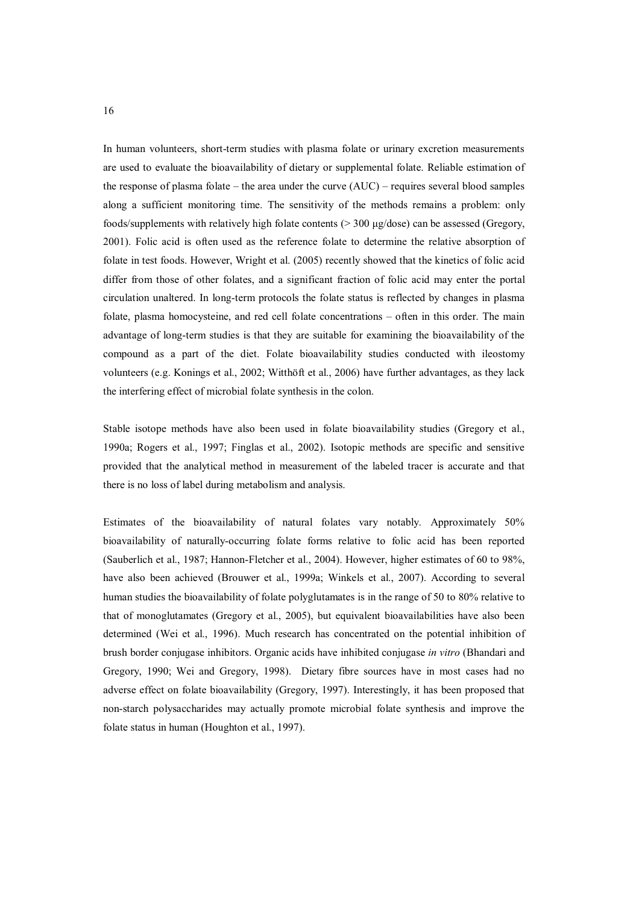In human volunteers, short-term studies with plasma folate or urinary excretion measurements are used to evaluate the bioavailability of dietary or supplemental folate. Reliable estimation of the response of plasma folate – the area under the curve (AUC) – requires several blood samples along a sufficient monitoring time. The sensitivity of the methods remains a problem: only foods/supplements with relatively high folate contents ( $>$ 300  $\mu$ g/dose) can be assessed (Gregory, 2001). Folic acid is often used as the reference folate to determine the relative absorption of folate in test foods. However, Wright et al. (2005) recently showed that the kinetics of folic acid differ from those of other folates, and a significant fraction of folic acid may enter the portal circulation unaltered. In long-term protocols the folate status is reflected by changes in plasma folate, plasma homocysteine, and red cell folate concentrations – often in this order. The main advantage of long-term studies is that they are suitable for examining the bioavailability of the compound as a part of the diet. Folate bioavailability studies conducted with ileostomy volunteers (e.g. Konings et al., 2002; Witthöft et al., 2006) have further advantages, as they lack the interfering effect of microbial folate synthesis in the colon.

Stable isotope methods have also been used in folate bioavailability studies (Gregory et al., 1990a; Rogers et al., 1997; Finglas et al., 2002). Isotopic methods are specific and sensitive provided that the analytical method in measurement of the labeled tracer is accurate and that there is no loss of label during metabolism and analysis.

Estimates of the bioavailability of natural folates vary notably. Approximately 50% bioavailability of naturally-occurring folate forms relative to folic acid has been reported (Sauberlich et al., 1987; Hannon-Fletcher et al., 2004). However, higher estimates of 60 to 98%, have also been achieved (Brouwer et al., 1999a; Winkels et al., 2007). According to several human studies the bioavailability of folate polyglutamates is in the range of 50 to 80% relative to that of monoglutamates (Gregory et al., 2005), but equivalent bioavailabilities have also been determined (Wei et al., 1996). Much research has concentrated on the potential inhibition of brush border conjugase inhibitors. Organic acids have inhibited conjugase *in vitro* (Bhandari and Gregory, 1990; Wei and Gregory, 1998). Dietary fibre sources have in most cases had no adverse effect on folate bioavailability (Gregory, 1997). Interestingly, it has been proposed that non-starch polysaccharides may actually promote microbial folate synthesis and improve the folate status in human (Houghton et al., 1997).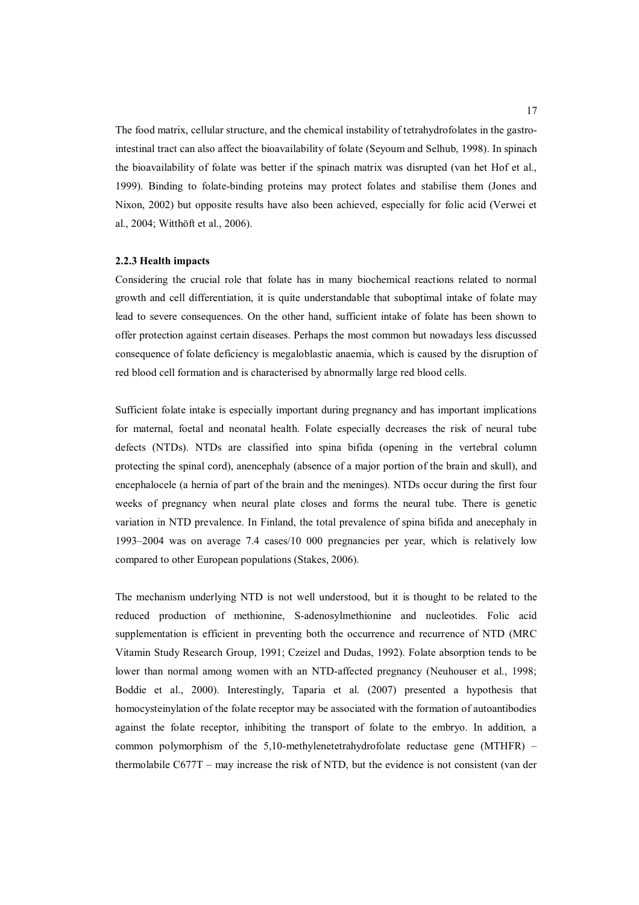The food matrix, cellular structure, and the chemical instability of tetrahydrofolates in the gastrointestinal tract can also affect the bioavailability of folate (Seyoum and Selhub, 1998). In spinach the bioavailability of folate was better if the spinach matrix was disrupted (van het Hof et al., 1999). Binding to folate-binding proteins may protect folates and stabilise them (Jones and Nixon, 2002) but opposite results have also been achieved, especially for folic acid (Verwei et al., 2004; Witthöft et al., 2006).

#### **2.2.3 Health impacts**

Considering the crucial role that folate has in many biochemical reactions related to normal growth and cell differentiation, it is quite understandable that suboptimal intake of folate may lead to severe consequences. On the other hand, sufficient intake of folate has been shown to offer protection against certain diseases. Perhaps the most common but nowadays less discussed consequence of folate deficiency is megaloblastic anaemia, which is caused by the disruption of red blood cell formation and is characterised by abnormally large red blood cells.

Sufficient folate intake is especially important during pregnancy and has important implications for maternal, foetal and neonatal health. Folate especially decreases the risk of neural tube defects (NTDs). NTDs are classified into spina bifida (opening in the vertebral column protecting the spinal cord), anencephaly (absence of a major portion of the brain and skull), and encephalocele (a hernia of part of the brain and the meninges). NTDs occur during the first four weeks of pregnancy when neural plate closes and forms the neural tube. There is genetic variation in NTD prevalence. In Finland, the total prevalence of spina bifida and anecephaly in 1993–2004 was on average 7.4 cases/10 000 pregnancies per year, which is relatively low compared to other European populations (Stakes, 2006).

The mechanism underlying NTD is not well understood, but it is thought to be related to the reduced production of methionine, S-adenosylmethionine and nucleotides. Folic acid supplementation is efficient in preventing both the occurrence and recurrence of NTD (MRC Vitamin Study Research Group, 1991; Czeizel and Dudas, 1992). Folate absorption tends to be lower than normal among women with an NTD-affected pregnancy (Neuhouser et al., 1998; Boddie et al., 2000). Interestingly, Taparia et al. (2007) presented a hypothesis that homocysteinylation of the folate receptor may be associated with the formation of autoantibodies against the folate receptor, inhibiting the transport of folate to the embryo. In addition, a common polymorphism of the 5,10-methylenetetrahydrofolate reductase gene (MTHFR) – thermolabile C677T – may increase the risk of NTD, but the evidence is not consistent (van der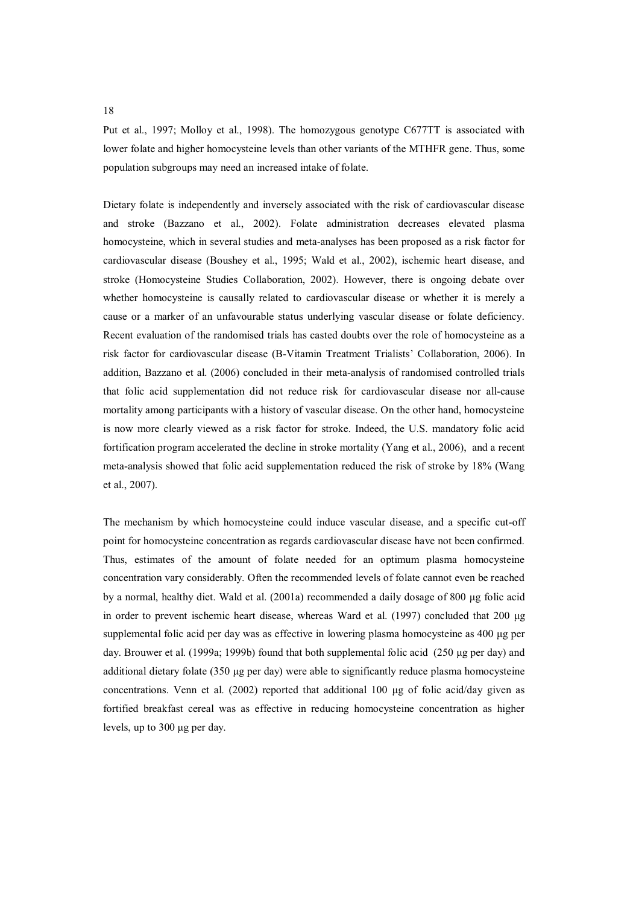Put et al., 1997; Molloy et al., 1998). The homozygous genotype C677TT is associated with lower folate and higher homocysteine levels than other variants of the MTHFR gene. Thus, some population subgroups may need an increased intake of folate.

Dietary folate is independently and inversely associated with the risk of cardiovascular disease and stroke (Bazzano et al., 2002). Folate administration decreases elevated plasma homocysteine, which in several studies and meta-analyses has been proposed as a risk factor for cardiovascular disease (Boushey et al., 1995; Wald et al., 2002), ischemic heart disease, and stroke (Homocysteine Studies Collaboration, 2002). However, there is ongoing debate over whether homocysteine is causally related to cardiovascular disease or whether it is merely a cause or a marker of an unfavourable status underlying vascular disease or folate deficiency. Recent evaluation of the randomised trials has casted doubts over the role of homocysteine as a risk factor for cardiovascular disease (B-Vitamin Treatment Trialists' Collaboration, 2006). In addition, Bazzano et al. (2006) concluded in their meta-analysis of randomised controlled trials that folic acid supplementation did not reduce risk for cardiovascular disease nor all-cause mortality among participants with a history of vascular disease. On the other hand, homocysteine is now more clearly viewed as a risk factor for stroke. Indeed, the U.S. mandatory folic acid fortification program accelerated the decline in stroke mortality (Yang et al., 2006), and a recent meta-analysis showed that folic acid supplementation reduced the risk of stroke by 18% (Wang et al., 2007).

The mechanism by which homocysteine could induce vascular disease, and a specific cut-off point for homocysteine concentration as regards cardiovascular disease have not been confirmed. Thus, estimates of the amount of folate needed for an optimum plasma homocysteine concentration vary considerably. Often the recommended levels of folate cannot even be reached by a normal, healthy diet. Wald et al. (2001a) recommended a daily dosage of 800 µg folic acid in order to prevent ischemic heart disease, whereas Ward et al.  $(1997)$  concluded that 200  $\mu$ g supplemental folic acid per day was as effective in lowering plasma homocysteine as 400 µg per day. Brouwer et al. (1999a; 1999b) found that both supplemental folic acid  $(250 \mu g$  per day) and additional dietary folate  $(350 \mu g$  per day) were able to significantly reduce plasma homocysteine concentrations. Venn et al. (2002) reported that additional 100 µg of folic acid/day given as fortified breakfast cereal was as effective in reducing homocysteine concentration as higher levels, up to 300 µg per day.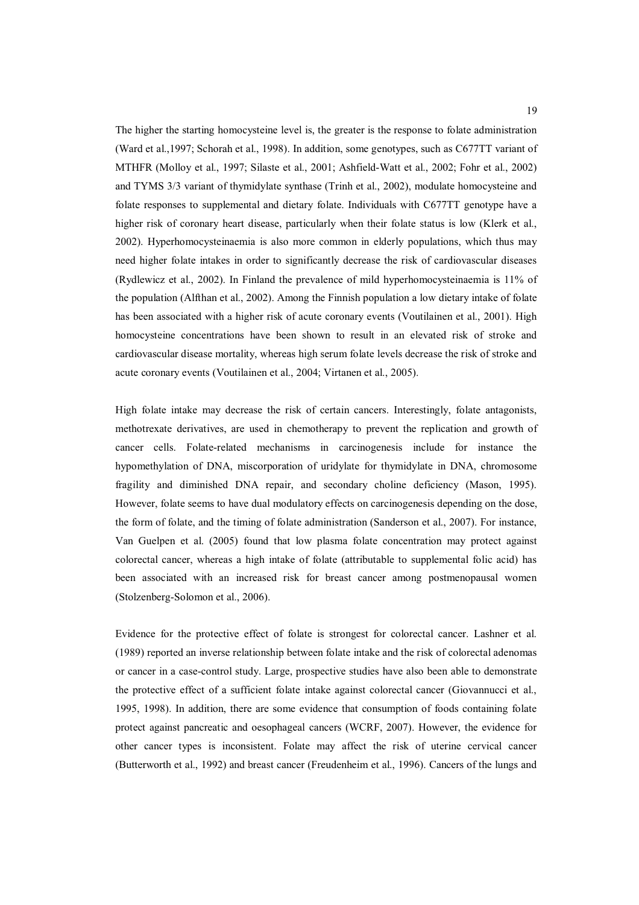The higher the starting homocysteine level is, the greater is the response to folate administration (Ward et al.,1997; Schorah et al., 1998). In addition, some genotypes, such as C677TT variant of MTHFR (Molloy et al., 1997; Silaste et al., 2001; Ashfield-Watt et al., 2002; Fohr et al., 2002) and TYMS 3/3 variant of thymidylate synthase (Trinh et al., 2002), modulate homocysteine and folate responses to supplemental and dietary folate. Individuals with C677TT genotype have a higher risk of coronary heart disease, particularly when their folate status is low (Klerk et al., 2002). Hyperhomocysteinaemia is also more common in elderly populations, which thus may need higher folate intakes in order to significantly decrease the risk of cardiovascular diseases (Rydlewicz et al., 2002). In Finland the prevalence of mild hyperhomocysteinaemia is 11% of the population (Alfthan et al., 2002). Among the Finnish population a low dietary intake of folate has been associated with a higher risk of acute coronary events (Voutilainen et al., 2001). High homocysteine concentrations have been shown to result in an elevated risk of stroke and cardiovascular disease mortality, whereas high serum folate levels decrease the risk of stroke and acute coronary events (Voutilainen et al., 2004; Virtanen et al., 2005).

High folate intake may decrease the risk of certain cancers. Interestingly, folate antagonists, methotrexate derivatives, are used in chemotherapy to prevent the replication and growth of cancer cells. Folate-related mechanisms in carcinogenesis include for instance the hypomethylation of DNA, miscorporation of uridylate for thymidylate in DNA, chromosome fragility and diminished DNA repair, and secondary choline deficiency (Mason, 1995). However, folate seems to have dual modulatory effects on carcinogenesis depending on the dose, the form of folate, and the timing of folate administration (Sanderson et al., 2007). For instance, Van Guelpen et al. (2005) found that low plasma folate concentration may protect against colorectal cancer, whereas a high intake of folate (attributable to supplemental folic acid) has been associated with an increased risk for breast cancer among postmenopausal women (Stolzenberg-Solomon et al., 2006).

Evidence for the protective effect of folate is strongest for colorectal cancer. Lashner et al. (1989) reported an inverse relationship between folate intake and the risk of colorectal adenomas or cancer in a case-control study. Large, prospective studies have also been able to demonstrate the protective effect of a sufficient folate intake against colorectal cancer (Giovannucci et al., 1995, 1998). In addition, there are some evidence that consumption of foods containing folate protect against pancreatic and oesophageal cancers (WCRF, 2007). However, the evidence for other cancer types is inconsistent. Folate may affect the risk of uterine cervical cancer (Butterworth et al., 1992) and breast cancer (Freudenheim et al., 1996). Cancers of the lungs and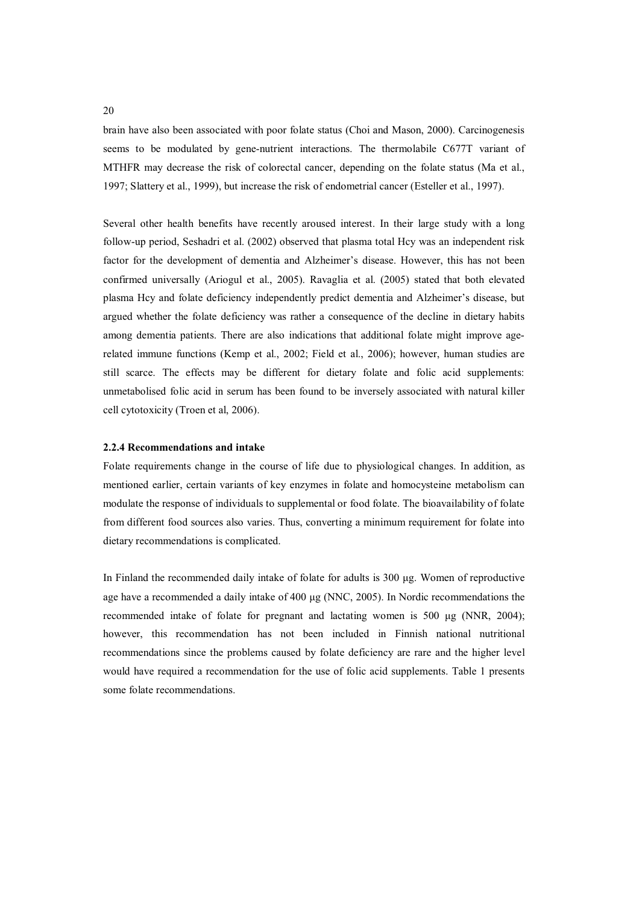brain have also been associated with poor folate status (Choi and Mason, 2000). Carcinogenesis seems to be modulated by gene-nutrient interactions. The thermolabile C677T variant of MTHFR may decrease the risk of colorectal cancer, depending on the folate status (Ma et al., 1997; Slattery et al., 1999), but increase the risk of endometrial cancer (Esteller et al., 1997).

Several other health benefits have recently aroused interest. In their large study with a long follow-up period, Seshadri et al. (2002) observed that plasma total Hcy was an independent risk factor for the development of dementia and Alzheimer's disease. However, this has not been confirmed universally (Ariogul et al., 2005). Ravaglia et al. (2005) stated that both elevated plasma Hcy and folate deficiency independently predict dementia and Alzheimer's disease, but argued whether the folate deficiency was rather a consequence of the decline in dietary habits among dementia patients. There are also indications that additional folate might improve agerelated immune functions (Kemp et al., 2002; Field et al., 2006); however, human studies are still scarce. The effects may be different for dietary folate and folic acid supplements: unmetabolised folic acid in serum has been found to be inversely associated with natural killer cell cytotoxicity (Troen et al, 2006).

#### **2.2.4 Recommendations and intake**

Folate requirements change in the course of life due to physiological changes. In addition, as mentioned earlier, certain variants of key enzymes in folate and homocysteine metabolism can modulate the response of individuals to supplemental or food folate. The bioavailability of folate from different food sources also varies. Thus, converting a minimum requirement for folate into dietary recommendations is complicated.

In Finland the recommended daily intake of folate for adults is  $300 \mu g$ . Women of reproductive age have a recommended a daily intake of  $400 \mu$ g (NNC, 2005). In Nordic recommendations the recommended intake of folate for pregnant and lactating women is  $500 \mu g$  (NNR, 2004); however, this recommendation has not been included in Finnish national nutritional recommendations since the problems caused by folate deficiency are rare and the higher level would have required a recommendation for the use of folic acid supplements. Table 1 presents some folate recommendations.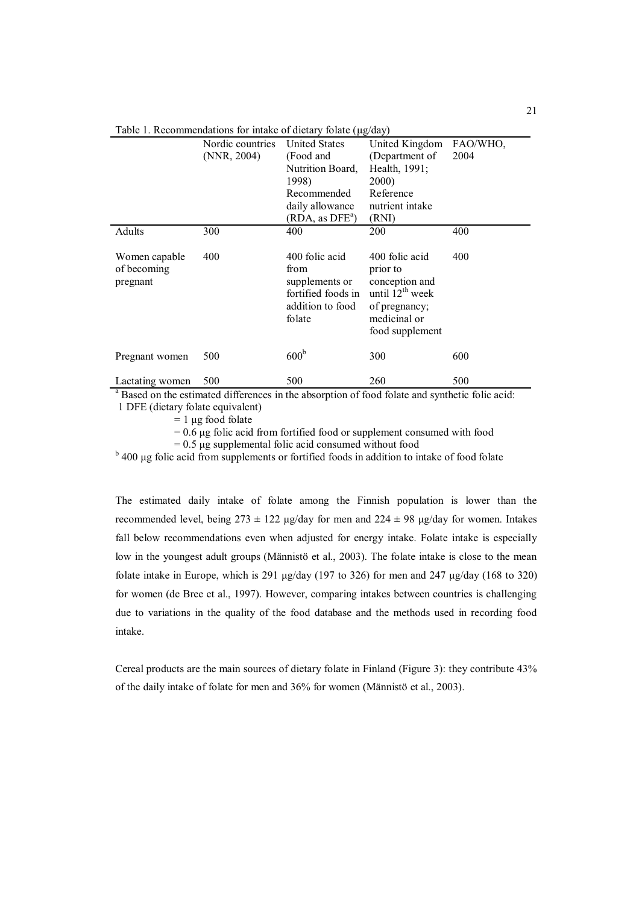|                                                    | Nordic countries<br>(NNR, 2004) | <b>United States</b><br>(Food and<br>Nutrition Board,<br>1998)<br>Recommended<br>daily allowance<br>(RDA, as DFE <sup>a</sup> ) | United Kingdom<br>(Department of<br>Health, 1991;<br><b>2000</b> )<br>Reference<br>nutrient intake<br>(RNI)                     | FAO/WHO,<br>2004 |
|----------------------------------------------------|---------------------------------|---------------------------------------------------------------------------------------------------------------------------------|---------------------------------------------------------------------------------------------------------------------------------|------------------|
| Adults<br>Women capable<br>of becoming<br>pregnant | 300<br>400                      | 400<br>400 folic acid<br>from<br>supplements or<br>fortified foods in<br>addition to food<br>folate                             | 200<br>400 folic acid<br>prior to<br>conception and<br>until $12^{th}$ week<br>of pregnancy;<br>medicinal or<br>food supplement | 400<br>400       |
| Pregnant women                                     | 500                             | 600 <sup>b</sup>                                                                                                                | 300                                                                                                                             | 600              |
| Lactating women                                    | 500                             | 500                                                                                                                             | 260                                                                                                                             | 500              |

Table 1. Recommendations for intake of dietary folate  $(\mu g / d a y)$ 

<sup>a</sup> Based on the estimated differences in the absorption of food folate and synthetic folic acid: 1 DFE (dietary folate equivalent)

 $= 1 \mu$ g food folate

 $= 0.6$  µg folic acid from fortified food or supplement consumed with food

 $= 0.5 \mu$ g supplemental folic acid consumed without food

<sup>b</sup> 400 µg folic acid from supplements or fortified foods in addition to intake of food folate

The estimated daily intake of folate among the Finnish population is lower than the recommended level, being  $273 \pm 122$  µg/day for men and  $224 \pm 98$  µg/day for women. Intakes fall below recommendations even when adjusted for energy intake. Folate intake is especially low in the youngest adult groups (Männistö et al., 2003). The folate intake is close to the mean folate intake in Europe, which is 291  $\mu$ g/day (197 to 326) for men and 247  $\mu$ g/day (168 to 320) for women (de Bree et al., 1997). However, comparing intakes between countries is challenging due to variations in the quality of the food database and the methods used in recording food intake.

Cereal products are the main sources of dietary folate in Finland (Figure 3): they contribute 43% of the daily intake of folate for men and 36% for women (Männistö et al., 2003).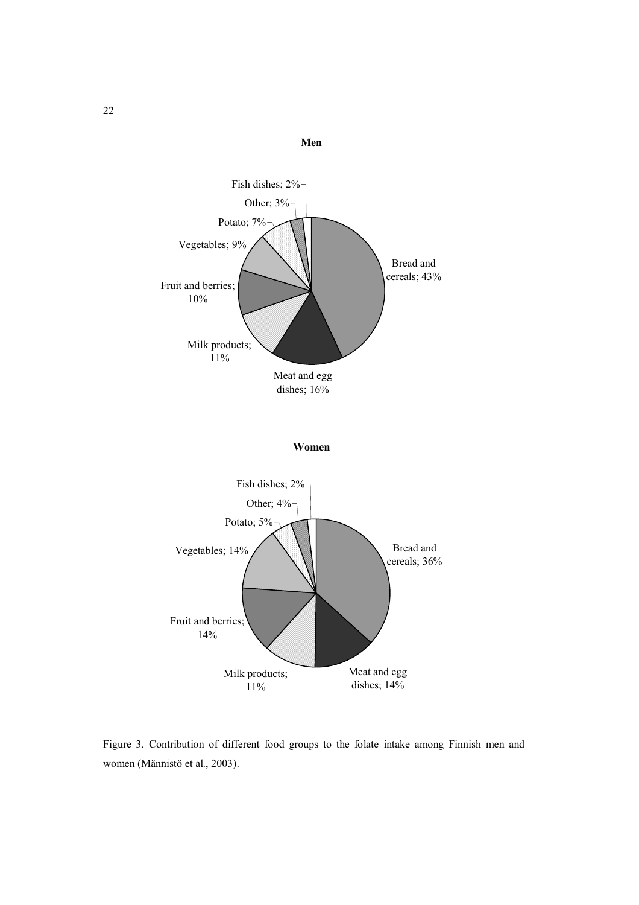

Figure 3. Contribution of different food groups to the folate intake among Finnish men and women (Männistö et al., 2003).

11%

dishes; 14%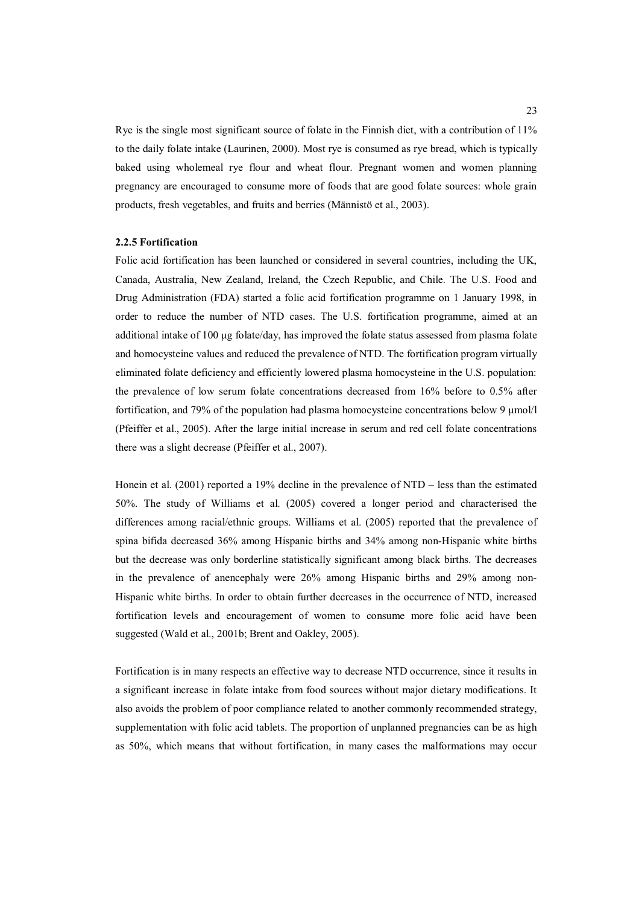Rye is the single most significant source of folate in the Finnish diet, with a contribution of 11% to the daily folate intake (Laurinen, 2000). Most rye is consumed as rye bread, which is typically baked using wholemeal rye flour and wheat flour. Pregnant women and women planning pregnancy are encouraged to consume more of foods that are good folate sources: whole grain products, fresh vegetables, and fruits and berries (Männistö et al., 2003).

#### **2.2.5 Fortification**

Folic acid fortification has been launched or considered in several countries, including the UK, Canada, Australia, New Zealand, Ireland, the Czech Republic, and Chile. The U.S. Food and Drug Administration (FDA) started a folic acid fortification programme on 1 January 1998, in order to reduce the number of NTD cases. The U.S. fortification programme, aimed at an additional intake of 100 µg folate/day, has improved the folate status assessed from plasma folate and homocysteine values and reduced the prevalence of NTD. The fortification program virtually eliminated folate deficiency and efficiently lowered plasma homocysteine in the U.S. population: the prevalence of low serum folate concentrations decreased from 16% before to 0.5% after fortification, and 79% of the population had plasma homocysteine concentrations below 9  $\mu$ mol/l (Pfeiffer et al., 2005). After the large initial increase in serum and red cell folate concentrations there was a slight decrease (Pfeiffer et al., 2007).

Honein et al. (2001) reported a 19% decline in the prevalence of NTD – less than the estimated 50%. The study of Williams et al. (2005) covered a longer period and characterised the differences among racial/ethnic groups. Williams et al. (2005) reported that the prevalence of spina bifida decreased 36% among Hispanic births and 34% among non-Hispanic white births but the decrease was only borderline statistically significant among black births. The decreases in the prevalence of anencephaly were 26% among Hispanic births and 29% among non-Hispanic white births. In order to obtain further decreases in the occurrence of NTD, increased fortification levels and encouragement of women to consume more folic acid have been suggested (Wald et al., 2001b; Brent and Oakley, 2005).

Fortification is in many respects an effective way to decrease NTD occurrence, since it results in a significant increase in folate intake from food sources without major dietary modifications. It also avoids the problem of poor compliance related to another commonly recommended strategy, supplementation with folic acid tablets. The proportion of unplanned pregnancies can be as high as 50%, which means that without fortification, in many cases the malformations may occur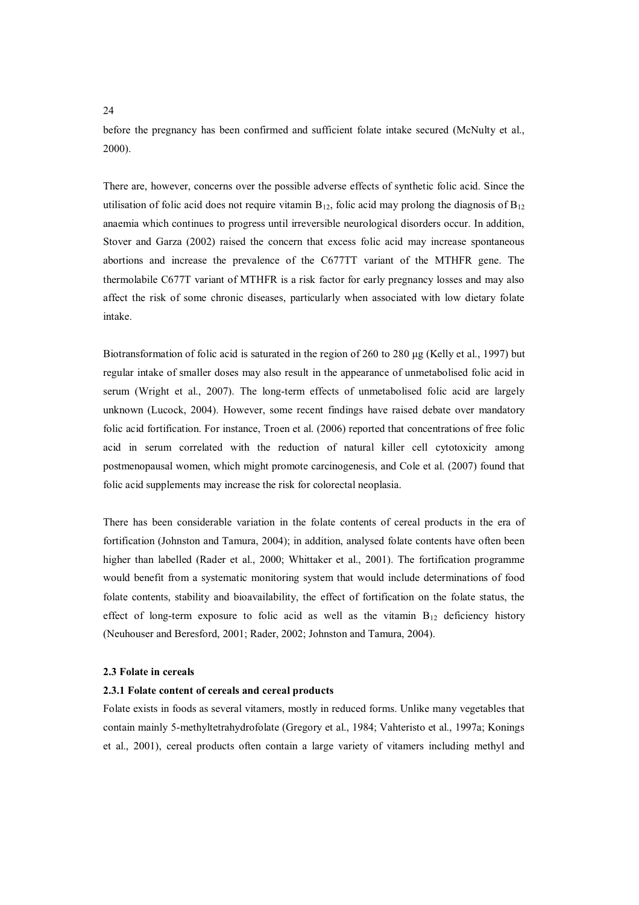24

before the pregnancy has been confirmed and sufficient folate intake secured (McNulty et al., 2000).

There are, however, concerns over the possible adverse effects of synthetic folic acid. Since the utilisation of folic acid does not require vitamin  $B_{12}$ , folic acid may prolong the diagnosis of  $B_{12}$ anaemia which continues to progress until irreversible neurological disorders occur. In addition, Stover and Garza (2002) raised the concern that excess folic acid may increase spontaneous abortions and increase the prevalence of the C677TT variant of the MTHFR gene. The thermolabile C677T variant of MTHFR is a risk factor for early pregnancy losses and may also affect the risk of some chronic diseases, particularly when associated with low dietary folate intake.

Biotransformation of folic acid is saturated in the region of 260 to 280 µg (Kelly et al., 1997) but regular intake of smaller doses may also result in the appearance of unmetabolised folic acid in serum (Wright et al., 2007). The long-term effects of unmetabolised folic acid are largely unknown (Lucock, 2004). However, some recent findings have raised debate over mandatory folic acid fortification. For instance, Troen et al. (2006) reported that concentrations of free folic acid in serum correlated with the reduction of natural killer cell cytotoxicity among postmenopausal women, which might promote carcinogenesis, and Cole et al. (2007) found that folic acid supplements may increase the risk for colorectal neoplasia.

There has been considerable variation in the folate contents of cereal products in the era of fortification (Johnston and Tamura, 2004); in addition, analysed folate contents have often been higher than labelled (Rader et al., 2000; Whittaker et al., 2001). The fortification programme would benefit from a systematic monitoring system that would include determinations of food folate contents, stability and bioavailability, the effect of fortification on the folate status, the effect of long-term exposure to folic acid as well as the vitamin  $B_{12}$  deficiency history (Neuhouser and Beresford, 2001; Rader, 2002; Johnston and Tamura, 2004).

#### **2.3 Folate in cereals**

## **2.3.1 Folate content of cereals and cereal products**

Folate exists in foods as several vitamers, mostly in reduced forms. Unlike many vegetables that contain mainly 5-methyltetrahydrofolate (Gregory et al., 1984; Vahteristo et al., 1997a; Konings et al., 2001), cereal products often contain a large variety of vitamers including methyl and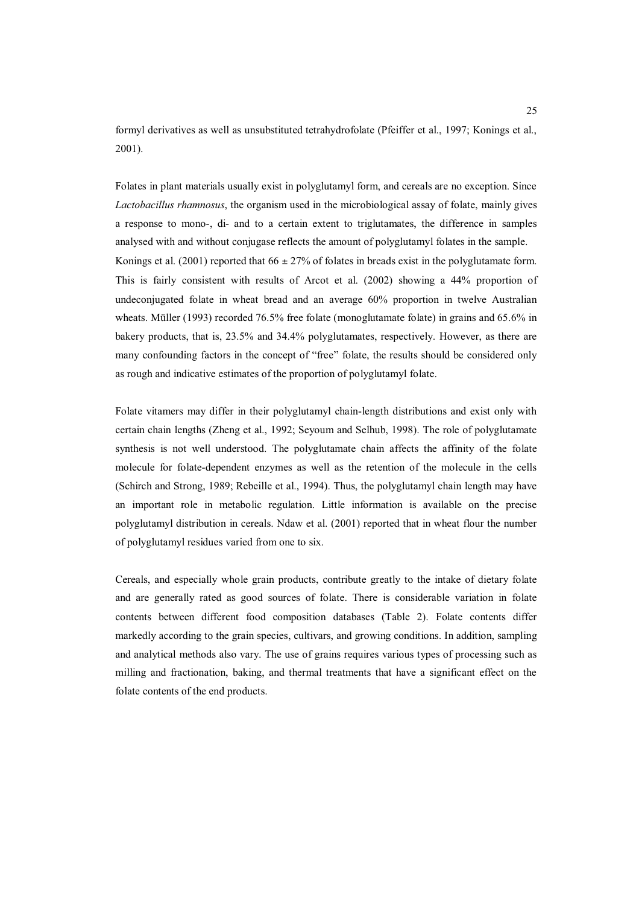formyl derivatives as well as unsubstituted tetrahydrofolate (Pfeiffer et al., 1997; Konings et al., 2001).

Folates in plant materials usually exist in polyglutamyl form, and cereals are no exception. Since *Lactobacillus rhamnosus*, the organism used in the microbiological assay of folate, mainly gives a response to mono-, di- and to a certain extent to triglutamates, the difference in samples analysed with and without conjugase reflects the amount of polyglutamyl folates in the sample. Konings et al. (2001) reported that  $66 \pm 27\%$  of folates in breads exist in the polyglutamate form. This is fairly consistent with results of Arcot et al. (2002) showing a 44% proportion of undeconjugated folate in wheat bread and an average 60% proportion in twelve Australian wheats. Müller (1993) recorded 76.5% free folate (monoglutamate folate) in grains and 65.6% in bakery products, that is, 23.5% and 34.4% polyglutamates, respectively. However, as there are many confounding factors in the concept of "free" folate, the results should be considered only as rough and indicative estimates of the proportion of polyglutamyl folate.

Folate vitamers may differ in their polyglutamyl chain-length distributions and exist only with certain chain lengths (Zheng et al., 1992; Seyoum and Selhub, 1998). The role of polyglutamate synthesis is not well understood. The polyglutamate chain affects the affinity of the folate molecule for folate-dependent enzymes as well as the retention of the molecule in the cells (Schirch and Strong, 1989; Rebeille et al., 1994). Thus, the polyglutamyl chain length may have an important role in metabolic regulation. Little information is available on the precise polyglutamyl distribution in cereals. Ndaw et al. (2001) reported that in wheat flour the number of polyglutamyl residues varied from one to six.

Cereals, and especially whole grain products, contribute greatly to the intake of dietary folate and are generally rated as good sources of folate. There is considerable variation in folate contents between different food composition databases (Table 2). Folate contents differ markedly according to the grain species, cultivars, and growing conditions. In addition, sampling and analytical methods also vary. The use of grains requires various types of processing such as milling and fractionation, baking, and thermal treatments that have a significant effect on the folate contents of the end products.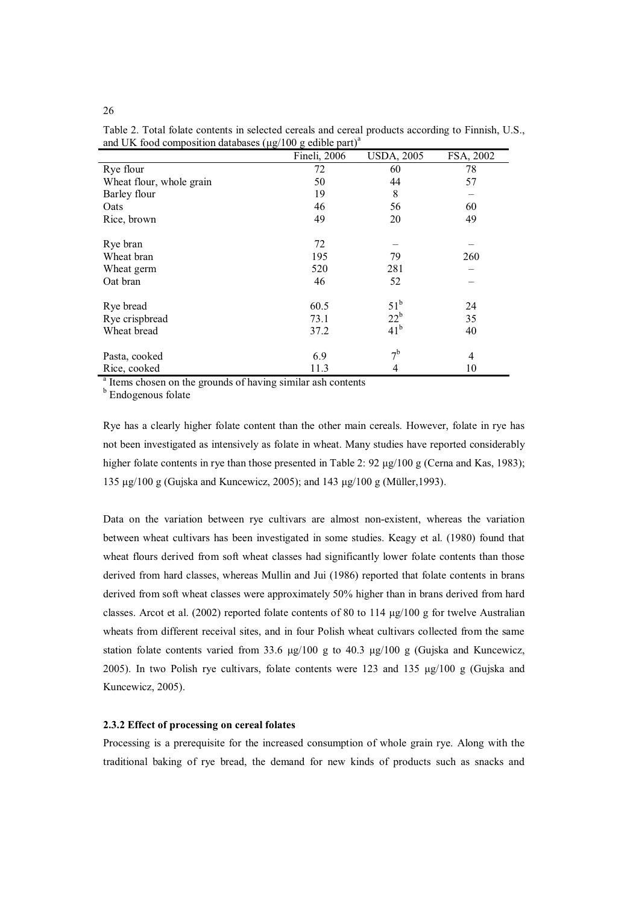|                          | Fineli, 2006 | <b>USDA, 2005</b> | FSA, 2002      |
|--------------------------|--------------|-------------------|----------------|
| Rye flour                | 72           | 60                | 78             |
| Wheat flour, whole grain | 50           | 44                | 57             |
| Barley flour             | 19           | 8                 |                |
| Oats                     | 46           | 56                | 60             |
| Rice, brown              | 49           | 20                | 49             |
| Rye bran                 | 72           |                   |                |
| Wheat bran               | 195          | 79                | 260            |
| Wheat germ               | 520          | 281               |                |
| Oat bran                 | 46           | 52                |                |
| Rye bread                | 60.5         | $51^{\rm b}$      | 24             |
| Rye crispbread           | 73.1         | $22^{\rm b}$      | 35             |
| Wheat bread              | 37.2         | 41 <sup>b</sup>   | 40             |
| Pasta, cooked            | 6.9          | 7 <sup>b</sup>    | $\overline{4}$ |
| Rice, cooked             | 11.3         | 4                 | 10             |

Table 2. Total folate contents in selected cereals and cereal products according to Finnish, U.S., and UK food composition databases ( $\mu$ g/100 g edible part)<sup>a</sup>

<sup>a</sup> Items chosen on the grounds of having similar ash contents

<sup>b</sup> Endogenous folate

Rye has a clearly higher folate content than the other main cereals. However, folate in rye has not been investigated as intensively as folate in wheat. Many studies have reported considerably higher folate contents in rye than those presented in Table 2: 92  $\mu$ g/100 g (Cerna and Kas, 1983); 135  $\mu$ g/100 g (Gujska and Kuncewicz, 2005); and 143  $\mu$ g/100 g (Müller, 1993).

Data on the variation between rye cultivars are almost non-existent, whereas the variation between wheat cultivars has been investigated in some studies. Keagy et al. (1980) found that wheat flours derived from soft wheat classes had significantly lower folate contents than those derived from hard classes, whereas Mullin and Jui (1986) reported that folate contents in brans derived from soft wheat classes were approximately 50% higher than in brans derived from hard classes. Arcot et al. (2002) reported folate contents of 80 to 114  $\mu$ g/100 g for twelve Australian wheats from different receival sites, and in four Polish wheat cultivars collected from the same station folate contents varied from 33.6  $\mu$ g/100 g to 40.3  $\mu$ g/100 g (Gujska and Kuncewicz, 2005). In two Polish rye cultivars, folate contents were 123 and 135  $\mu$ g/100 g (Gujska and Kuncewicz, 2005).

#### **2.3.2 Effect of processing on cereal folates**

Processing is a prerequisite for the increased consumption of whole grain rye. Along with the traditional baking of rye bread, the demand for new kinds of products such as snacks and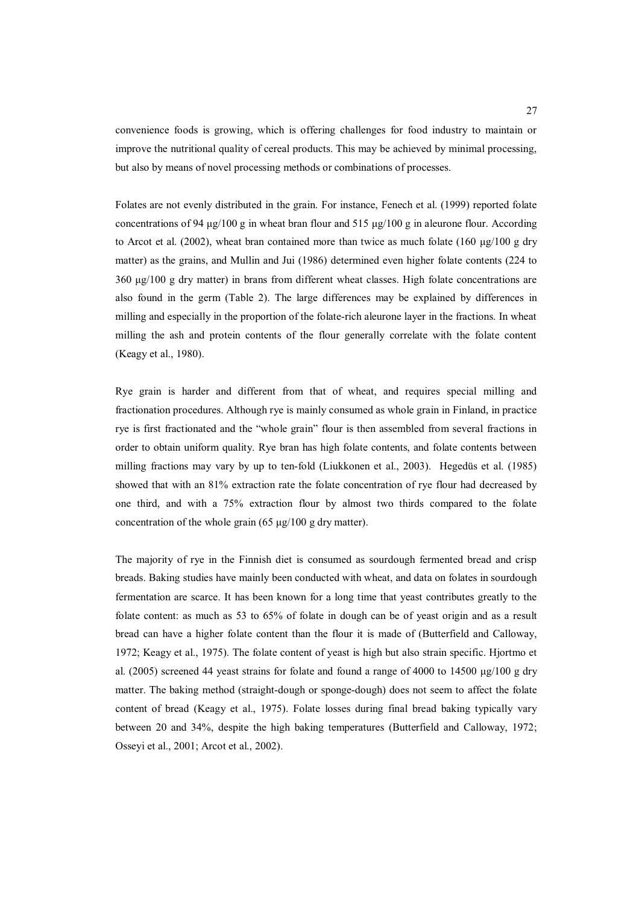convenience foods is growing, which is offering challenges for food industry to maintain or improve the nutritional quality of cereal products. This may be achieved by minimal processing, but also by means of novel processing methods or combinations of processes.

Folates are not evenly distributed in the grain. For instance, Fenech et al. (1999) reported folate concentrations of 94  $\mu$ g/100 g in wheat bran flour and 515  $\mu$ g/100 g in aleurone flour. According to Arcot et al. (2002), wheat bran contained more than twice as much folate (160  $\mu$ g/100 g dry matter) as the grains, and Mullin and Jui (1986) determined even higher folate contents (224 to  $360 \mu g/100 \text{ g}$  dry matter) in brans from different wheat classes. High folate concentrations are also found in the germ (Table 2). The large differences may be explained by differences in milling and especially in the proportion of the folate-rich aleurone layer in the fractions. In wheat milling the ash and protein contents of the flour generally correlate with the folate content (Keagy et al., 1980).

Rye grain is harder and different from that of wheat, and requires special milling and fractionation procedures. Although rye is mainly consumed as whole grain in Finland, in practice rye is first fractionated and the "whole grain" flour is then assembled from several fractions in order to obtain uniform quality. Rye bran has high folate contents, and folate contents between milling fractions may vary by up to ten-fold (Liukkonen et al., 2003). Hegedüs et al. (1985) showed that with an 81% extraction rate the folate concentration of rye flour had decreased by one third, and with a 75% extraction flour by almost two thirds compared to the folate concentration of the whole grain  $(65 \mu g/100 \text{ g dry matter})$ .

The majority of rye in the Finnish diet is consumed as sourdough fermented bread and crisp breads. Baking studies have mainly been conducted with wheat, and data on folates in sourdough fermentation are scarce. It has been known for a long time that yeast contributes greatly to the folate content: as much as 53 to 65% of folate in dough can be of yeast origin and as a result bread can have a higher folate content than the flour it is made of (Butterfield and Calloway, 1972; Keagy et al., 1975). The folate content of yeast is high but also strain specific. Hjortmo et al. (2005) screened 44 yeast strains for folate and found a range of 4000 to 14500  $\mu$ g/100 g dry matter. The baking method (straight-dough or sponge-dough) does not seem to affect the folate content of bread (Keagy et al., 1975). Folate losses during final bread baking typically vary between 20 and 34%, despite the high baking temperatures (Butterfield and Calloway, 1972; Osseyi et al., 2001; Arcot et al., 2002).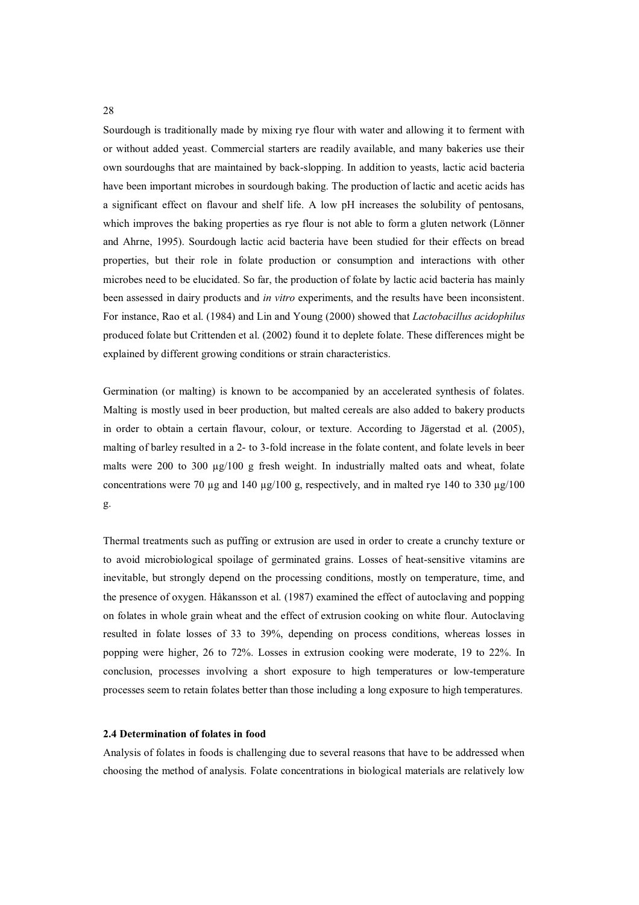Sourdough is traditionally made by mixing rye flour with water and allowing it to ferment with or without added yeast. Commercial starters are readily available, and many bakeries use their own sourdoughs that are maintained by back-slopping. In addition to yeasts, lactic acid bacteria have been important microbes in sourdough baking. The production of lactic and acetic acids has a significant effect on flavour and shelf life. A low pH increases the solubility of pentosans, which improves the baking properties as rye flour is not able to form a gluten network (Lönner and Ahrne, 1995). Sourdough lactic acid bacteria have been studied for their effects on bread properties, but their role in folate production or consumption and interactions with other microbes need to be elucidated. So far, the production of folate by lactic acid bacteria has mainly been assessed in dairy products and *in vitro* experiments, and the results have been inconsistent. For instance, Rao et al. (1984) and Lin and Young (2000) showed that *Lactobacillus acidophilus* produced folate but Crittenden et al. (2002) found it to deplete folate. These differences might be explained by different growing conditions or strain characteristics.

Germination (or malting) is known to be accompanied by an accelerated synthesis of folates. Malting is mostly used in beer production, but malted cereals are also added to bakery products in order to obtain a certain flavour, colour, or texture. According to Jägerstad et al. (2005), malting of barley resulted in a 2- to 3-fold increase in the folate content, and folate levels in beer malts were 200 to 300  $\mu$ g/100 g fresh weight. In industrially malted oats and wheat, folate concentrations were 70 µg and 140 µg/100 g, respectively, and in malted rye 140 to 330 µg/100 g.

Thermal treatments such as puffing or extrusion are used in order to create a crunchy texture or to avoid microbiological spoilage of germinated grains. Losses of heat-sensitive vitamins are inevitable, but strongly depend on the processing conditions, mostly on temperature, time, and the presence of oxygen. Håkansson et al. (1987) examined the effect of autoclaving and popping on folates in whole grain wheat and the effect of extrusion cooking on white flour. Autoclaving resulted in folate losses of 33 to 39%, depending on process conditions, whereas losses in popping were higher, 26 to 72%. Losses in extrusion cooking were moderate, 19 to 22%. In conclusion, processes involving a short exposure to high temperatures or low-temperature processes seem to retain folates better than those including a long exposure to high temperatures.

#### **2.4 Determination of folates in food**

Analysis of folates in foods is challenging due to several reasons that have to be addressed when choosing the method of analysis. Folate concentrations in biological materials are relatively low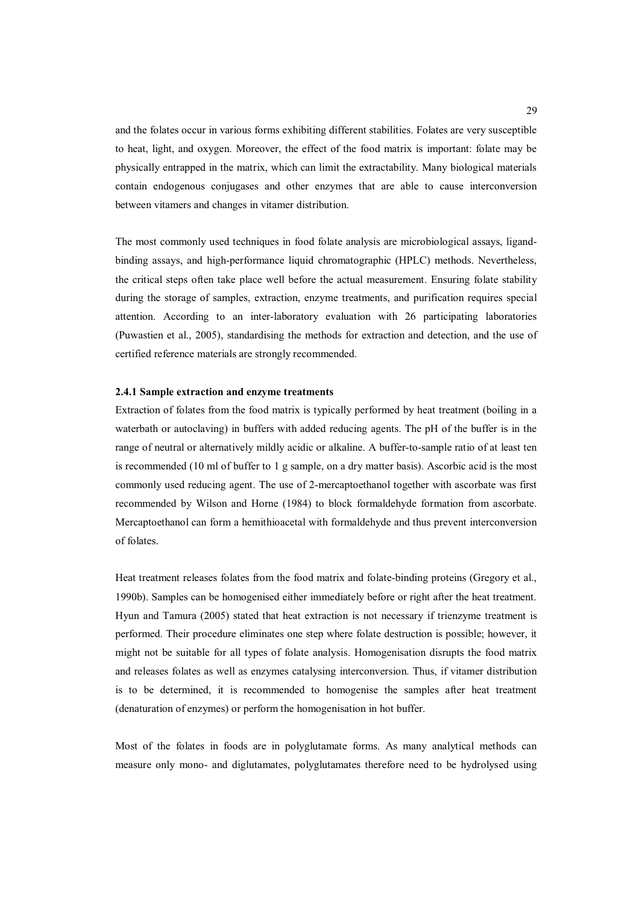and the folates occur in various forms exhibiting different stabilities. Folates are very susceptible to heat, light, and oxygen. Moreover, the effect of the food matrix is important: folate may be physically entrapped in the matrix, which can limit the extractability. Many biological materials contain endogenous conjugases and other enzymes that are able to cause interconversion between vitamers and changes in vitamer distribution.

The most commonly used techniques in food folate analysis are microbiological assays, ligandbinding assays, and high-performance liquid chromatographic (HPLC) methods. Nevertheless, the critical steps often take place well before the actual measurement. Ensuring folate stability during the storage of samples, extraction, enzyme treatments, and purification requires special attention. According to an inter-laboratory evaluation with 26 participating laboratories (Puwastien et al., 2005), standardising the methods for extraction and detection, and the use of certified reference materials are strongly recommended.

#### **2.4.1 Sample extraction and enzyme treatments**

Extraction of folates from the food matrix is typically performed by heat treatment (boiling in a waterbath or autoclaving) in buffers with added reducing agents. The pH of the buffer is in the range of neutral or alternatively mildly acidic or alkaline. A buffer-to-sample ratio of at least ten is recommended (10 ml of buffer to 1 g sample, on a dry matter basis). Ascorbic acid is the most commonly used reducing agent. The use of 2-mercaptoethanol together with ascorbate was first recommended by Wilson and Horne (1984) to block formaldehyde formation from ascorbate. Mercaptoethanol can form a hemithioacetal with formaldehyde and thus prevent interconversion of folates.

Heat treatment releases folates from the food matrix and folate-binding proteins (Gregory et al., 1990b). Samples can be homogenised either immediately before or right after the heat treatment. Hyun and Tamura (2005) stated that heat extraction is not necessary if trienzyme treatment is performed. Their procedure eliminates one step where folate destruction is possible; however, it might not be suitable for all types of folate analysis. Homogenisation disrupts the food matrix and releases folates as well as enzymes catalysing interconversion. Thus, if vitamer distribution is to be determined, it is recommended to homogenise the samples after heat treatment (denaturation of enzymes) or perform the homogenisation in hot buffer.

Most of the folates in foods are in polyglutamate forms. As many analytical methods can measure only mono- and diglutamates, polyglutamates therefore need to be hydrolysed using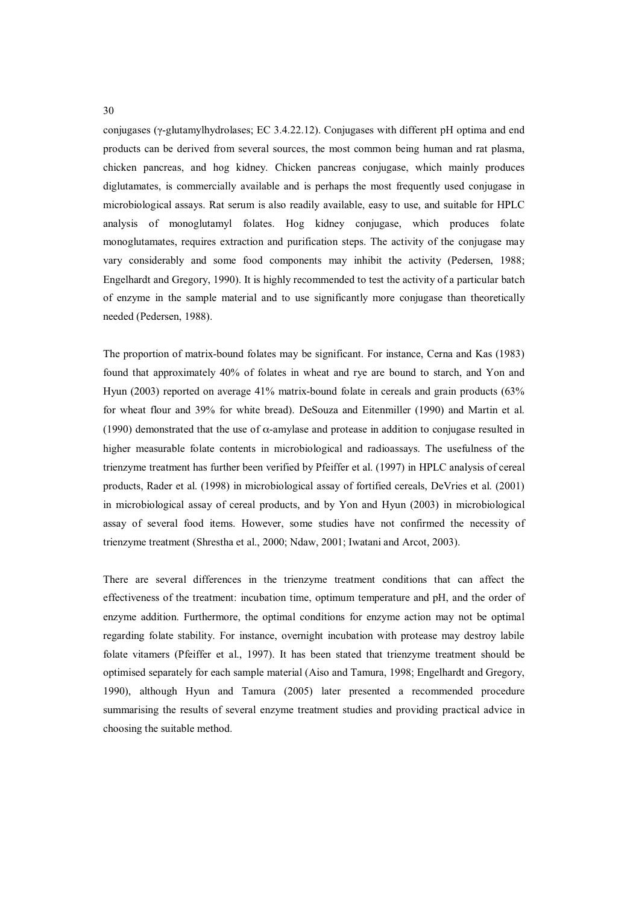conjugases ( $\gamma$ -glutamylhydrolases; EC 3.4.22.12). Conjugases with different pH optima and end products can be derived from several sources, the most common being human and rat plasma, chicken pancreas, and hog kidney. Chicken pancreas conjugase, which mainly produces diglutamates, is commercially available and is perhaps the most frequently used conjugase in microbiological assays. Rat serum is also readily available, easy to use, and suitable for HPLC analysis of monoglutamyl folates. Hog kidney conjugase, which produces folate monoglutamates, requires extraction and purification steps. The activity of the conjugase may vary considerably and some food components may inhibit the activity (Pedersen, 1988; Engelhardt and Gregory, 1990). It is highly recommended to test the activity of a particular batch of enzyme in the sample material and to use significantly more conjugase than theoretically needed (Pedersen, 1988).

The proportion of matrix-bound folates may be significant. For instance, Cerna and Kas (1983) found that approximately 40% of folates in wheat and rye are bound to starch, and Yon and Hyun (2003) reported on average 41% matrix-bound folate in cereals and grain products (63% for wheat flour and 39% for white bread). DeSouza and Eitenmiller (1990) and Martin et al. (1990) demonstrated that the use of  $\alpha$ -amylase and protease in addition to conjugase resulted in higher measurable folate contents in microbiological and radioassays. The usefulness of the trienzyme treatment has further been verified by Pfeiffer et al. (1997) in HPLC analysis of cereal products, Rader et al. (1998) in microbiological assay of fortified cereals, DeVries et al. (2001) in microbiological assay of cereal products, and by Yon and Hyun (2003) in microbiological assay of several food items. However, some studies have not confirmed the necessity of trienzyme treatment (Shrestha et al., 2000; Ndaw, 2001; Iwatani and Arcot, 2003).

There are several differences in the trienzyme treatment conditions that can affect the effectiveness of the treatment: incubation time, optimum temperature and pH, and the order of enzyme addition. Furthermore, the optimal conditions for enzyme action may not be optimal regarding folate stability. For instance, overnight incubation with protease may destroy labile folate vitamers (Pfeiffer et al., 1997). It has been stated that trienzyme treatment should be optimised separately for each sample material (Aiso and Tamura, 1998; Engelhardt and Gregory, 1990), although Hyun and Tamura (2005) later presented a recommended procedure summarising the results of several enzyme treatment studies and providing practical advice in choosing the suitable method.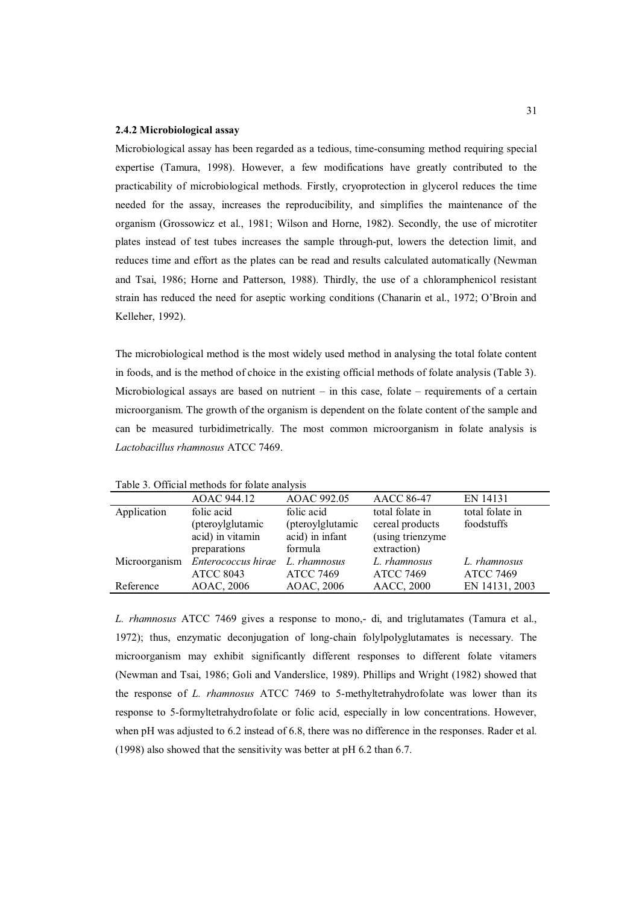#### **2.4.2 Microbiological assay**

Microbiological assay has been regarded as a tedious, time-consuming method requiring special expertise (Tamura, 1998). However, a few modifications have greatly contributed to the practicability of microbiological methods. Firstly, cryoprotection in glycerol reduces the time needed for the assay, increases the reproducibility, and simplifies the maintenance of the organism (Grossowicz et al., 1981; Wilson and Horne, 1982). Secondly, the use of microtiter plates instead of test tubes increases the sample through-put, lowers the detection limit, and reduces time and effort as the plates can be read and results calculated automatically (Newman and Tsai, 1986; Horne and Patterson, 1988). Thirdly, the use of a chloramphenicol resistant strain has reduced the need for aseptic working conditions (Chanarin et al., 1972; O'Broin and Kelleher, 1992).

The microbiological method is the most widely used method in analysing the total folate content in foods, and is the method of choice in the existing official methods of folate analysis (Table 3). Microbiological assays are based on nutrient  $-$  in this case, folate  $-$  requirements of a certain microorganism. The growth of the organism is dependent on the folate content of the sample and can be measured turbidimetrically. The most common microorganism in folate analysis is *Lactobacillus rhamnosus* ATCC 7469.

|               | AOAC 944.12        | AOAC 992.05      | <b>AACC 86-47</b> | EN 14131         |
|---------------|--------------------|------------------|-------------------|------------------|
| Application   | folic acid         | folic acid       | total folate in   | total folate in  |
|               | (pteroylglutamic   | (pteroylglutamic | cereal products   | foodstuffs       |
|               | acid) in vitamin   | acid) in infant  | (using trienzyme  |                  |
|               | preparations       | formula          | extraction)       |                  |
| Microorganism | Enterococcus hirae | L. rhamnosus     | L. rhamnosus      | L. rhamnosus     |
|               | <b>ATCC 8043</b>   | <b>ATCC 7469</b> | <b>ATCC 7469</b>  | <b>ATCC 7469</b> |
| Reference     | AOAC, 2006         | AOAC, 2006       | <b>AACC, 2000</b> | EN 14131, 2003   |

Table 3. Official methods for folate analysis

*L. rhamnosus* ATCC 7469 gives a response to mono,- di, and triglutamates (Tamura et al., 1972); thus, enzymatic deconjugation of long-chain folylpolyglutamates is necessary. The microorganism may exhibit significantly different responses to different folate vitamers (Newman and Tsai, 1986; Goli and Vanderslice, 1989). Phillips and Wright (1982) showed that the response of *L. rhamnosus* ATCC 7469 to 5-methyltetrahydrofolate was lower than its response to 5-formyltetrahydrofolate or folic acid, especially in low concentrations. However, when pH was adjusted to 6.2 instead of 6.8, there was no difference in the responses. Rader et al. (1998) also showed that the sensitivity was better at pH 6.2 than 6.7.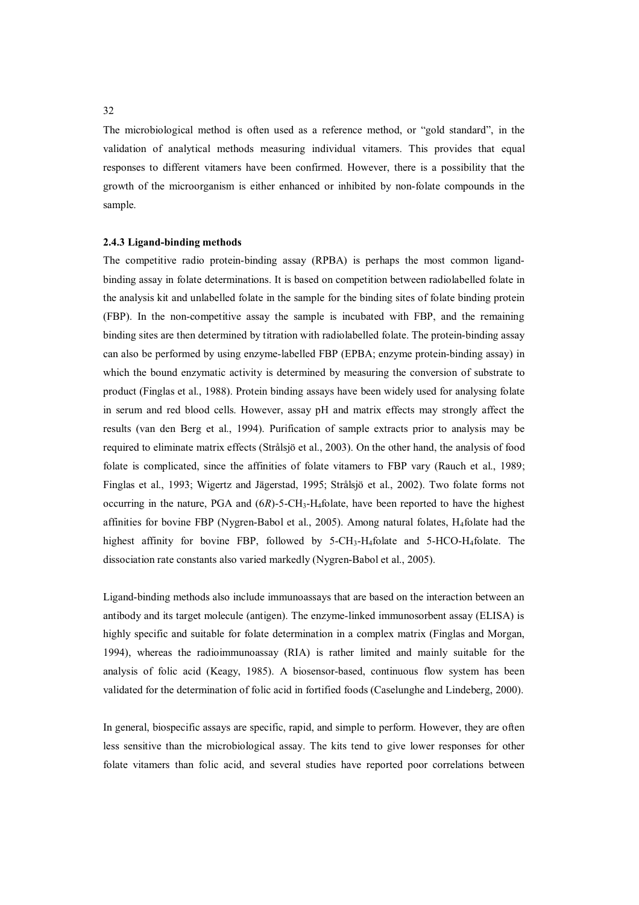The microbiological method is often used as a reference method, or "gold standard", in the validation of analytical methods measuring individual vitamers. This provides that equal responses to different vitamers have been confirmed. However, there is a possibility that the growth of the microorganism is either enhanced or inhibited by non-folate compounds in the sample.

#### **2.4.3 Ligand-binding methods**

The competitive radio protein-binding assay (RPBA) is perhaps the most common ligandbinding assay in folate determinations. It is based on competition between radiolabelled folate in the analysis kit and unlabelled folate in the sample for the binding sites of folate binding protein (FBP). In the non-competitive assay the sample is incubated with FBP, and the remaining binding sites are then determined by titration with radiolabelled folate. The protein-binding assay can also be performed by using enzyme-labelled FBP (EPBA; enzyme protein-binding assay) in which the bound enzymatic activity is determined by measuring the conversion of substrate to product (Finglas et al., 1988). Protein binding assays have been widely used for analysing folate in serum and red blood cells. However, assay pH and matrix effects may strongly affect the results (van den Berg et al., 1994). Purification of sample extracts prior to analysis may be required to eliminate matrix effects (Strålsjö et al., 2003). On the other hand, the analysis of food folate is complicated, since the affinities of folate vitamers to FBP vary (Rauch et al., 1989; Finglas et al., 1993; Wigertz and Jägerstad, 1995; Strålsjö et al., 2002). Two folate forms not occurring in the nature, PGA and  $(6R)$ -5-CH<sub>3</sub>-H<sub>4</sub>folate, have been reported to have the highest affinities for bovine FBP (Nygren-Babol et al., 2005). Among natural folates, H4folate had the highest affinity for bovine FBP, followed by  $5\text{-CH}_3\text{-H}_4$  folate and  $5\text{-HCO}-\text{H}_4$  folate. The dissociation rate constants also varied markedly (Nygren-Babol et al., 2005).

Ligand-binding methods also include immunoassays that are based on the interaction between an antibody and its target molecule (antigen). The enzyme-linked immunosorbent assay (ELISA) is highly specific and suitable for folate determination in a complex matrix (Finglas and Morgan, 1994), whereas the radioimmunoassay (RIA) is rather limited and mainly suitable for the analysis of folic acid (Keagy, 1985). A biosensor-based, continuous flow system has been validated for the determination of folic acid in fortified foods (Caselunghe and Lindeberg, 2000).

In general, biospecific assays are specific, rapid, and simple to perform. However, they are often less sensitive than the microbiological assay. The kits tend to give lower responses for other folate vitamers than folic acid, and several studies have reported poor correlations between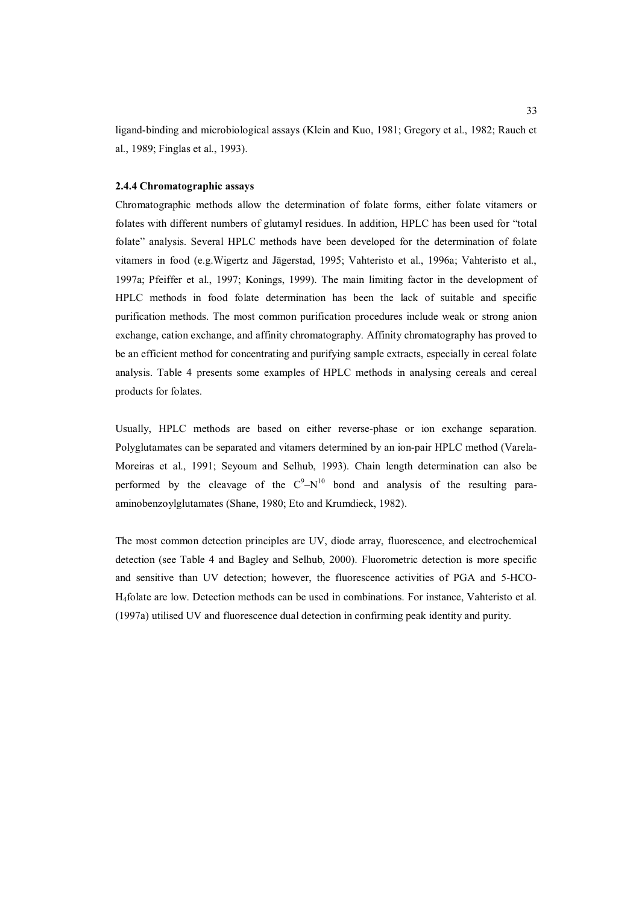ligand-binding and microbiological assays (Klein and Kuo, 1981; Gregory et al., 1982; Rauch et al., 1989; Finglas et al., 1993).

#### **2.4.4 Chromatographic assays**

Chromatographic methods allow the determination of folate forms, either folate vitamers or folates with different numbers of glutamyl residues. In addition, HPLC has been used for "total folate" analysis. Several HPLC methods have been developed for the determination of folate vitamers in food (e.g.Wigertz and Jägerstad, 1995; Vahteristo et al., 1996a; Vahteristo et al., 1997a; Pfeiffer et al., 1997; Konings, 1999). The main limiting factor in the development of HPLC methods in food folate determination has been the lack of suitable and specific purification methods. The most common purification procedures include weak or strong anion exchange, cation exchange, and affinity chromatography. Affinity chromatography has proved to be an efficient method for concentrating and purifying sample extracts, especially in cereal folate analysis. Table 4 presents some examples of HPLC methods in analysing cereals and cereal products for folates.

Usually, HPLC methods are based on either reverse-phase or ion exchange separation. Polyglutamates can be separated and vitamers determined by an ion-pair HPLC method (Varela-Moreiras et al., 1991; Seyoum and Selhub, 1993). Chain length determination can also be performed by the cleavage of the  $C^9 - N^{10}$  bond and analysis of the resulting paraaminobenzoylglutamates (Shane, 1980; Eto and Krumdieck, 1982).

The most common detection principles are UV, diode array, fluorescence, and electrochemical detection (see Table 4 and Bagley and Selhub, 2000). Fluorometric detection is more specific and sensitive than UV detection; however, the fluorescence activities of PGA and 5-HCO-H4folate are low. Detection methods can be used in combinations. For instance, Vahteristo et al. (1997a) utilised UV and fluorescence dual detection in confirming peak identity and purity.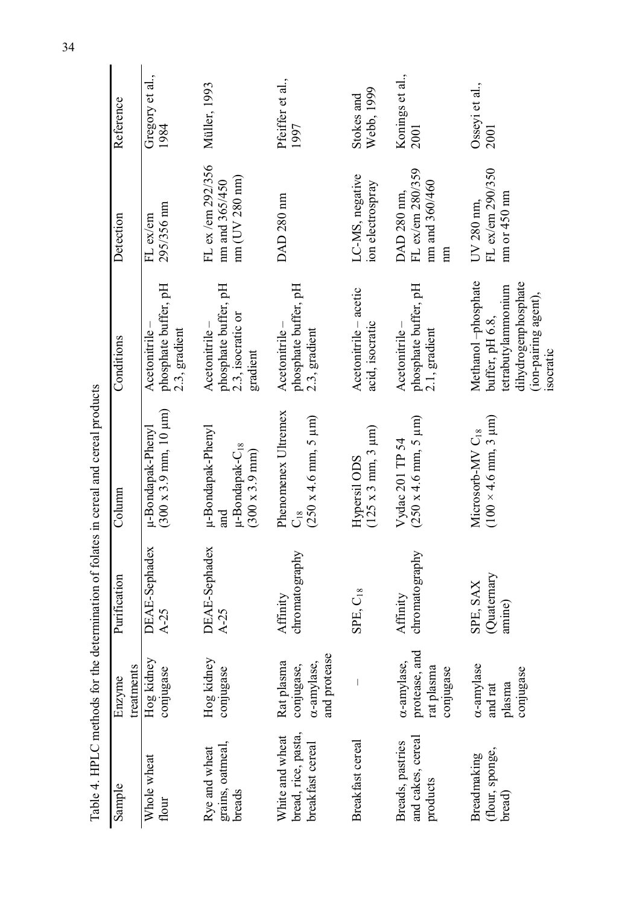|                                                            |                                                      |                                  | Table 4. HPLC methods for the determination of folates in cereal and cereal products       |                                                                                                                         |                                                        |                          |
|------------------------------------------------------------|------------------------------------------------------|----------------------------------|--------------------------------------------------------------------------------------------|-------------------------------------------------------------------------------------------------------------------------|--------------------------------------------------------|--------------------------|
| Sample                                                     | treatments<br>Enzyme                                 | Purification                     | Column                                                                                     | Conditions                                                                                                              | Detection                                              | Reference                |
| Whole wheat<br>flour                                       | Hog kidney<br>conjugase                              | <b>DEAE-Sephadex</b><br>$A - 25$ | $(300 \times 3.9 \text{ mm}, 10 \text{ }\mu\text{m})$<br>µ-Bondapak-Phenyl                 | phosphate buffer, pH<br>2.3, gradient<br>Acetonitrile                                                                   | 295/356 nm<br>FL ex/em                                 | Gregory et al.,<br>1984  |
| grains, oatmeal,<br>breads<br>Rye and wheat                | Hog kidney<br>conjugase                              | <b>DEAE-Sephadex</b><br>$A-25$   | µ-Bondapak-Phenyl<br>$\mu$ -Bondapak- $C_{18}$<br>$(300 \times 3.9 \text{ mm})$<br>and     | phosphate buffer, pH<br>2.3, isocratic or<br>Acetonitrile-<br>gradient                                                  | FL ex/em 292/356<br>mm (UV 280 nm)<br>nm and 365/450   | Müller, 1993             |
| bread, rice, pasta,<br>White and wheat<br>breakfast cereal | and protease<br>Rat plasma<br>amylase,<br>conjugase, | hromatography<br>Affinity        | Phenomenex<br>Ultremex<br>$(250 \times 4.6 \text{ mm}, 5 \text{ }\mu\text{m})$<br>$C_{18}$ | phosphate buffer, pH<br>Acetonitrile-<br>2.3, gradient                                                                  | DAD 280 nm                                             | Pfeiffer et al.,<br>1997 |
| Breakfast cereal                                           |                                                      | SPE, C <sub>18</sub>             | $(125 \times 3 \text{ mm}, 3 \text{ µm})$<br>Hypersil ODS                                  | Acetonitrile - acetic<br>acid, isocratic                                                                                | LC-MS, negative<br>ion electrospray                    | Webb, 1999<br>Stokes and |
| and cakes, cereal<br>Breads, pastries<br>products          | protease, and<br>amylase,<br>rat plasma<br>conjugase | chromatography<br>Affinity       | $(250 \times 4.6 \text{ mm}, 5 \text{ }\mu\text{m})$<br>Vydac 201 TP 54                    | phosphate buffer, pH<br>Acetonitrile-<br>2.1, gradient                                                                  | FL ex/em 280/359<br>mm and 360/460<br>DAD 280 nm,<br>m | Konings et al.,<br>2001  |
| (flour, sponge,<br>Breadmaking<br>bread)                   | amylase<br>conjugase<br>plasma<br>and rat            | Quaternary<br>SPE, SAX<br>amine) | $(100 \times 4.6 \text{ mm}, 3 \text{ }\mu\text{m})$<br>Microsorb-MV C <sub>18</sub>       | Methanol-phosphate<br>dihydrogenphosphate<br>tetrabutylammonium<br>(ion-pairing agent),<br>buffer, pH 6.8,<br>isocratic | FL ex/em 290/350<br>nm or 450 nm<br>UV 280 nm,         | Osseyi et al.,<br>2001   |

34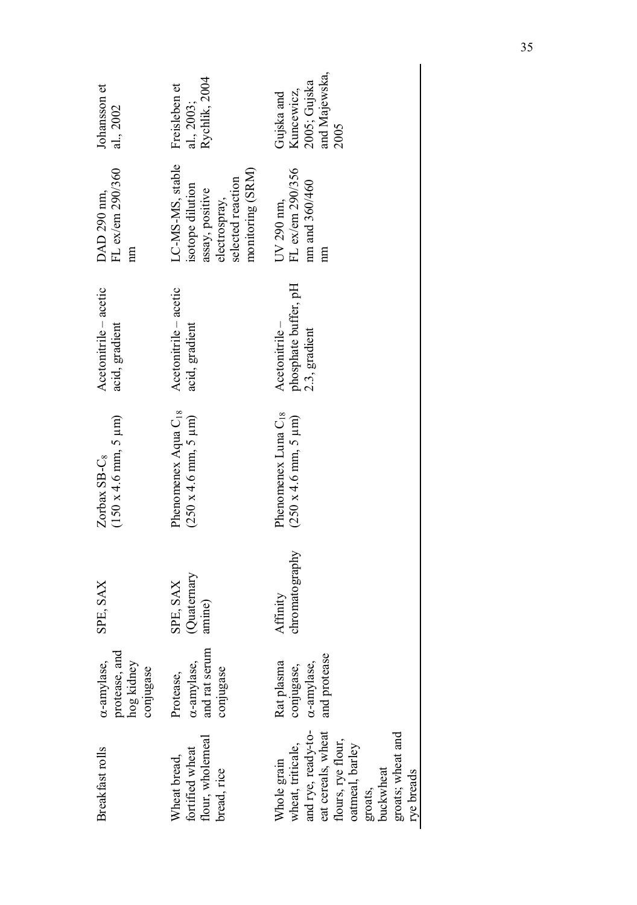| Breakfast rolls                                                                                                                                                                  | protease, and<br>hog kidney<br>c-amylase,<br>conjugase | SPE, SAX                        | $(150 x 4.6 mm, 5 \mu m)$<br>Zorbax SB-C <sub>8</sub>                                   | Acetonitrile - acetic<br>acid, gradient                | FL ex/em 290/360<br>DAD 290 nm,<br>$\mathbf{m}$                                                                   | Johansson et<br>al., 2002                                         |
|----------------------------------------------------------------------------------------------------------------------------------------------------------------------------------|--------------------------------------------------------|---------------------------------|-----------------------------------------------------------------------------------------|--------------------------------------------------------|-------------------------------------------------------------------------------------------------------------------|-------------------------------------------------------------------|
| flour, wholemeal<br>fortified wheat<br>Wheat bread,<br>bread, rice                                                                                                               | and rat serum<br>a-amylase,<br>conjugase<br>Protease,  | Quatemary<br>SPE, SAX<br>amine) | Phenomenex Aqua C <sub>18</sub><br>$(250 \times 4.6 \text{ mm}, 5 \text{ }\mu\text{m})$ | Acetonitrile – acetic<br>acid, gradient                | LC-MS-MS, stable<br>monitoring (SRM)<br>selected reaction<br>isotope dilution<br>assay, positive<br>electrospray, | Rychlik, 2004<br>Freisleben et<br>al., 2003;                      |
| and rye, ready-to-<br>eat cereals, wheat<br>groats; wheat and<br>flours, rye flour,<br>wheat, triticale,<br>oatmeal, barley<br>Whole grain<br>buckwheat<br>rye breads<br>groats, | and protease<br>Rat plasma<br>c-amylase,<br>conjugase, | chromatography<br>Affinity      | Phenomenex Luna C <sub>18</sub><br>$(250 \times 4.6 \text{ mm}, 5 \text{ }\mu\text{m})$ | phosphate buffer, pH<br>2.3, gradient<br>Acetonitrile- | FL ex/em 290/356<br>nm and 360/460<br>UV 290 nm,<br>m                                                             | and Majewska,<br>2005; Gujska<br>Kuncewicz,<br>Gujska and<br>2005 |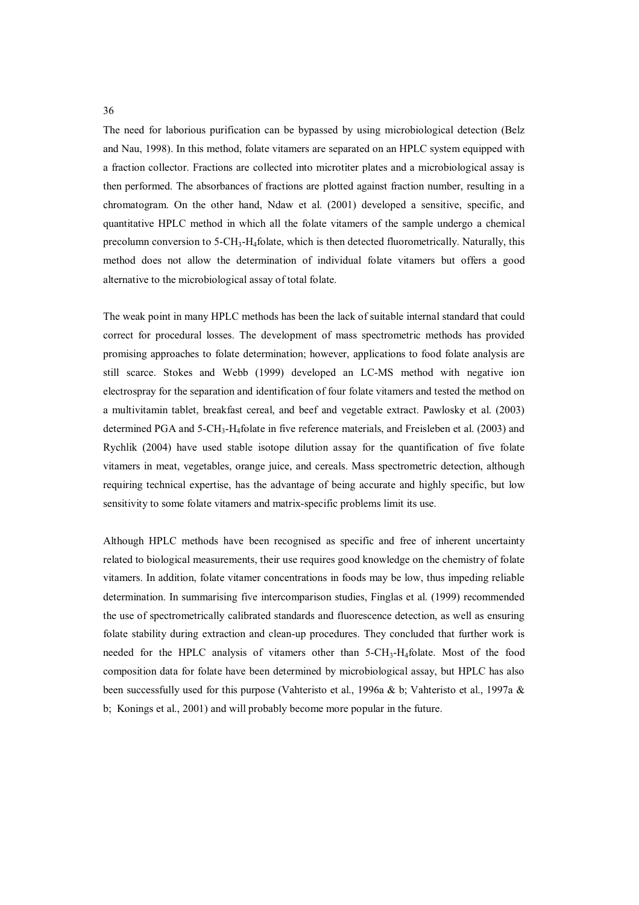The need for laborious purification can be bypassed by using microbiological detection (Belz and Nau, 1998). In this method, folate vitamers are separated on an HPLC system equipped with a fraction collector. Fractions are collected into microtiter plates and a microbiological assay is then performed. The absorbances of fractions are plotted against fraction number, resulting in a chromatogram. On the other hand, Ndaw et al. (2001) developed a sensitive, specific, and quantitative HPLC method in which all the folate vitamers of the sample undergo a chemical precolumn conversion to 5-CH3-H4folate, which is then detected fluorometrically. Naturally, this method does not allow the determination of individual folate vitamers but offers a good alternative to the microbiological assay of total folate.

The weak point in many HPLC methods has been the lack of suitable internal standard that could correct for procedural losses. The development of mass spectrometric methods has provided promising approaches to folate determination; however, applications to food folate analysis are still scarce. Stokes and Webb (1999) developed an LC-MS method with negative ion electrospray for the separation and identification of four folate vitamers and tested the method on a multivitamin tablet, breakfast cereal, and beef and vegetable extract. Pawlosky et al. (2003) determined PGA and  $5\text{-CH}_3\text{-H}_4$ folate in five reference materials, and Freisleben et al. (2003) and Rychlik (2004) have used stable isotope dilution assay for the quantification of five folate vitamers in meat, vegetables, orange juice, and cereals. Mass spectrometric detection, although requiring technical expertise, has the advantage of being accurate and highly specific, but low sensitivity to some folate vitamers and matrix-specific problems limit its use.

Although HPLC methods have been recognised as specific and free of inherent uncertainty related to biological measurements, their use requires good knowledge on the chemistry of folate vitamers. In addition, folate vitamer concentrations in foods may be low, thus impeding reliable determination. In summarising five intercomparison studies, Finglas et al. (1999) recommended the use of spectrometrically calibrated standards and fluorescence detection, as well as ensuring folate stability during extraction and clean-up procedures. They concluded that further work is needed for the HPLC analysis of vitamers other than  $5\text{-CH}_3\text{-H}_4$  folate. Most of the food composition data for folate have been determined by microbiological assay, but HPLC has also been successfully used for this purpose (Vahteristo et al., 1996a & b; Vahteristo et al., 1997a & b; Konings et al., 2001) and will probably become more popular in the future.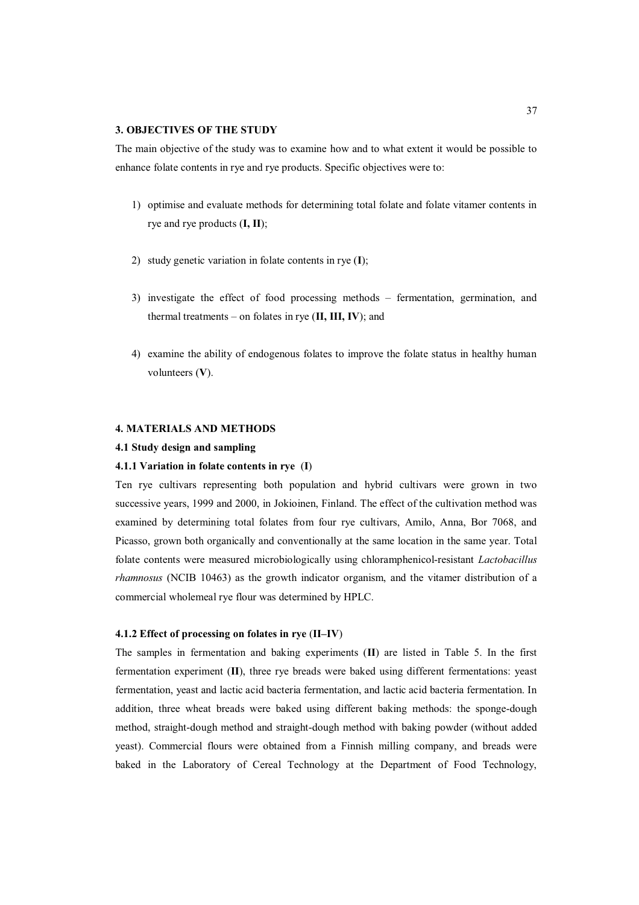### **3. OBJECTIVES OF THE STUDY**

The main objective of the study was to examine how and to what extent it would be possible to enhance folate contents in rye and rye products. Specific objectives were to:

- 1) optimise and evaluate methods for determining total folate and folate vitamer contents in rye and rye products (**I, II**);
- 2) study genetic variation in folate contents in rye (**I**);
- 3) investigate the effect of food processing methods fermentation, germination, and thermal treatments – on folates in rye (**II, III, IV**); and
- 4) examine the ability of endogenous folates to improve the folate status in healthy human volunteers (**V**).

## **4. MATERIALS AND METHODS**

### **4.1 Study design and sampling**

### **4.1.1 Variation in folate contents in rye** (**I**)

Ten rye cultivars representing both population and hybrid cultivars were grown in two successive years, 1999 and 2000, in Jokioinen, Finland. The effect of the cultivation method was examined by determining total folates from four rye cultivars, Amilo, Anna, Bor 7068, and Picasso, grown both organically and conventionally at the same location in the same year. Total folate contents were measured microbiologically using chloramphenicol-resistant *Lactobacillus rhamnosus* (NCIB 10463) as the growth indicator organism, and the vitamer distribution of a commercial wholemeal rye flour was determined by HPLC.

### **4.1.2 Effect of processing on folates in rye** (**II–IV**)

The samples in fermentation and baking experiments (**II**) are listed in Table 5. In the first fermentation experiment (**II**), three rye breads were baked using different fermentations: yeast fermentation, yeast and lactic acid bacteria fermentation, and lactic acid bacteria fermentation. In addition, three wheat breads were baked using different baking methods: the sponge-dough method, straight-dough method and straight-dough method with baking powder (without added yeast). Commercial flours were obtained from a Finnish milling company, and breads were baked in the Laboratory of Cereal Technology at the Department of Food Technology,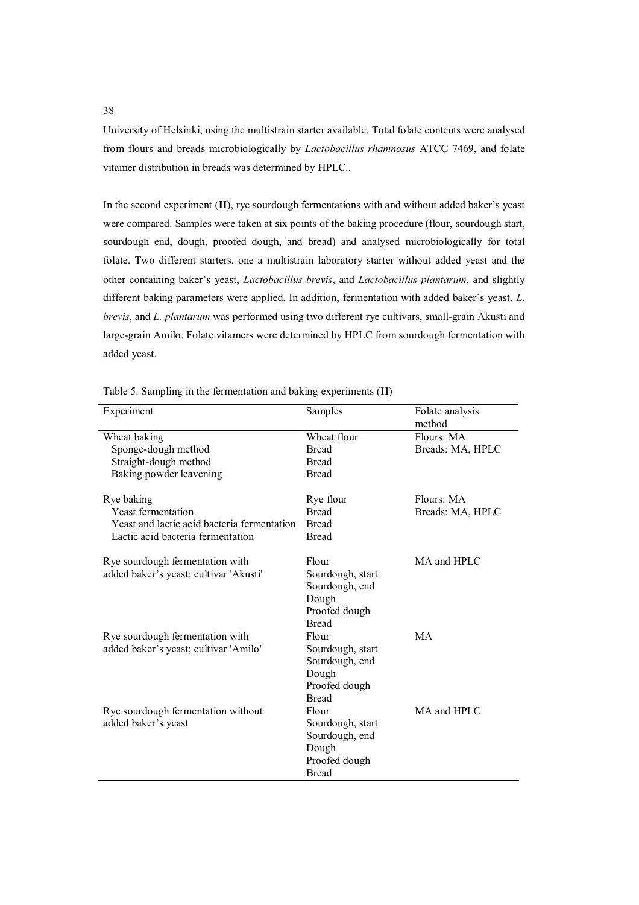University of Helsinki, using the multistrain starter available. Total folate contents were analysed from flours and breads microbiologically by *Lactobacillus rhamnosus* ATCC 7469, and folate vitamer distribution in breads was determined by HPLC..

In the second experiment (**II**), rye sourdough fermentations with and without added baker's yeast were compared. Samples were taken at six points of the baking procedure (flour, sourdough start, sourdough end, dough, proofed dough, and bread) and analysed microbiologically for total folate. Two different starters, one a multistrain laboratory starter without added yeast and the other containing baker's yeast, *Lactobacillus brevis*, and *Lactobacillus plantarum*, and slightly different baking parameters were applied. In addition, fermentation with added baker's yeast, *L. brevis*, and *L. plantarum* was performed using two different rye cultivars, small-grain Akusti and large-grain Amilo. Folate vitamers were determined by HPLC from sourdough fermentation with added yeast.

| Experiment                                  | Samples          | Folate analysis  |
|---------------------------------------------|------------------|------------------|
|                                             |                  | method           |
| Wheat baking                                | Wheat flour      | Flours: MA       |
| Sponge-dough method                         | <b>Bread</b>     | Breads: MA, HPLC |
| Straight-dough method                       | <b>Bread</b>     |                  |
| Baking powder leavening                     | <b>Bread</b>     |                  |
|                                             |                  |                  |
| Rye baking                                  | Rye flour        | Flours: MA       |
| <b>Yeast fermentation</b>                   | <b>Bread</b>     | Breads: MA, HPLC |
| Yeast and lactic acid bacteria fermentation | <b>Bread</b>     |                  |
| Lactic acid bacteria fermentation           | <b>Bread</b>     |                  |
| Rye sourdough fermentation with             | Flour            | MA and HPLC      |
| added baker's yeast; cultivar 'Akusti'      | Sourdough, start |                  |
|                                             | Sourdough, end   |                  |
|                                             | Dough            |                  |
|                                             | Proofed dough    |                  |
|                                             | <b>Bread</b>     |                  |
|                                             | Flour            | MA               |
| Rye sourdough fermentation with             |                  |                  |
| added baker's yeast; cultivar 'Amilo'       | Sourdough, start |                  |
|                                             | Sourdough, end   |                  |
|                                             | Dough            |                  |
|                                             | Proofed dough    |                  |
|                                             | <b>Bread</b>     |                  |
| Rye sourdough fermentation without          | Flour            | MA and HPLC      |
| added baker's yeast                         | Sourdough, start |                  |
|                                             | Sourdough, end   |                  |
|                                             | Dough            |                  |
|                                             | Proofed dough    |                  |
|                                             | <b>Bread</b>     |                  |

Table 5. Sampling in the fermentation and baking experiments (**II**)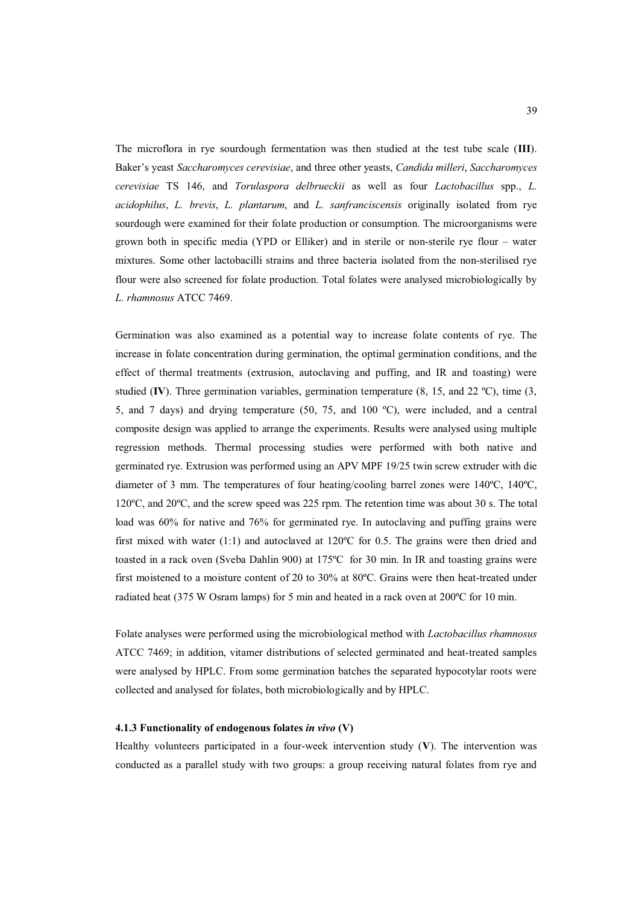The microflora in rye sourdough fermentation was then studied at the test tube scale (**III**). Baker's yeast *Saccharomyces cerevisiae*, and three other yeasts, *Candida milleri*, *Saccharomyces cerevisiae* TS 146, and *Torulaspora delbrueckii* as well as four *Lactobacillus* spp., *L. acidophilus*, *L. brevis*, *L. plantarum*, and *L. sanfranciscensis* originally isolated from rye sourdough were examined for their folate production or consumption. The microorganisms were grown both in specific media (YPD or Elliker) and in sterile or non-sterile rye flour – water mixtures. Some other lactobacilli strains and three bacteria isolated from the non-sterilised rye flour were also screened for folate production. Total folates were analysed microbiologically by *L. rhamnosus* ATCC 7469.

Germination was also examined as a potential way to increase folate contents of rye. The increase in folate concentration during germination, the optimal germination conditions, and the effect of thermal treatments (extrusion, autoclaving and puffing, and IR and toasting) were studied (**IV**). Three germination variables, germination temperature  $(8, 15, \text{ and } 22 \text{ °C})$ , time  $(3, \text{)}$ 5, and 7 days) and drying temperature (50, 75, and 100 ºC), were included, and a central composite design was applied to arrange the experiments. Results were analysed using multiple regression methods. Thermal processing studies were performed with both native and germinated rye. Extrusion was performed using an APV MPF 19/25 twin screw extruder with die diameter of 3 mm. The temperatures of four heating/cooling barrel zones were 140ºC, 140ºC, 120ºC, and 20ºC, and the screw speed was 225 rpm. The retention time was about 30 s. The total load was 60% for native and 76% for germinated rye. In autoclaving and puffing grains were first mixed with water  $(1:1)$  and autoclaved at 120 $^{\circ}$ C for 0.5. The grains were then dried and toasted in a rack oven (Sveba Dahlin 900) at 175ºC for 30 min. In IR and toasting grains were first moistened to a moisture content of 20 to 30% at 80ºC. Grains were then heat-treated under radiated heat (375 W Osram lamps) for 5 min and heated in a rack oven at 200ºC for 10 min.

Folate analyses were performed using the microbiological method with *Lactobacillus rhamnosus* ATCC 7469; in addition, vitamer distributions of selected germinated and heat-treated samples were analysed by HPLC. From some germination batches the separated hypocotylar roots were collected and analysed for folates, both microbiologically and by HPLC.

# **4.1.3 Functionality of endogenous folates** *in vivo* **(V)**

Healthy volunteers participated in a four-week intervention study (**V**). The intervention was conducted as a parallel study with two groups: a group receiving natural folates from rye and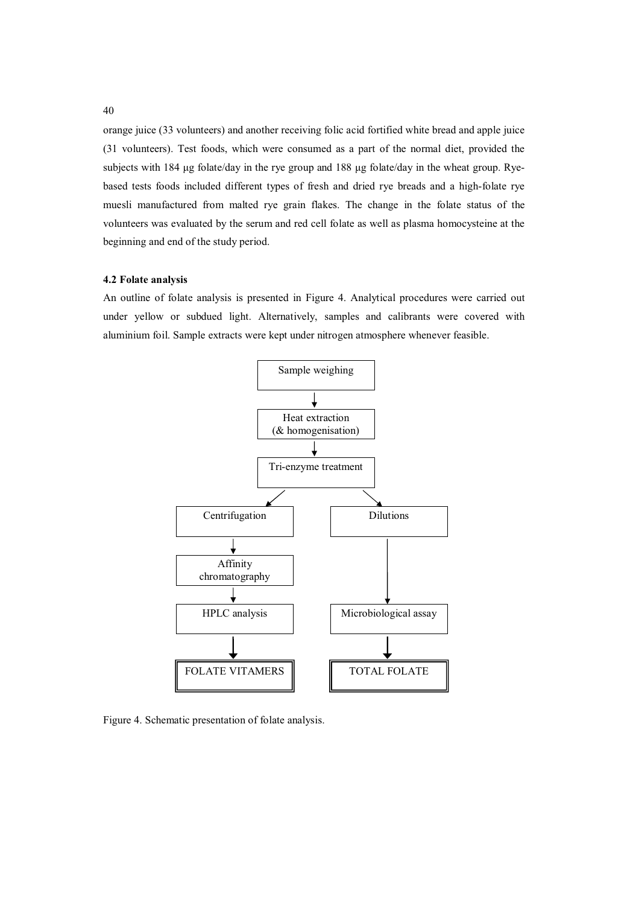orange juice (33 volunteers) and another receiving folic acid fortified white bread and apple juice (31 volunteers). Test foods, which were consumed as a part of the normal diet, provided the subjects with  $184 \mu$ g folate/day in the rye group and  $188 \mu$ g folate/day in the wheat group. Ryebased tests foods included different types of fresh and dried rye breads and a high-folate rye muesli manufactured from malted rye grain flakes. The change in the folate status of the volunteers was evaluated by the serum and red cell folate as well as plasma homocysteine at the beginning and end of the study period.

### **4.2 Folate analysis**

An outline of folate analysis is presented in Figure 4. Analytical procedures were carried out under yellow or subdued light. Alternatively, samples and calibrants were covered with aluminium foil. Sample extracts were kept under nitrogen atmosphere whenever feasible.



Figure 4. Schematic presentation of folate analysis.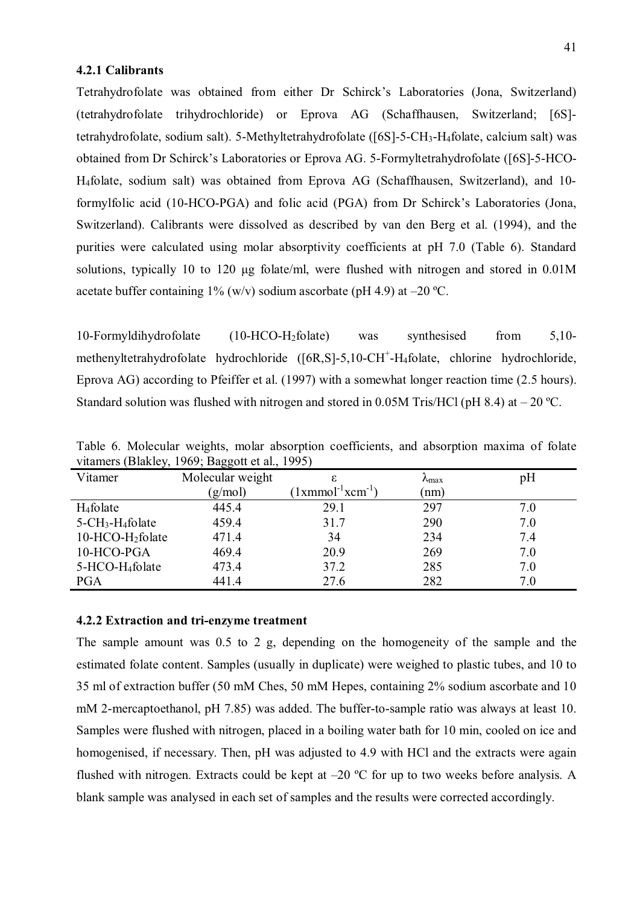### **4.2.1 Calibrants**

Tetrahydrofolate was obtained from either Dr Schirck's Laboratories (Jona, Switzerland) (tetrahydrofolate trihydrochloride) or Eprova AG (Schaffhausen, Switzerland; [6S] tetrahydrofolate, sodium salt). 5-Methyltetrahydrofolate ([6S]-5-CH3-H4folate, calcium salt) was obtained from Dr Schirck's Laboratories or Eprova AG. 5-Formyltetrahydrofolate ([6S]-5-HCO-H4folate, sodium salt) was obtained from Eprova AG (Schaffhausen, Switzerland), and 10 formylfolic acid (10-HCO-PGA) and folic acid (PGA) from Dr Schirck's Laboratories (Jona, Switzerland). Calibrants were dissolved as described by van den Berg et al. (1994), and the purities were calculated using molar absorptivity coefficients at pH 7.0 (Table 6). Standard solutions, typically 10 to 120 µg folate/ml, were flushed with nitrogen and stored in 0.01M acetate buffer containing  $1\%$  (w/v) sodium ascorbate (pH 4.9) at –20 °C.

10-Formyldihydrofolate (10-HCO-H2folate) was synthesised from 5,10 methenyltetrahydrofolate hydrochloride ([6R,S]-5,10-CH<sup>+</sup>-H<sub>4</sub>folate, chlorine hydrochloride, Eprova AG) according to Pfeiffer et al. (1997) with a somewhat longer reaction time (2.5 hours). Standard solution was flushed with nitrogen and stored in 0.05M Tris/HCl (pH 8.4) at  $-20^{\circ}$ C.

| Vitamer                                     | ັ<br>Molecular weight | ε                                                     | $\lambda_{\text{max}}$ | рH  |
|---------------------------------------------|-----------------------|-------------------------------------------------------|------------------------|-----|
|                                             | (g/mol)               | $\text{1}x$ mmol <sup>-1</sup> $x$ cm <sup>-1</sup> ) | (nm)                   |     |
| $H_4$ folate                                | 445.4                 | 29.1                                                  | 297                    | 7.0 |
| $5$ -CH <sub>3</sub> -H <sub>4</sub> folate | 459.4                 | 31.7                                                  | 290                    | 7.0 |
| 10-HCO-H <sub>2</sub> folate                | 471.4                 | 34                                                    | 234                    | 7.4 |
| 10-HCO-PGA                                  | 469.4                 | 20.9                                                  | 269                    | 7.0 |
| 5-HCO-H <sub>4</sub> folate                 | 473.4                 | 37.2                                                  | 285                    | 7.0 |
| <b>PGA</b>                                  | 441.4                 | 27.6                                                  | 282                    | 7.0 |

Table 6. Molecular weights, molar absorption coefficients, and absorption maxima of folate vitamers (Blakley, 1969; Baggott et al., 1995)

### **4.2.2 Extraction and tri-enzyme treatment**

The sample amount was 0.5 to 2 g, depending on the homogeneity of the sample and the estimated folate content. Samples (usually in duplicate) were weighed to plastic tubes, and 10 to 35 ml of extraction buffer (50 mM Ches, 50 mM Hepes, containing 2% sodium ascorbate and 10 mM 2-mercaptoethanol, pH 7.85) was added. The buffer-to-sample ratio was always at least 10. Samples were flushed with nitrogen, placed in a boiling water bath for 10 min, cooled on ice and homogenised, if necessary. Then, pH was adjusted to 4.9 with HCl and the extracts were again flushed with nitrogen. Extracts could be kept at  $-20$  °C for up to two weeks before analysis. A blank sample was analysed in each set of samples and the results were corrected accordingly.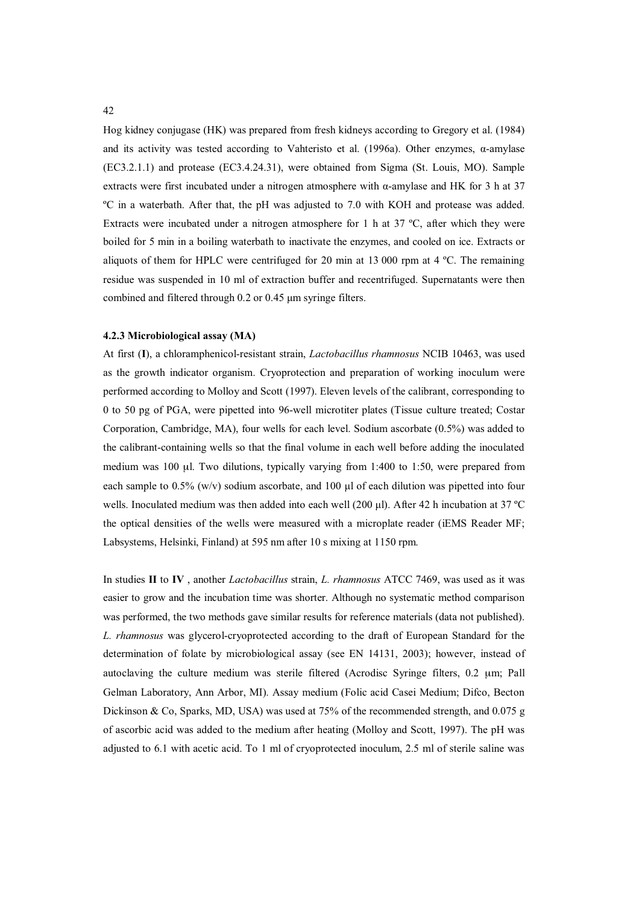Hog kidney conjugase (HK) was prepared from fresh kidneys according to Gregory et al. (1984) and its activity was tested according to Vahteristo et al.  $(1996a)$ . Other enzymes,  $\alpha$ -amylase (EC3.2.1.1) and protease (EC3.4.24.31), were obtained from Sigma (St. Louis, MO). Sample extracts were first incubated under a nitrogen atmosphere with  $\alpha$ -amylase and HK for 3 h at 37 ºC in a waterbath. After that, the pH was adjusted to 7.0 with KOH and protease was added. Extracts were incubated under a nitrogen atmosphere for 1 h at 37 ºC, after which they were boiled for 5 min in a boiling waterbath to inactivate the enzymes, and cooled on ice. Extracts or aliquots of them for HPLC were centrifuged for 20 min at 13 000 rpm at 4  $^{\circ}$ C. The remaining residue was suspended in 10 ml of extraction buffer and recentrifuged. Supernatants were then combined and filtered through  $0.2$  or  $0.45$  µm syringe filters.

# **4.2.3 Microbiological assay (MA)**

At first (**I**), a chloramphenicol-resistant strain, *Lactobacillus rhamnosus* NCIB 10463, was used as the growth indicator organism. Cryoprotection and preparation of working inoculum were performed according to Molloy and Scott (1997). Eleven levels of the calibrant, corresponding to 0 to 50 pg of PGA, were pipetted into 96-well microtiter plates (Tissue culture treated; Costar Corporation, Cambridge, MA), four wells for each level. Sodium ascorbate (0.5%) was added to the calibrant-containing wells so that the final volume in each well before adding the inoculated medium was 100 μl. Two dilutions, typically varying from 1:400 to 1:50, were prepared from each sample to  $0.5\%$  (w/v) sodium ascorbate, and 100  $\mu$ l of each dilution was pipetted into four wells. Inoculated medium was then added into each well (200  $\mu$ ). After 42 h incubation at 37 °C the optical densities of the wells were measured with a microplate reader (iEMS Reader MF; Labsystems, Helsinki, Finland) at 595 nm after 10 s mixing at 1150 rpm.

In studies **II** to **IV** , another *Lactobacillus* strain, *L. rhamnosus* ATCC 7469, was used as it was easier to grow and the incubation time was shorter. Although no systematic method comparison was performed, the two methods gave similar results for reference materials (data not published). *L. rhamnosus* was glycerol-cryoprotected according to the draft of European Standard for the determination of folate by microbiological assay (see EN 14131, 2003); however, instead of autoclaving the culture medium was sterile filtered (Acrodisc Syringe filters, 0.2 μm; Pall Gelman Laboratory, Ann Arbor, MI). Assay medium (Folic acid Casei Medium; Difco, Becton Dickinson & Co, Sparks, MD, USA) was used at  $75%$  of the recommended strength, and 0.075 g of ascorbic acid was added to the medium after heating (Molloy and Scott, 1997). The pH was adjusted to 6.1 with acetic acid. To 1 ml of cryoprotected inoculum, 2.5 ml of sterile saline was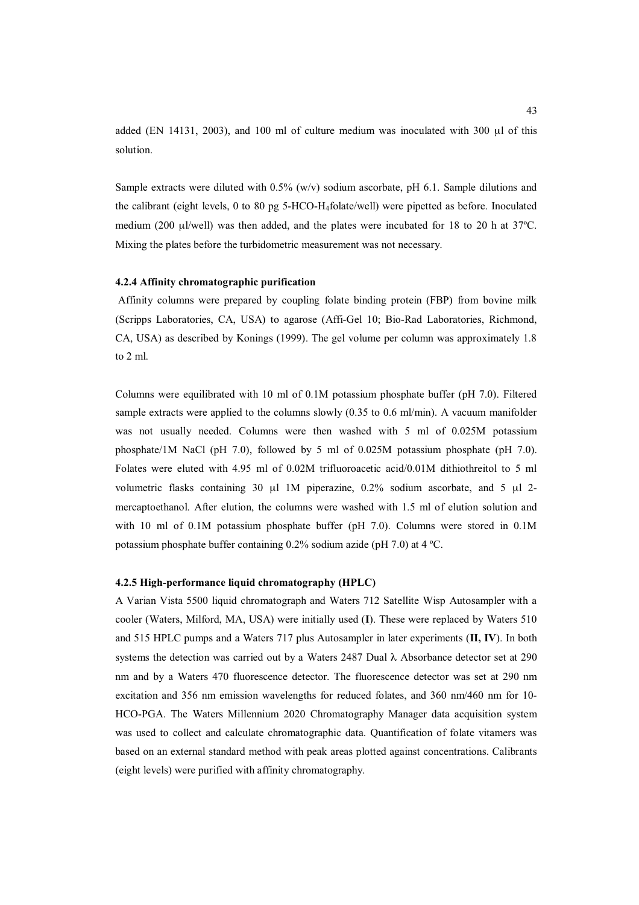added (EN 14131, 2003), and 100 ml of culture medium was inoculated with 300 μl of this solution.

Sample extracts were diluted with  $0.5\%$  (w/v) sodium ascorbate, pH 6.1. Sample dilutions and the calibrant (eight levels, 0 to 80 pg 5-HCO-H<sub>4</sub>folate/well) were pipetted as before. Inoculated medium (200 μl/well) was then added, and the plates were incubated for 18 to 20 h at 37ºC. Mixing the plates before the turbidometric measurement was not necessary.

### **4.2.4 Affinity chromatographic purification**

 Affinity columns were prepared by coupling folate binding protein (FBP) from bovine milk (Scripps Laboratories, CA, USA) to agarose (Affi-Gel 10; Bio-Rad Laboratories, Richmond, CA, USA) as described by Konings (1999). The gel volume per column was approximately 1.8 to 2 ml.

Columns were equilibrated with 10 ml of 0.1M potassium phosphate buffer (pH 7.0). Filtered sample extracts were applied to the columns slowly (0.35 to 0.6 ml/min). A vacuum manifolder was not usually needed. Columns were then washed with 5 ml of 0.025M potassium phosphate/1M NaCl (pH 7.0), followed by 5 ml of 0.025M potassium phosphate (pH 7.0). Folates were eluted with 4.95 ml of 0.02M trifluoroacetic acid/0.01M dithiothreitol to 5 ml volumetric flasks containing 30 μl 1M piperazine, 0.2% sodium ascorbate, and 5 μl 2 mercaptoethanol. After elution, the columns were washed with 1.5 ml of elution solution and with 10 ml of 0.1M potassium phosphate buffer (pH 7.0). Columns were stored in 0.1M potassium phosphate buffer containing 0.2% sodium azide (pH 7.0) at 4 ºC.

### **4.2.5 High-performance liquid chromatography (HPLC)**

A Varian Vista 5500 liquid chromatograph and Waters 712 Satellite Wisp Autosampler with a cooler (Waters, Milford, MA, USA) were initially used (**I**). These were replaced by Waters 510 and 515 HPLC pumps and a Waters 717 plus Autosampler in later experiments (**II, IV**). In both systems the detection was carried out by a Waters 2487 Dual  $\lambda$  Absorbance detector set at 290 nm and by a Waters 470 fluorescence detector. The fluorescence detector was set at 290 nm excitation and 356 nm emission wavelengths for reduced folates, and 360 nm/460 nm for 10- HCO-PGA. The Waters Millennium 2020 Chromatography Manager data acquisition system was used to collect and calculate chromatographic data. Quantification of folate vitamers was based on an external standard method with peak areas plotted against concentrations. Calibrants (eight levels) were purified with affinity chromatography.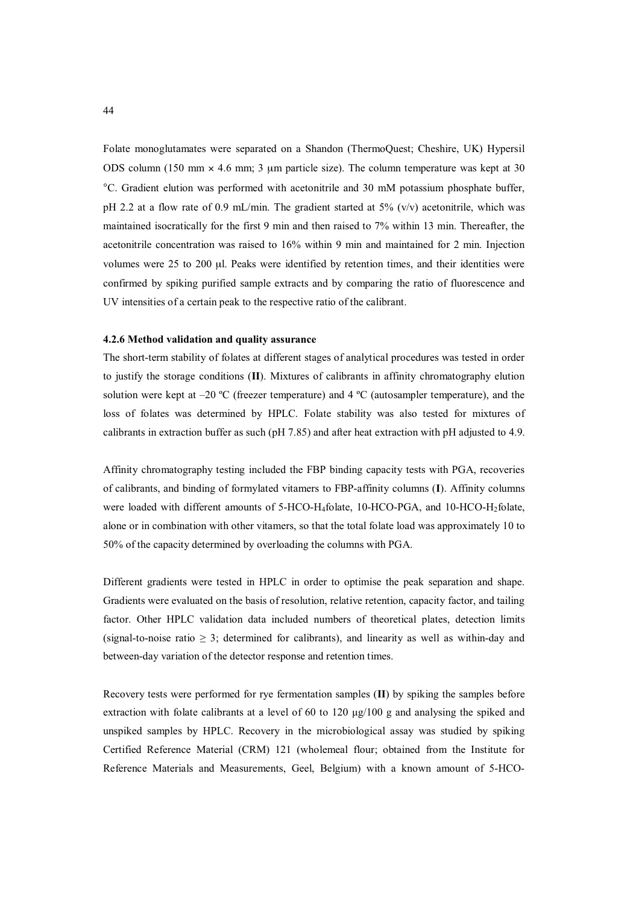Folate monoglutamates were separated on a Shandon (ThermoQuest; Cheshire, UK) Hypersil ODS column (150 mm  $\times$  4.6 mm; 3 µm particle size). The column temperature was kept at 30 °C. Gradient elution was performed with acetonitrile and 30 mM potassium phosphate buffer, pH 2.2 at a flow rate of 0.9 mL/min. The gradient started at  $5\%$  (v/v) acetonitrile, which was maintained isocratically for the first 9 min and then raised to 7% within 13 min. Thereafter, the acetonitrile concentration was raised to 16% within 9 min and maintained for 2 min. Injection volumes were 25 to 200 μl. Peaks were identified by retention times, and their identities were confirmed by spiking purified sample extracts and by comparing the ratio of fluorescence and UV intensities of a certain peak to the respective ratio of the calibrant.

### **4.2.6 Method validation and quality assurance**

The short-term stability of folates at different stages of analytical procedures was tested in order to justify the storage conditions (**II**). Mixtures of calibrants in affinity chromatography elution solution were kept at  $-20$  °C (freezer temperature) and 4 °C (autosampler temperature), and the loss of folates was determined by HPLC. Folate stability was also tested for mixtures of calibrants in extraction buffer as such (pH 7.85) and after heat extraction with pH adjusted to 4.9.

Affinity chromatography testing included the FBP binding capacity tests with PGA, recoveries of calibrants, and binding of formylated vitamers to FBP-affinity columns (**I**). Affinity columns were loaded with different amounts of 5-HCO-H<sub>4</sub>folate, 10-HCO-PGA, and 10-HCO-H<sub>2</sub>folate, alone or in combination with other vitamers, so that the total folate load was approximately 10 to 50% of the capacity determined by overloading the columns with PGA.

Different gradients were tested in HPLC in order to optimise the peak separation and shape. Gradients were evaluated on the basis of resolution, relative retention, capacity factor, and tailing factor. Other HPLC validation data included numbers of theoretical plates, detection limits (signal-to-noise ratio  $\geq$  3; determined for calibrants), and linearity as well as within-day and between-day variation of the detector response and retention times.

Recovery tests were performed for rye fermentation samples (**II**) by spiking the samples before extraction with folate calibrants at a level of 60 to 120  $\mu$ g/100 g and analysing the spiked and unspiked samples by HPLC. Recovery in the microbiological assay was studied by spiking Certified Reference Material (CRM) 121 (wholemeal flour; obtained from the Institute for Reference Materials and Measurements, Geel, Belgium) with a known amount of 5-HCO-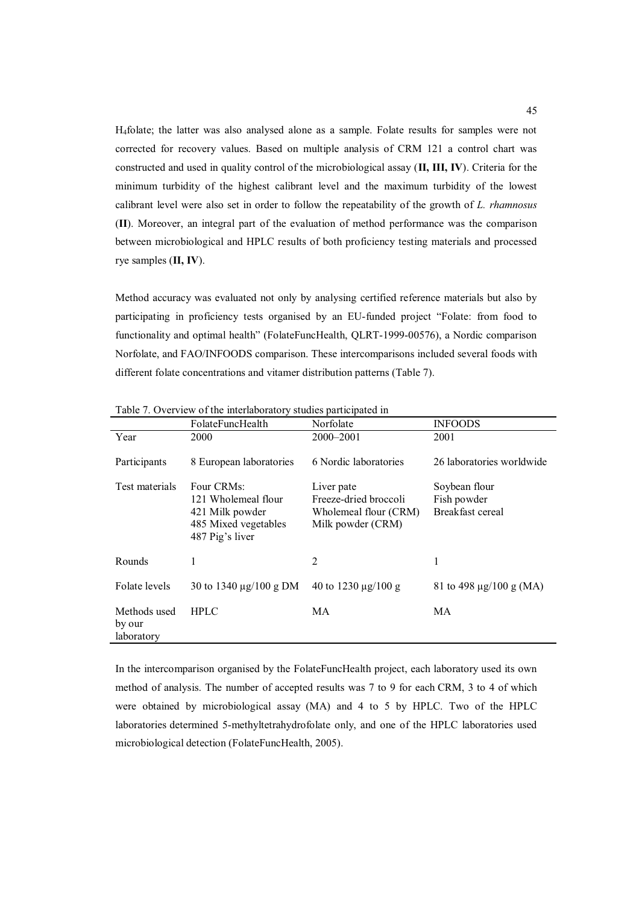H4folate; the latter was also analysed alone as a sample. Folate results for samples were not corrected for recovery values. Based on multiple analysis of CRM 121 a control chart was constructed and used in quality control of the microbiological assay (**II, III, IV**). Criteria for the minimum turbidity of the highest calibrant level and the maximum turbidity of the lowest calibrant level were also set in order to follow the repeatability of the growth of *L. rhamnosus* (**II**). Moreover, an integral part of the evaluation of method performance was the comparison between microbiological and HPLC results of both proficiency testing materials and processed rye samples (**II, IV**).

Method accuracy was evaluated not only by analysing certified reference materials but also by participating in proficiency tests organised by an EU-funded project "Folate: from food to functionality and optimal health" (FolateFuncHealth, QLRT-1999-00576), a Nordic comparison Norfolate, and FAO/INFOODS comparison. These intercomparisons included several foods with different folate concentrations and vitamer distribution patterns (Table 7).

|                                      | FolateFuncHealth                                                                                | Norfolate                                                                         | <b>INFOODS</b>                                   |
|--------------------------------------|-------------------------------------------------------------------------------------------------|-----------------------------------------------------------------------------------|--------------------------------------------------|
| Year                                 | 2000                                                                                            | 2000–2001                                                                         | 2001                                             |
| Participants                         | 8 European laboratories                                                                         | 6 Nordic laboratories                                                             | 26 laboratories worldwide                        |
| Test materials                       | Four CRMs:<br>121 Wholemeal flour<br>421 Milk powder<br>485 Mixed vegetables<br>487 Pig's liver | Liver pate<br>Freeze-dried broccoli<br>Wholemeal flour (CRM)<br>Milk powder (CRM) | Soybean flour<br>Fish powder<br>Breakfast cereal |
| Rounds                               | 1                                                                                               | 2                                                                                 | 1                                                |
| Folate levels                        | 30 to 1340 $\mu$ g/100 g DM                                                                     | 40 to 1230 $\mu$ g/100 g                                                          | 81 to 498 $\mu$ g/100 g (MA)                     |
| Methods used<br>by our<br>laboratory | <b>HPLC</b>                                                                                     | МA                                                                                | МA                                               |

Table 7. Overview of the interlaboratory studies participated in

In the intercomparison organised by the FolateFuncHealth project, each laboratory used its own method of analysis. The number of accepted results was 7 to 9 for each CRM, 3 to 4 of which were obtained by microbiological assay (MA) and 4 to 5 by HPLC. Two of the HPLC laboratories determined 5-methyltetrahydrofolate only, and one of the HPLC laboratories used microbiological detection (FolateFuncHealth, 2005).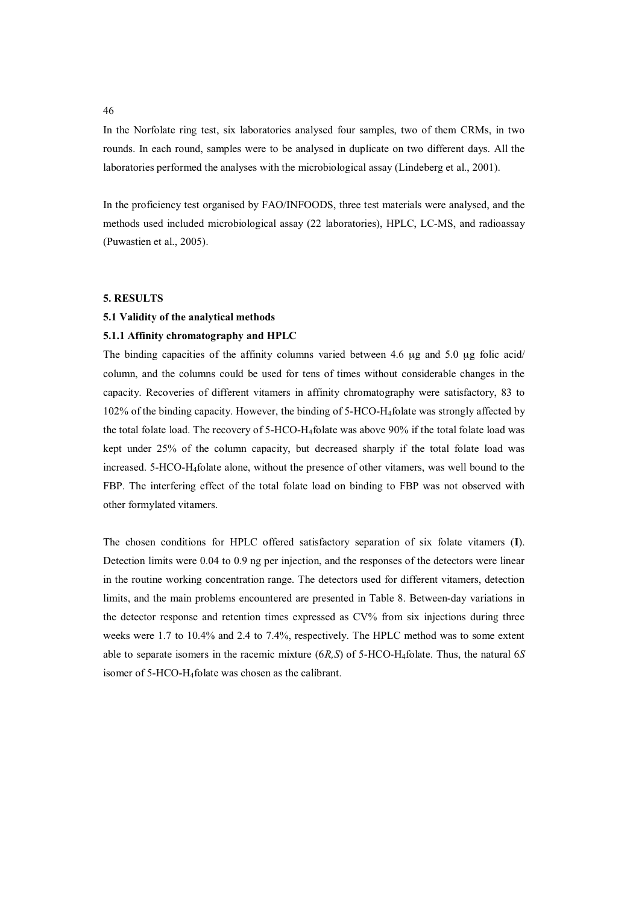In the Norfolate ring test, six laboratories analysed four samples, two of them CRMs, in two rounds. In each round, samples were to be analysed in duplicate on two different days. All the laboratories performed the analyses with the microbiological assay (Lindeberg et al., 2001).

In the proficiency test organised by FAO/INFOODS, three test materials were analysed, and the methods used included microbiological assay (22 laboratories), HPLC, LC-MS, and radioassay (Puwastien et al., 2005).

## **5. RESULTS**

# **5.1 Validity of the analytical methods**

### **5.1.1 Affinity chromatography and HPLC**

The binding capacities of the affinity columns varied between 4.6 μg and 5.0 μg folic acid/ column, and the columns could be used for tens of times without considerable changes in the capacity. Recoveries of different vitamers in affinity chromatography were satisfactory, 83 to 102% of the binding capacity. However, the binding of 5-HCO-H4folate was strongly affected by the total folate load. The recovery of 5-HCO-H4folate was above 90% if the total folate load was kept under 25% of the column capacity, but decreased sharply if the total folate load was increased. 5-HCO-H4folate alone, without the presence of other vitamers, was well bound to the FBP. The interfering effect of the total folate load on binding to FBP was not observed with other formylated vitamers.

The chosen conditions for HPLC offered satisfactory separation of six folate vitamers (**I**). Detection limits were 0.04 to 0.9 ng per injection, and the responses of the detectors were linear in the routine working concentration range. The detectors used for different vitamers, detection limits, and the main problems encountered are presented in Table 8. Between-day variations in the detector response and retention times expressed as CV% from six injections during three weeks were 1.7 to 10.4% and 2.4 to 7.4%, respectively. The HPLC method was to some extent able to separate isomers in the racemic mixture (6*R,S*) of 5-HCO-H4folate. Thus, the natural 6*S* isomer of 5-HCO-H4folate was chosen as the calibrant.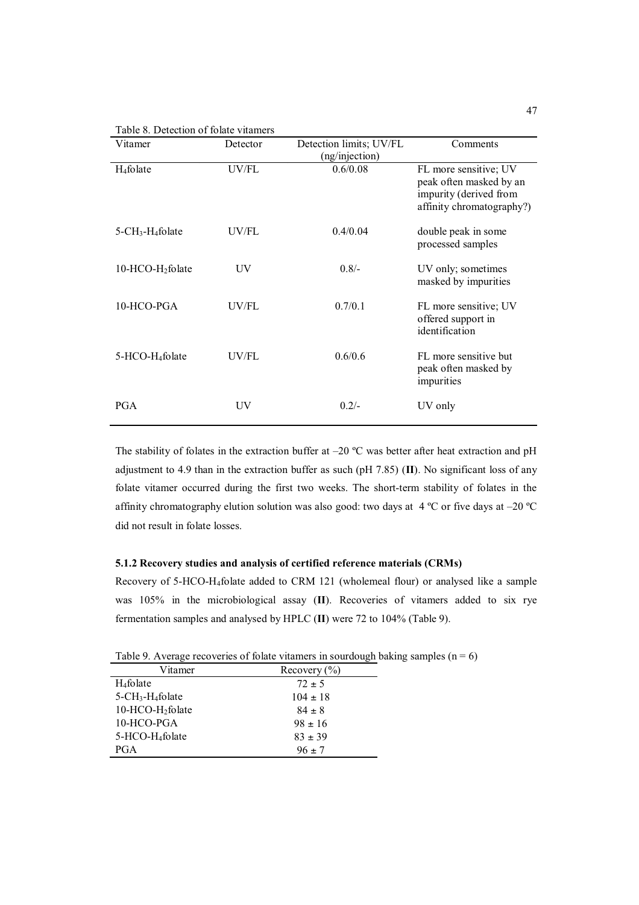Table 8. Detection of folate vitamers

| Vitamer                                     | Detector       | Detection limits; UV/FL    | Comments                                                                                                |
|---------------------------------------------|----------------|----------------------------|---------------------------------------------------------------------------------------------------------|
| $H_4$ folate                                | UV/FL          | (ng/injection)<br>0.6/0.08 | FL more sensitive; UV<br>peak often masked by an<br>impurity (derived from<br>affinity chromatography?) |
| $5$ -CH <sub>3</sub> -H <sub>4</sub> folate | UV/FL          | 0.4/0.04                   | double peak in some<br>processed samples                                                                |
| $10-HCO-H2$ folate                          | UV             | $0.8/-$                    | UV only; sometimes<br>masked by impurities                                                              |
| 10-HCO-PGA                                  | UV/FL          | 0.7/0.1                    | FL more sensitive; UV<br>offered support in<br>identification                                           |
| 5-HCO-H <sub>4</sub> folate                 | UV/FL          | 0.6/0.6                    | FL more sensitive but<br>peak often masked by<br>impurities                                             |
| <b>PGA</b>                                  | UV <sub></sub> | $0.2/-$                    | UV only                                                                                                 |

The stability of folates in the extraction buffer at  $-20$  °C was better after heat extraction and pH adjustment to 4.9 than in the extraction buffer as such (pH 7.85) (**II**). No significant loss of any folate vitamer occurred during the first two weeks. The short-term stability of folates in the affinity chromatography elution solution was also good: two days at  $4^{\circ}$ C or five days at  $-20^{\circ}$ C did not result in folate losses.

## **5.1.2 Recovery studies and analysis of certified reference materials (CRMs)**

Recovery of 5-HCO-H4folate added to CRM 121 (wholemeal flour) or analysed like a sample was 105% in the microbiological assay (**II**). Recoveries of vitamers added to six rye fermentation samples and analysed by HPLC (**II**) were 72 to 104% (Table 9).

Table 9. Average recoveries of folate vitamers in sourdough baking samples ( $n = 6$ )

| Vitamer                                     | Recovery $(\% )$ |
|---------------------------------------------|------------------|
| H <sub>4</sub> folate                       | $72 \pm 5$       |
| $5$ -CH <sub>3</sub> -H <sub>4</sub> folate | $104 \pm 18$     |
| 10-HCO-H <sub>2</sub> folate                | $84 \pm 8$       |
| 10-HCO-PGA                                  | $98 \pm 16$      |
| 5-HCO-H <sub>4</sub> folate                 | $83 \pm 39$      |
| <b>PGA</b>                                  | $96 \pm 7$       |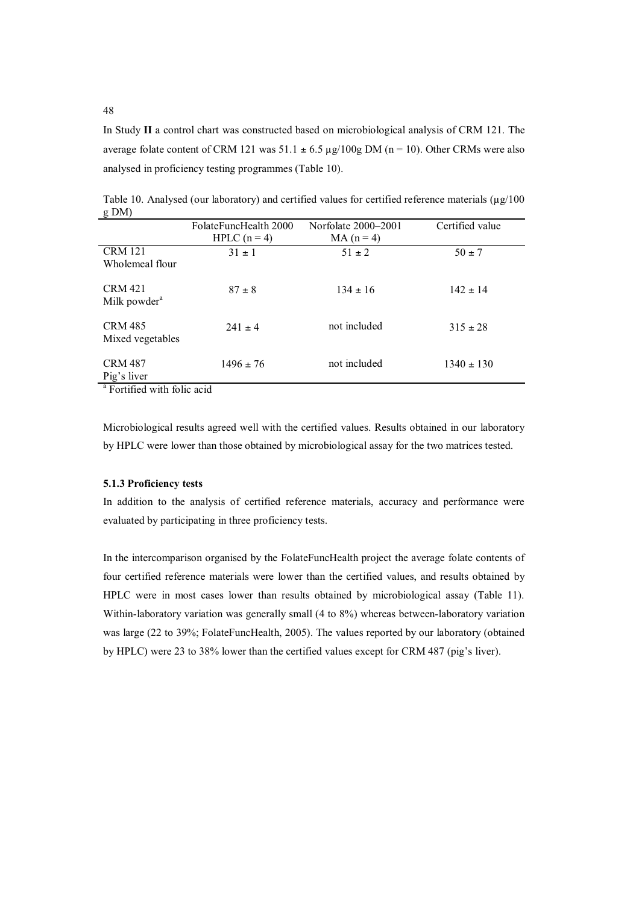In Study **II** a control chart was constructed based on microbiological analysis of CRM 121. The average folate content of CRM 121 was  $51.1 \pm 6.5 \,\mu g/100g$  DM (n = 10). Other CRMs were also analysed in proficiency testing programmes (Table 10).

|                                        | FolateFuncHealth 2000 | Norfolate 2000–2001 | Certified value |  |
|----------------------------------------|-----------------------|---------------------|-----------------|--|
|                                        | HPLC $(n=4)$          | $MA(n=4)$           |                 |  |
| <b>CRM 121</b>                         | $31 \pm 1$            | $51 \pm 2$          | $50 \pm 7$      |  |
| Wholemeal flour                        |                       |                     |                 |  |
|                                        |                       |                     |                 |  |
| <b>CRM 421</b>                         | $87 \pm 8$            | $134 \pm 16$        | $142 \pm 14$    |  |
| Milk powder <sup>a</sup>               |                       |                     |                 |  |
|                                        |                       |                     |                 |  |
| <b>CRM 485</b>                         | $241 + 4$             | not included        | $315 \pm 28$    |  |
| Mixed vegetables                       |                       |                     |                 |  |
| <b>CRM 487</b>                         | $1496 \pm 76$         | not included        | $1340 \pm 130$  |  |
|                                        |                       |                     |                 |  |
| Pig's liver                            |                       |                     |                 |  |
| <sup>a</sup> Fortified with folio acid |                       |                     |                 |  |

Table 10. Analysed (our laboratory) and certified values for certified reference materials  $(\mu g/100$ g DM)

Fortified with folic acid

Microbiological results agreed well with the certified values. Results obtained in our laboratory by HPLC were lower than those obtained by microbiological assay for the two matrices tested.

## **5.1.3 Proficiency tests**

In addition to the analysis of certified reference materials, accuracy and performance were evaluated by participating in three proficiency tests.

In the intercomparison organised by the FolateFuncHealth project the average folate contents of four certified reference materials were lower than the certified values, and results obtained by HPLC were in most cases lower than results obtained by microbiological assay (Table 11). Within-laboratory variation was generally small (4 to 8%) whereas between-laboratory variation was large (22 to 39%; FolateFuncHealth, 2005). The values reported by our laboratory (obtained by HPLC) were 23 to 38% lower than the certified values except for CRM 487 (pig's liver).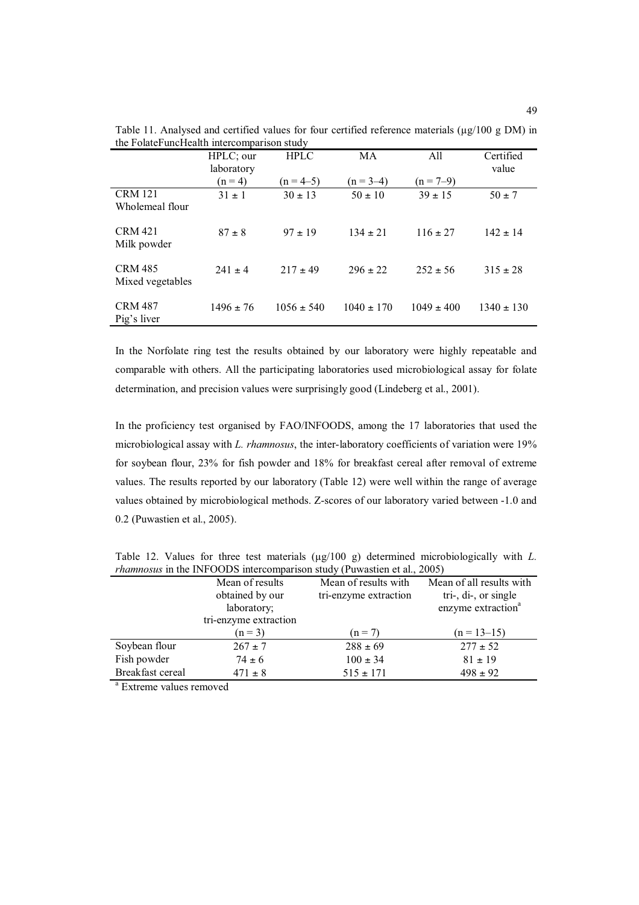|                                    | HPLC; our<br>laboratory | <b>HPLC</b>    | MA             | All            | Certified<br>value |
|------------------------------------|-------------------------|----------------|----------------|----------------|--------------------|
|                                    | $(n = 4)$               | $(n = 4-5)$    | $(n = 3-4)$    | $(n = 7-9)$    |                    |
| <b>CRM 121</b><br>Wholemeal flour  | $31 \pm 1$              | $30 \pm 13$    | $50 \pm 10$    | $39 \pm 15$    | $50 \pm 7$         |
| <b>CRM 421</b><br>Milk powder      | $87 \pm 8$              | $97 \pm 19$    | $134 \pm 21$   | $116 \pm 27$   | $142 \pm 14$       |
| <b>CRM 485</b><br>Mixed vegetables | $241 \pm 4$             | $217 \pm 49$   | $296 \pm 22$   | $252 \pm 56$   | $315 \pm 28$       |
| <b>CRM 487</b><br>Pig's liver      | $1496 \pm 76$           | $1056 \pm 540$ | $1040 \pm 170$ | $1049 \pm 400$ | $1340 \pm 130$     |

Table 11. Analysed and certified values for four certified reference materials ( $\mu$ g/100 g DM) in the FolateFuncHealth intercomparison study

In the Norfolate ring test the results obtained by our laboratory were highly repeatable and comparable with others. All the participating laboratories used microbiological assay for folate determination, and precision values were surprisingly good (Lindeberg et al., 2001).

In the proficiency test organised by FAO/INFOODS, among the 17 laboratories that used the microbiological assay with *L. rhamnosus*, the inter-laboratory coefficients of variation were 19% for soybean flour, 23% for fish powder and 18% for breakfast cereal after removal of extreme values. The results reported by our laboratory (Table 12) were well within the range of average values obtained by microbiological methods. Z-scores of our laboratory varied between -1.0 and 0.2 (Puwastien et al., 2005).

|                  | Mean of results       | Mean of results with  | Mean of all results with       |
|------------------|-----------------------|-----------------------|--------------------------------|
|                  | obtained by our       | tri-enzyme extraction | tri-, $di$ -, or single        |
|                  | laboratory;           |                       | enzyme extraction <sup>a</sup> |
|                  | tri-enzyme extraction |                       |                                |
|                  | $(n = 3)$             | $(n = 7)$             | $(n = 13-15)$                  |
| Soybean flour    | $267 \pm 7$           | $288 \pm 69$          | $277 \pm 52$                   |
| Fish powder      | $74 \pm 6$            | $100 \pm 34$          | $81 \pm 19$                    |
| Breakfast cereal | $471 \pm 8$           | $515 \pm 171$         | $498 \pm 92$                   |

Table 12. Values for three test materials ( $\mu$ g/100 g) determined microbiologically with *L*. *rhamnosus* in the INFOODS intercomparison study (Puwastien et al., 2005)

<sup>a</sup> Extreme values removed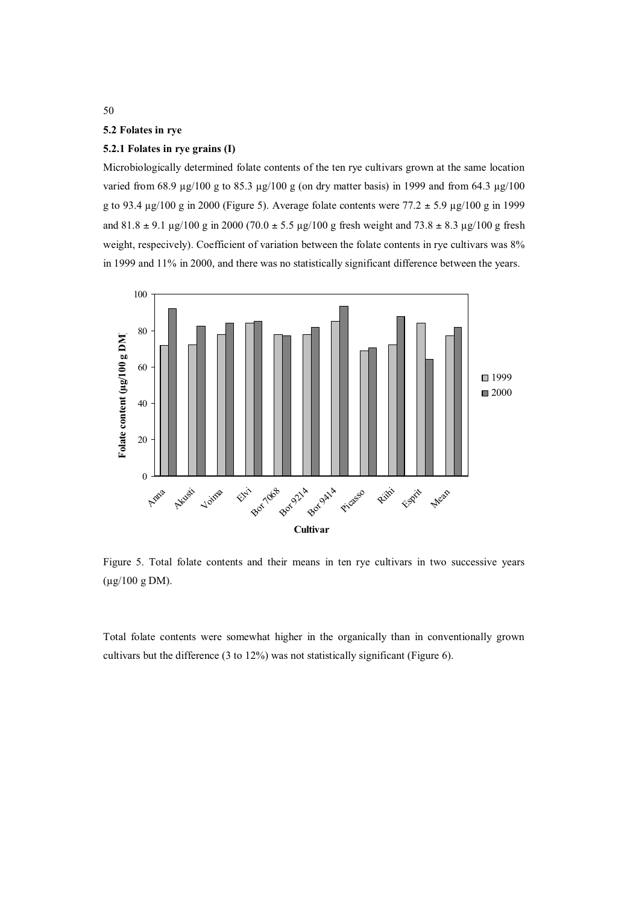## **5.2 Folates in rye**

# **5.2.1 Folates in rye grains (I)**

Microbiologically determined folate contents of the ten rye cultivars grown at the same location varied from 68.9  $\mu$ g/100 g to 85.3  $\mu$ g/100 g (on dry matter basis) in 1999 and from 64.3  $\mu$ g/100 g to 93.4  $\mu$ g/100 g in 2000 (Figure 5). Average folate contents were 77.2  $\pm$  5.9  $\mu$ g/100 g in 1999 and  $81.8 \pm 9.1 \text{ µg}/100 \text{ g}$  in 2000 (70.0  $\pm 5.5 \text{ µg}/100 \text{ g}$  fresh weight and 73.8  $\pm 8.3 \text{ µg}/100 \text{ g}$  fresh weight, respecively). Coefficient of variation between the folate contents in rye cultivars was  $8\%$ in 1999 and 11% in 2000, and there was no statistically significant difference between the years.



Figure 5. Total folate contents and their means in ten rye cultivars in two successive years (µg/100 g DM).

Total folate contents were somewhat higher in the organically than in conventionally grown cultivars but the difference (3 to 12%) was not statistically significant (Figure 6).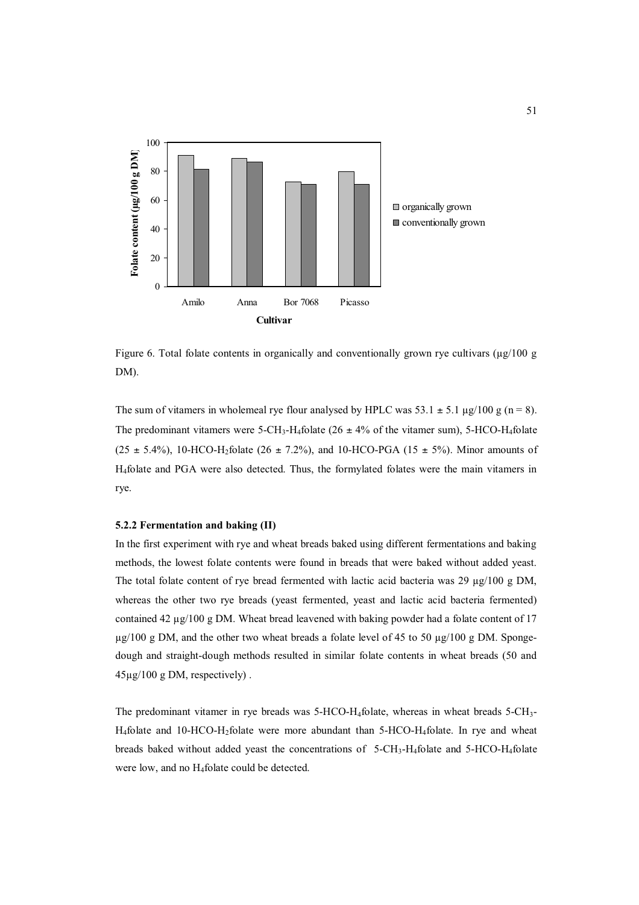

Figure 6. Total folate contents in organically and conventionally grown rye cultivars ( $\mu$ g/100 g DM).

The sum of vitamers in wholemeal rye flour analysed by HPLC was  $53.1 \pm 5.1 \mu g/100 \text{ g}$  (n = 8). The predominant vitamers were 5-CH<sub>3</sub>-H<sub>4</sub>folate (26  $\pm$  4% of the vitamer sum), 5-HCO-H<sub>4</sub>folate  $(25 \pm 5.4\%)$ , 10-HCO-H<sub>2</sub>folate  $(26 \pm 7.2\%)$ , and 10-HCO-PGA  $(15 \pm 5\%)$ . Minor amounts of H4folate and PGA were also detected. Thus, the formylated folates were the main vitamers in rye.

### **5.2.2 Fermentation and baking (II)**

In the first experiment with rye and wheat breads baked using different fermentations and baking methods, the lowest folate contents were found in breads that were baked without added yeast. The total folate content of rye bread fermented with lactic acid bacteria was 29  $\mu$ g/100 g DM, whereas the other two rye breads (yeast fermented, yeast and lactic acid bacteria fermented) contained 42  $\mu$ g/100 g DM. Wheat bread leavened with baking powder had a folate content of 17  $\mu$ g/100 g DM, and the other two wheat breads a folate level of 45 to 50  $\mu$ g/100 g DM. Spongedough and straight-dough methods resulted in similar folate contents in wheat breads (50 and 45µg/100 g DM, respectively) .

The predominant vitamer in rye breads was  $5$ -HCO-H<sub>4</sub>folate, whereas in wheat breads  $5$ -CH<sub>3</sub>- $H_4$ folate and 10-HCO- $H_2$ folate were more abundant than 5-HCO- $H_4$ folate. In rye and wheat breads baked without added yeast the concentrations of 5-CH3-H4folate and 5-HCO-H4folate were low, and no H4folate could be detected.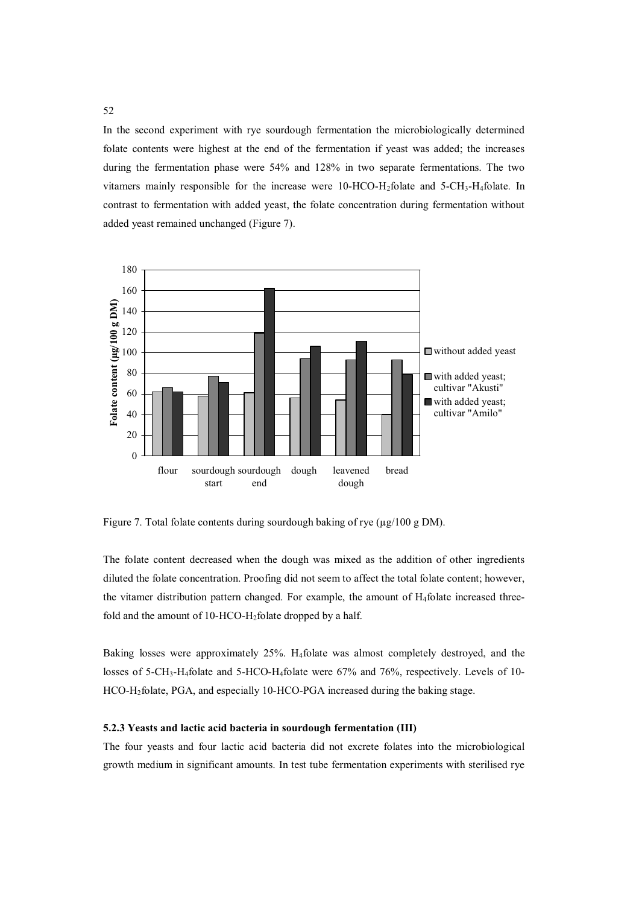In the second experiment with rye sourdough fermentation the microbiologically determined folate contents were highest at the end of the fermentation if yeast was added; the increases during the fermentation phase were 54% and 128% in two separate fermentations. The two vitamers mainly responsible for the increase were  $10$ -HCO-H<sub>2</sub>folate and  $5$ -CH<sub>3</sub>-H<sub>4</sub>folate. In contrast to fermentation with added yeast, the folate concentration during fermentation without added yeast remained unchanged (Figure 7).



Figure 7. Total folate contents during sourdough baking of rye ( $\mu$ g/100 g DM).

The folate content decreased when the dough was mixed as the addition of other ingredients diluted the folate concentration. Proofing did not seem to affect the total folate content; however, the vitamer distribution pattern changed. For example, the amount of H4folate increased threefold and the amount of 10-HCO-H2folate dropped by a half.

Baking losses were approximately 25%. H4folate was almost completely destroyed, and the losses of 5-CH<sub>3</sub>-H<sub>4</sub>folate and 5-HCO-H<sub>4</sub>folate were 67% and 76%, respectively. Levels of 10-HCO-H2folate, PGA, and especially 10-HCO-PGA increased during the baking stage.

# **5.2.3 Yeasts and lactic acid bacteria in sourdough fermentation (III)**

The four yeasts and four lactic acid bacteria did not excrete folates into the microbiological growth medium in significant amounts. In test tube fermentation experiments with sterilised rye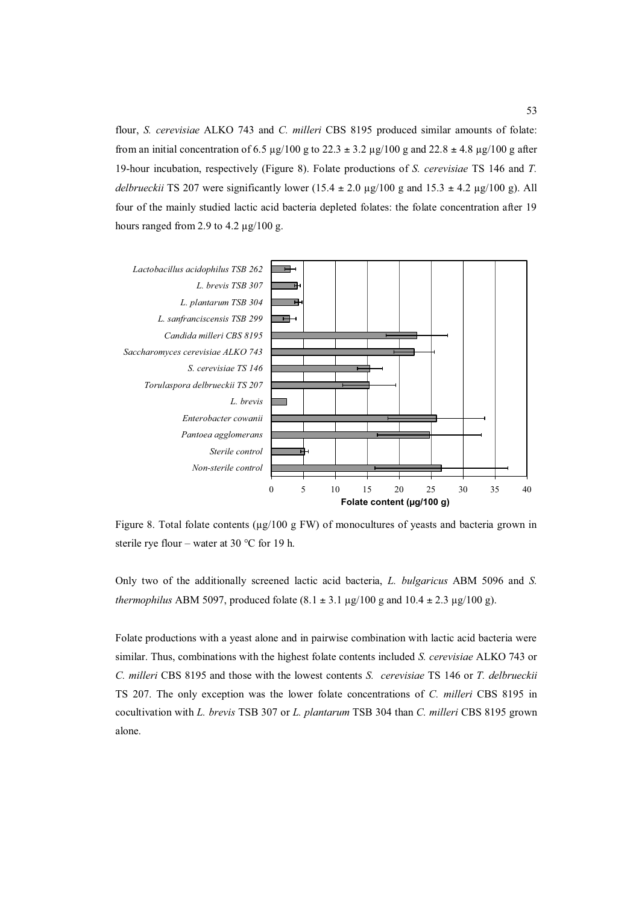flour, *S. cerevisiae* ALKO 743 and *C. milleri* CBS 8195 produced similar amounts of folate: from an initial concentration of 6.5  $\mu$ g/100 g to 22.3  $\pm$  3.2  $\mu$ g/100 g and 22.8  $\pm$  4.8  $\mu$ g/100 g after 19-hour incubation, respectively (Figure 8). Folate productions of *S. cerevisiae* TS 146 and *T. delbrueckii* TS 207 were significantly lower  $(15.4 \pm 2.0 \text{ µg}/100 \text{ g} \text{ and } 15.3 \pm 4.2 \text{ µg}/100 \text{ g})$ . All four of the mainly studied lactic acid bacteria depleted folates: the folate concentration after 19 hours ranged from 2.9 to 4.2  $\mu$ g/100 g.



Figure 8. Total folate contents ( $\mu$ g/100 g FW) of monocultures of yeasts and bacteria grown in sterile rye flour – water at 30  $\degree$ C for 19 h.

Only two of the additionally screened lactic acid bacteria, *L. bulgaricus* ABM 5096 and *S. thermophilus* ABM 5097, produced folate  $(8.1 \pm 3.1 \,\mu g/100 \,\text{g}$  and  $10.4 \pm 2.3 \,\mu g/100 \,\text{g}$ .

Folate productions with a yeast alone and in pairwise combination with lactic acid bacteria were similar. Thus, combinations with the highest folate contents included *S. cerevisiae* ALKO 743 or *C. milleri* CBS 8195 and those with the lowest contents *S. cerevisiae* TS 146 or *T. delbrueckii* TS 207. The only exception was the lower folate concentrations of *C. milleri* CBS 8195 in cocultivation with *L. brevis* TSB 307 or *L. plantarum* TSB 304 than *C. milleri* CBS 8195 grown alone.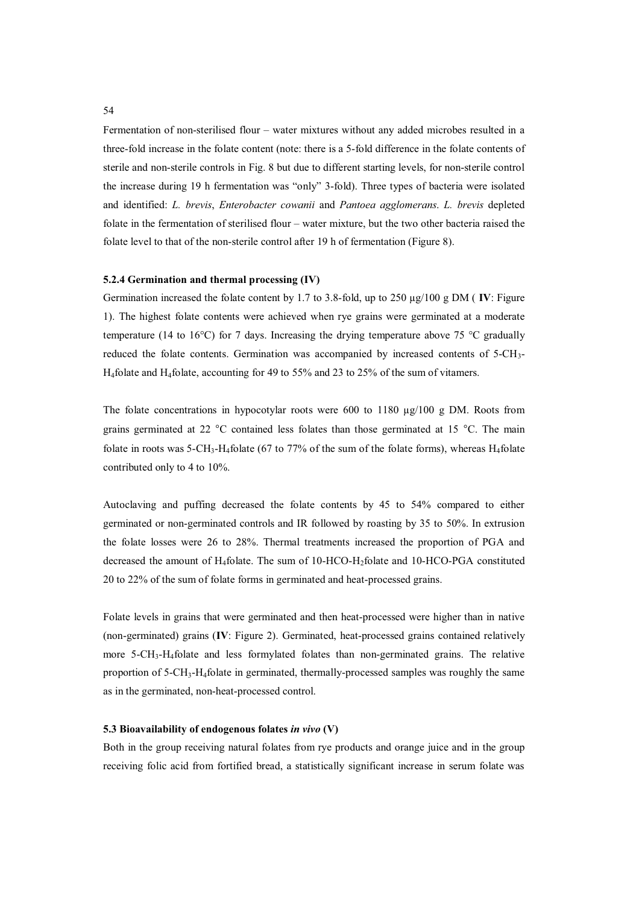Fermentation of non-sterilised flour – water mixtures without any added microbes resulted in a three-fold increase in the folate content (note: there is a 5-fold difference in the folate contents of sterile and non-sterile controls in Fig. 8 but due to different starting levels, for non-sterile control the increase during 19 h fermentation was "only" 3-fold). Three types of bacteria were isolated and identified: *L. brevis*, *Enterobacter cowanii* and *Pantoea agglomerans*. *L. brevis* depleted folate in the fermentation of sterilised flour – water mixture, but the two other bacteria raised the folate level to that of the non-sterile control after 19 h of fermentation (Figure 8).

### **5.2.4 Germination and thermal processing (IV)**

Germination increased the folate content by 1.7 to 3.8-fold, up to 250  $\mu$ g/100 g DM (**IV**: Figure 1). The highest folate contents were achieved when rye grains were germinated at a moderate temperature (14 to 16 $\degree$ C) for 7 days. Increasing the drying temperature above 75  $\degree$ C gradually reduced the folate contents. Germination was accompanied by increased contents of 5-CH3- H<sub>4</sub>folate and H<sub>4</sub>folate, accounting for 49 to 55% and 23 to 25% of the sum of vitamers.

The folate concentrations in hypocotylar roots were 600 to 1180  $\mu$ g/100 g DM. Roots from grains germinated at 22 °C contained less folates than those germinated at 15 °C. The main folate in roots was 5-CH<sub>3</sub>-H<sub>4</sub>folate (67 to 77% of the sum of the folate forms), whereas H<sub>4</sub>folate contributed only to 4 to 10%.

Autoclaving and puffing decreased the folate contents by 45 to 54% compared to either germinated or non-germinated controls and IR followed by roasting by 35 to 50%. In extrusion the folate losses were 26 to 28%. Thermal treatments increased the proportion of PGA and decreased the amount of H4folate. The sum of 10-HCO-H2folate and 10-HCO-PGA constituted 20 to 22% of the sum of folate forms in germinated and heat-processed grains.

Folate levels in grains that were germinated and then heat-processed were higher than in native (non-germinated) grains (**IV**: Figure 2). Germinated, heat-processed grains contained relatively more 5-CH3-H4folate and less formylated folates than non-germinated grains. The relative proportion of  $5\text{-CH}_3\text{-}H_4$  folate in germinated, thermally-processed samples was roughly the same as in the germinated, non-heat-processed control.

### **5.3 Bioavailability of endogenous folates** *in vivo* **(V)**

Both in the group receiving natural folates from rye products and orange juice and in the group receiving folic acid from fortified bread, a statistically significant increase in serum folate was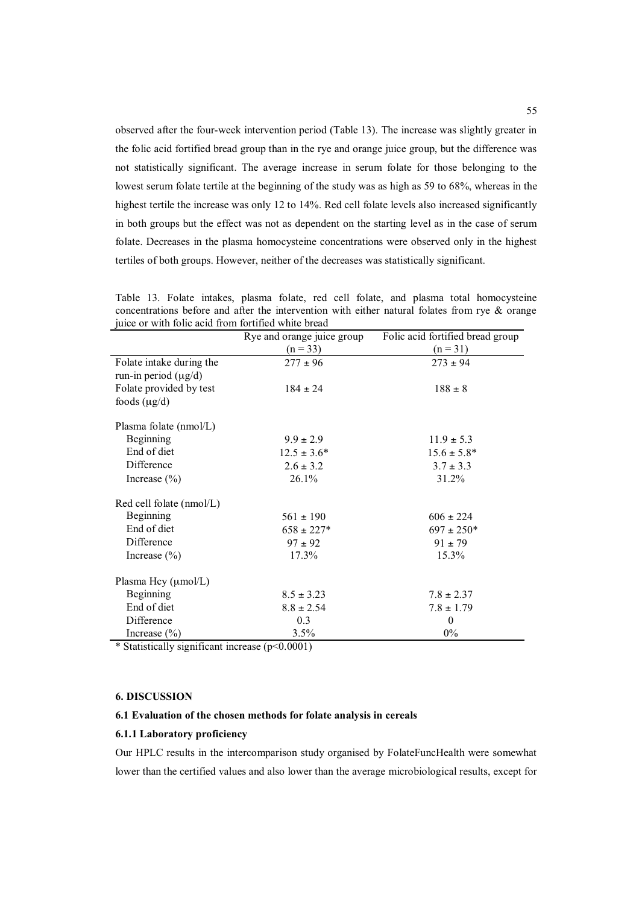observed after the four-week intervention period (Table 13). The increase was slightly greater in the folic acid fortified bread group than in the rye and orange juice group, but the difference was not statistically significant. The average increase in serum folate for those belonging to the lowest serum folate tertile at the beginning of the study was as high as 59 to 68%, whereas in the highest tertile the increase was only 12 to 14%. Red cell folate levels also increased significantly in both groups but the effect was not as dependent on the starting level as in the case of serum folate. Decreases in the plasma homocysteine concentrations were observed only in the highest tertiles of both groups. However, neither of the decreases was statistically significant.

| are of what follo agree from forthlee while order | Rye and orange juice group | Folic acid fortified bread group |
|---------------------------------------------------|----------------------------|----------------------------------|
|                                                   | $(n = 33)$                 | $(n = 31)$                       |
| Folate intake during the                          | $277 \pm 96$               | $273 \pm 94$                     |
| run-in period $(\mu g/d)$                         |                            |                                  |
| Folate provided by test                           | $184 \pm 24$               | $188 \pm 8$                      |
| foods $(\mu g/d)$                                 |                            |                                  |
| Plasma folate (nmol/L)                            |                            |                                  |
| Beginning                                         | $9.9 \pm 2.9$              | $11.9 \pm 5.3$                   |
| End of diet                                       | $12.5 \pm 3.6^*$           | $15.6 \pm 5.8^*$                 |
| Difference                                        | $2.6 \pm 3.2$              | $3.7 \pm 3.3$                    |
| Increase $(\% )$                                  | 26.1%                      | 31.2%                            |
| Red cell folate (nmol/L)                          |                            |                                  |
| Beginning                                         | $561 \pm 190$              | $606 \pm 224$                    |
| End of diet                                       | $658 \pm 227*$             | $697 \pm 250*$                   |
| Difference                                        | $97 \pm 92$                | $91 \pm 79$                      |
| Increase $(\% )$                                  | 17.3%                      | 15.3%                            |
| Plasma Hcy (µmol/L)                               |                            |                                  |
| Beginning                                         | $8.5 \pm 3.23$             | $7.8 \pm 2.37$                   |
| End of diet                                       | $8.8 \pm 2.54$             | $7.8 \pm 1.79$                   |
| Difference                                        | 0.3                        | $\theta$                         |
| Increase $(\% )$                                  | 3.5%                       | $0\%$                            |

Table 13. Folate intakes, plasma folate, red cell folate, and plasma total homocysteine concentrations before and after the intervention with either natural folates from rye & orange juice or with folic acid from fortified white bread

\* Statistically significant increase (p<0.0001)

# **6. DISCUSSION**

## **6.1 Evaluation of the chosen methods for folate analysis in cereals**

### **6.1.1 Laboratory proficiency**

Our HPLC results in the intercomparison study organised by FolateFuncHealth were somewhat lower than the certified values and also lower than the average microbiological results, except for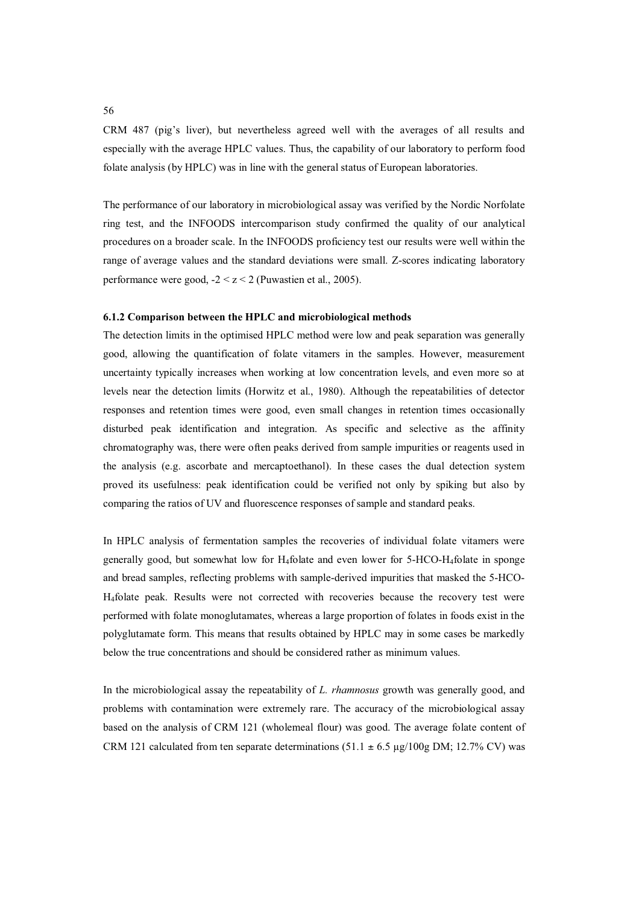CRM 487 (pig's liver), but nevertheless agreed well with the averages of all results and especially with the average HPLC values. Thus, the capability of our laboratory to perform food folate analysis (by HPLC) was in line with the general status of European laboratories.

The performance of our laboratory in microbiological assay was verified by the Nordic Norfolate ring test, and the INFOODS intercomparison study confirmed the quality of our analytical procedures on a broader scale. In the INFOODS proficiency test our results were well within the range of average values and the standard deviations were small. Z-scores indicating laboratory performance were good,  $-2 < z < 2$  (Puwastien et al., 2005).

## **6.1.2 Comparison between the HPLC and microbiological methods**

The detection limits in the optimised HPLC method were low and peak separation was generally good, allowing the quantification of folate vitamers in the samples. However, measurement uncertainty typically increases when working at low concentration levels, and even more so at levels near the detection limits (Horwitz et al., 1980). Although the repeatabilities of detector responses and retention times were good, even small changes in retention times occasionally disturbed peak identification and integration. As specific and selective as the affinity chromatography was, there were often peaks derived from sample impurities or reagents used in the analysis (e.g. ascorbate and mercaptoethanol). In these cases the dual detection system proved its usefulness: peak identification could be verified not only by spiking but also by comparing the ratios of UV and fluorescence responses of sample and standard peaks.

In HPLC analysis of fermentation samples the recoveries of individual folate vitamers were generally good, but somewhat low for H4folate and even lower for 5-HCO-H4folate in sponge and bread samples, reflecting problems with sample-derived impurities that masked the 5-HCO-H4folate peak. Results were not corrected with recoveries because the recovery test were performed with folate monoglutamates, whereas a large proportion of folates in foods exist in the polyglutamate form. This means that results obtained by HPLC may in some cases be markedly below the true concentrations and should be considered rather as minimum values.

In the microbiological assay the repeatability of *L. rhamnosus* growth was generally good, and problems with contamination were extremely rare. The accuracy of the microbiological assay based on the analysis of CRM 121 (wholemeal flour) was good. The average folate content of CRM 121 calculated from ten separate determinations (51.1  $\pm$  6.5 µg/100g DM; 12.7% CV) was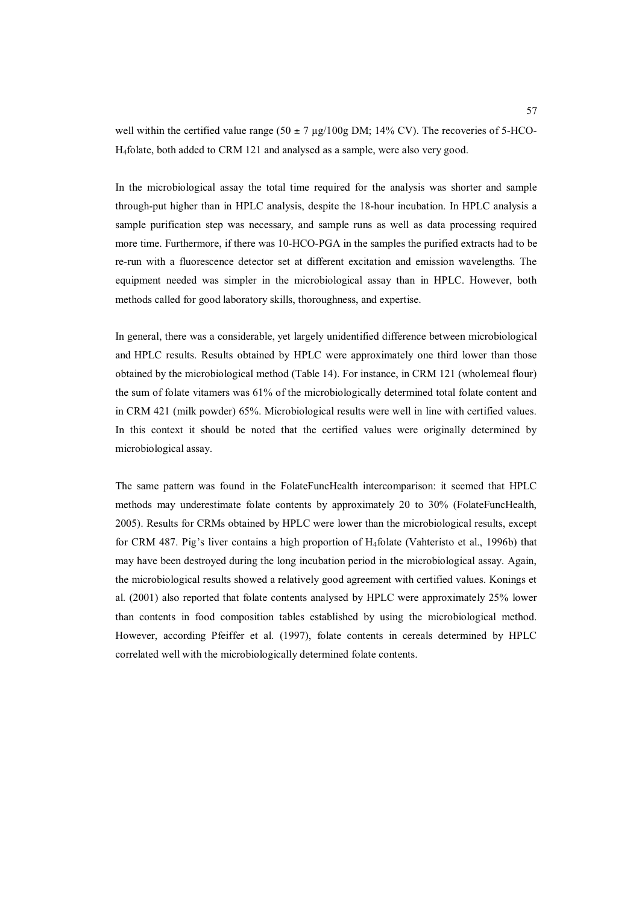well within the certified value range (50  $\pm$  7 µg/100g DM; 14% CV). The recoveries of 5-HCO-H4folate, both added to CRM 121 and analysed as a sample, were also very good.

In the microbiological assay the total time required for the analysis was shorter and sample through-put higher than in HPLC analysis, despite the 18-hour incubation. In HPLC analysis a sample purification step was necessary, and sample runs as well as data processing required more time. Furthermore, if there was 10-HCO-PGA in the samples the purified extracts had to be re-run with a fluorescence detector set at different excitation and emission wavelengths. The equipment needed was simpler in the microbiological assay than in HPLC. However, both methods called for good laboratory skills, thoroughness, and expertise.

In general, there was a considerable, yet largely unidentified difference between microbiological and HPLC results. Results obtained by HPLC were approximately one third lower than those obtained by the microbiological method (Table 14). For instance, in CRM 121 (wholemeal flour) the sum of folate vitamers was 61% of the microbiologically determined total folate content and in CRM 421 (milk powder) 65%. Microbiological results were well in line with certified values. In this context it should be noted that the certified values were originally determined by microbiological assay.

The same pattern was found in the FolateFuncHealth intercomparison: it seemed that HPLC methods may underestimate folate contents by approximately 20 to 30% (FolateFuncHealth, 2005). Results for CRMs obtained by HPLC were lower than the microbiological results, except for CRM 487. Pig's liver contains a high proportion of H4folate (Vahteristo et al., 1996b) that may have been destroyed during the long incubation period in the microbiological assay. Again, the microbiological results showed a relatively good agreement with certified values. Konings et al. (2001) also reported that folate contents analysed by HPLC were approximately 25% lower than contents in food composition tables established by using the microbiological method. However, according Pfeiffer et al. (1997), folate contents in cereals determined by HPLC correlated well with the microbiologically determined folate contents.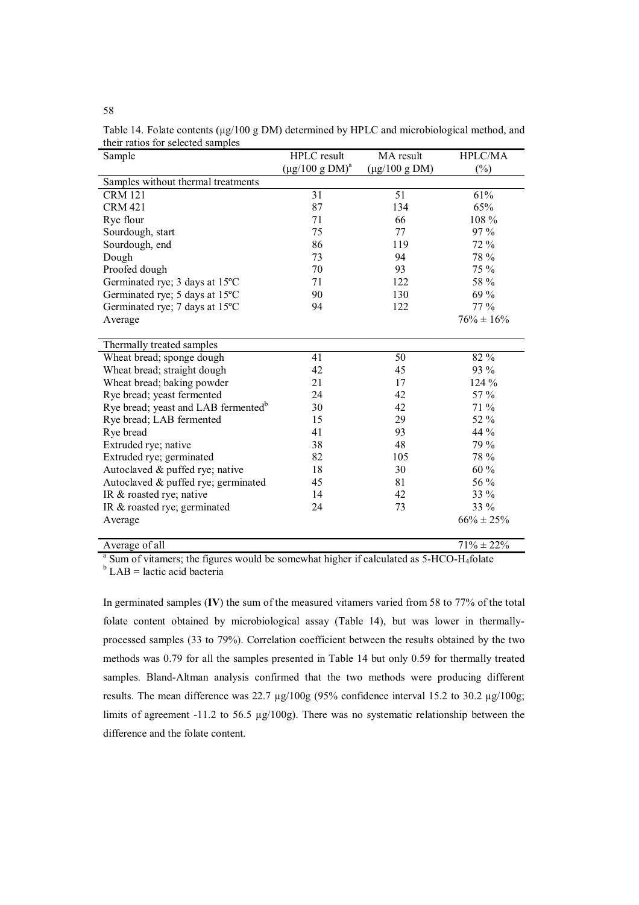| Sample                                          | <b>HPLC</b> result            | MA result          | <b>HPLC/MA</b>  |
|-------------------------------------------------|-------------------------------|--------------------|-----------------|
|                                                 | $(\mu g/100 \text{ g } DM)^a$ | $(\mu g/100 g DM)$ | $(\%)$          |
| Samples without thermal treatments              |                               |                    |                 |
| <b>CRM 121</b>                                  | 31                            | 51                 | 61%             |
| <b>CRM 421</b>                                  | 87                            | 134                | 65%             |
| Rye flour                                       | 71                            | 66                 | 108 %           |
| Sourdough, start                                | 75                            | 77                 | $97\%$          |
| Sourdough, end                                  | 86                            | 119                | 72 %            |
| Dough                                           | 73                            | 94                 | 78 %            |
| Proofed dough                                   | 70                            | 93                 | 75 %            |
| Germinated rye; 3 days at 15°C                  | 71                            | 122                | 58 %            |
| Germinated rye; 5 days at 15°C                  | 90                            | 130                | 69 %            |
| Germinated rye; 7 days at 15°C                  | 94                            | 122                | $77\%$          |
| Average                                         |                               |                    | $76\% \pm 16\%$ |
|                                                 |                               |                    |                 |
| Thermally treated samples                       |                               |                    |                 |
| Wheat bread; sponge dough                       | 41                            | 50                 | 82 %            |
| Wheat bread; straight dough                     | 42                            | 45                 | 93 %            |
| Wheat bread; baking powder                      | 21                            | 17                 | $124\%$         |
| Rye bread; yeast fermented                      | 24                            | 42                 | 57 %            |
| Rye bread; yeast and LAB fermented <sup>b</sup> | 30                            | 42                 | 71 %            |
| Rye bread; LAB fermented                        | 15                            | 29                 | 52 %            |
| Rye bread                                       | 41                            | 93                 | 44 %            |
| Extruded rye; native                            | 38                            | 48                 | 79 %            |
| Extruded rye; germinated                        | 82                            | 105                | 78 %            |
| Autoclaved & puffed rye; native                 | 18                            | 30                 | $60\%$          |
| Autoclaved & puffed rye; germinated             | 45                            | 81                 | 56 %            |
| IR & roasted rye; native                        | 14                            | 42                 | 33 %            |
| IR & roasted rye; germinated                    | 24                            | 73                 | 33 %            |
| Average                                         |                               |                    | $66\% \pm 25\%$ |
|                                                 |                               |                    |                 |
| Average of all                                  |                               |                    | $71\% \pm 22\%$ |

Table 14. Folate contents ( $\mu$ g/100 g DM) determined by HPLC and microbiological method, and their ratios for selected samples

<sup>a</sup> Sum of vitamers; the figures would be somewhat higher if calculated as 5-HCO-H<sub>4</sub>folate

 $b$  LAB = lactic acid bacteria

In germinated samples (**IV**) the sum of the measured vitamers varied from 58 to 77% of the total folate content obtained by microbiological assay (Table 14), but was lower in thermallyprocessed samples (33 to 79%). Correlation coefficient between the results obtained by the two methods was 0.79 for all the samples presented in Table 14 but only 0.59 for thermally treated samples. Bland-Altman analysis confirmed that the two methods were producing different results. The mean difference was 22.7 µg/100g (95% confidence interval 15.2 to 30.2 µg/100g; limits of agreement -11.2 to 56.5  $\mu$ g/100g). There was no systematic relationship between the difference and the folate content.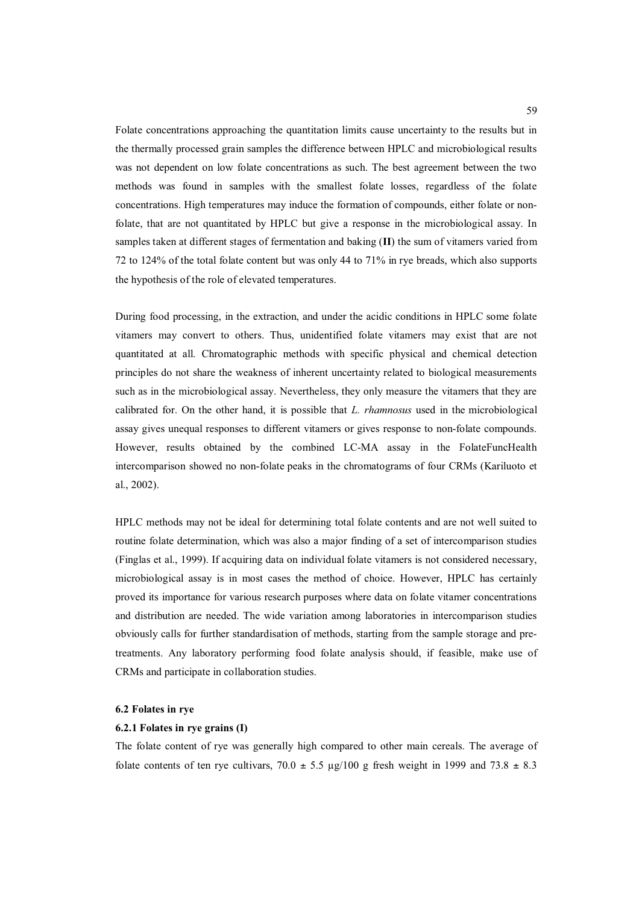Folate concentrations approaching the quantitation limits cause uncertainty to the results but in the thermally processed grain samples the difference between HPLC and microbiological results was not dependent on low folate concentrations as such. The best agreement between the two methods was found in samples with the smallest folate losses, regardless of the folate concentrations. High temperatures may induce the formation of compounds, either folate or nonfolate, that are not quantitated by HPLC but give a response in the microbiological assay. In samples taken at different stages of fermentation and baking (**II**) the sum of vitamers varied from 72 to 124% of the total folate content but was only 44 to 71% in rye breads, which also supports the hypothesis of the role of elevated temperatures.

During food processing, in the extraction, and under the acidic conditions in HPLC some folate vitamers may convert to others. Thus, unidentified folate vitamers may exist that are not quantitated at all. Chromatographic methods with specific physical and chemical detection principles do not share the weakness of inherent uncertainty related to biological measurements such as in the microbiological assay. Nevertheless, they only measure the vitamers that they are calibrated for. On the other hand, it is possible that *L. rhamnosus* used in the microbiological assay gives unequal responses to different vitamers or gives response to non-folate compounds. However, results obtained by the combined LC-MA assay in the FolateFuncHealth intercomparison showed no non-folate peaks in the chromatograms of four CRMs (Kariluoto et al., 2002).

HPLC methods may not be ideal for determining total folate contents and are not well suited to routine folate determination, which was also a major finding of a set of intercomparison studies (Finglas et al., 1999). If acquiring data on individual folate vitamers is not considered necessary, microbiological assay is in most cases the method of choice. However, HPLC has certainly proved its importance for various research purposes where data on folate vitamer concentrations and distribution are needed. The wide variation among laboratories in intercomparison studies obviously calls for further standardisation of methods, starting from the sample storage and pretreatments. Any laboratory performing food folate analysis should, if feasible, make use of CRMs and participate in collaboration studies.

### **6.2 Folates in rye**

# **6.2.1 Folates in rye grains (I)**

The folate content of rye was generally high compared to other main cereals. The average of folate contents of ten rye cultivars,  $70.0 \pm 5.5$  µg/100 g fresh weight in 1999 and  $73.8 \pm 8.3$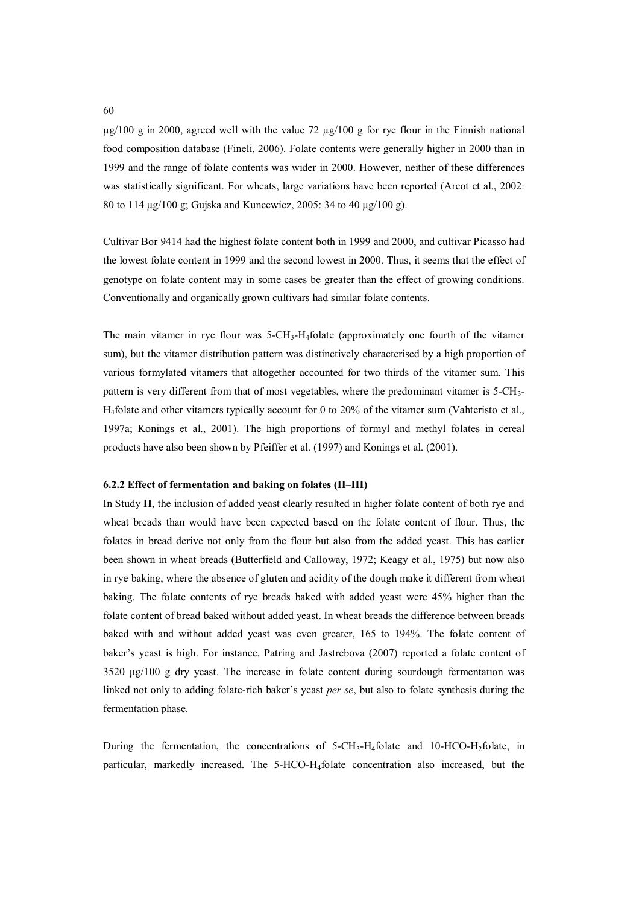$\mu$ g/100 g in 2000, agreed well with the value 72  $\mu$ g/100 g for rye flour in the Finnish national food composition database (Fineli, 2006). Folate contents were generally higher in 2000 than in 1999 and the range of folate contents was wider in 2000. However, neither of these differences was statistically significant. For wheats, large variations have been reported (Arcot et al., 2002: 80 to 114  $\mu$ g/100 g; Gujska and Kuncewicz, 2005: 34 to 40  $\mu$ g/100 g).

Cultivar Bor 9414 had the highest folate content both in 1999 and 2000, and cultivar Picasso had the lowest folate content in 1999 and the second lowest in 2000. Thus, it seems that the effect of genotype on folate content may in some cases be greater than the effect of growing conditions. Conventionally and organically grown cultivars had similar folate contents.

The main vitamer in rye flour was  $5-\text{CH}_3$ -H<sub>4</sub>folate (approximately one fourth of the vitamer sum), but the vitamer distribution pattern was distinctively characterised by a high proportion of various formylated vitamers that altogether accounted for two thirds of the vitamer sum. This pattern is very different from that of most vegetables, where the predominant vitamer is 5-CH3- H4folate and other vitamers typically account for 0 to 20% of the vitamer sum (Vahteristo et al., 1997a; Konings et al., 2001). The high proportions of formyl and methyl folates in cereal products have also been shown by Pfeiffer et al. (1997) and Konings et al. (2001).

## **6.2.2 Effect of fermentation and baking on folates (II–III)**

In Study **II**, the inclusion of added yeast clearly resulted in higher folate content of both rye and wheat breads than would have been expected based on the folate content of flour. Thus, the folates in bread derive not only from the flour but also from the added yeast. This has earlier been shown in wheat breads (Butterfield and Calloway, 1972; Keagy et al., 1975) but now also in rye baking, where the absence of gluten and acidity of the dough make it different from wheat baking. The folate contents of rye breads baked with added yeast were 45% higher than the folate content of bread baked without added yeast. In wheat breads the difference between breads baked with and without added yeast was even greater, 165 to 194%. The folate content of baker's yeast is high. For instance, Patring and Jastrebova (2007) reported a folate content of 3520 µg/100 g dry yeast. The increase in folate content during sourdough fermentation was linked not only to adding folate-rich baker's yeast *per se*, but also to folate synthesis during the fermentation phase.

During the fermentation, the concentrations of  $5\text{-CH}_3\text{-H}_4$  folate and  $10\text{-HCO-H}_2$  folate, in particular, markedly increased. The 5-HCO-H4folate concentration also increased, but the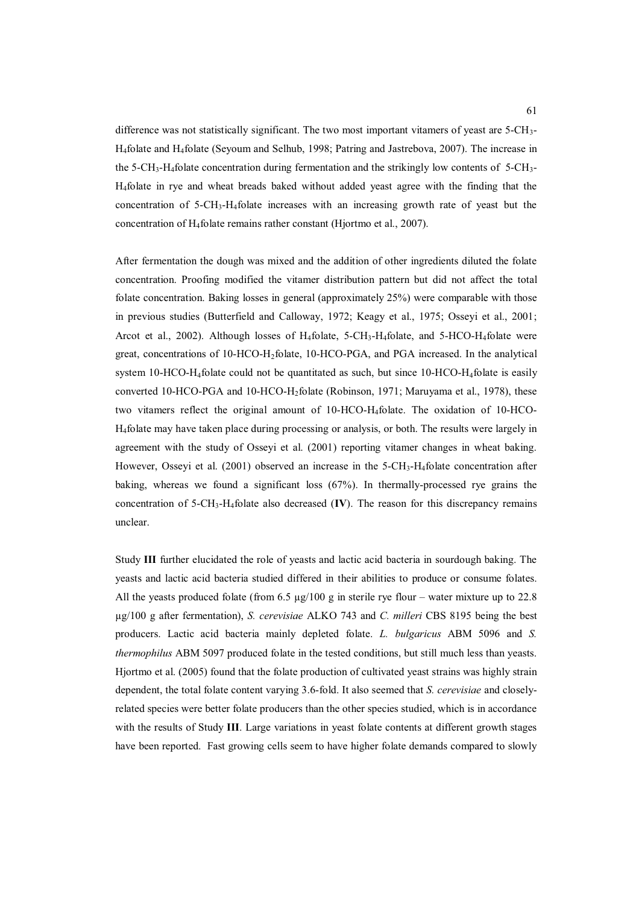difference was not statistically significant. The two most important vitamers of yeast are  $5\text{-CH}_3$ -H4folate and H4folate (Seyoum and Selhub, 1998; Patring and Jastrebova, 2007). The increase in the 5-CH<sub>3</sub>-H<sub>4</sub>folate concentration during fermentation and the strikingly low contents of 5-CH<sub>3</sub>-H4folate in rye and wheat breads baked without added yeast agree with the finding that the concentration of 5-CH3-H4folate increases with an increasing growth rate of yeast but the concentration of H4folate remains rather constant (Hjortmo et al., 2007).

After fermentation the dough was mixed and the addition of other ingredients diluted the folate concentration. Proofing modified the vitamer distribution pattern but did not affect the total folate concentration. Baking losses in general (approximately 25%) were comparable with those in previous studies (Butterfield and Calloway, 1972; Keagy et al., 1975; Osseyi et al., 2001; Arcot et al., 2002). Although losses of  $H_4$ folate, 5-CH<sub>3</sub>-H<sub>4</sub>folate, and 5-HCO-H<sub>4</sub>folate were great, concentrations of 10-HCO-H2folate, 10-HCO-PGA, and PGA increased. In the analytical system 10-HCO-H4folate could not be quantitated as such, but since 10-HCO-H4folate is easily converted 10-HCO-PGA and 10-HCO-H2folate (Robinson, 1971; Maruyama et al., 1978), these two vitamers reflect the original amount of 10-HCO-H4folate. The oxidation of 10-HCO-H4folate may have taken place during processing or analysis, or both. The results were largely in agreement with the study of Osseyi et al. (2001) reporting vitamer changes in wheat baking. However, Osseyi et al. (2001) observed an increase in the  $5$ -CH<sub>3</sub>-H<sub>4</sub>folate concentration after baking, whereas we found a significant loss (67%). In thermally-processed rye grains the concentration of 5-CH3-H4folate also decreased (**IV**). The reason for this discrepancy remains unclear.

Study **III** further elucidated the role of yeasts and lactic acid bacteria in sourdough baking. The yeasts and lactic acid bacteria studied differed in their abilities to produce or consume folates. All the yeasts produced folate (from 6.5  $\mu$ g/100 g in sterile rye flour – water mixture up to 22.8 µg/100 g after fermentation), *S. cerevisiae* ALKO 743 and *C. milleri* CBS 8195 being the best producers. Lactic acid bacteria mainly depleted folate. *L. bulgaricus* ABM 5096 and *S. thermophilus* ABM 5097 produced folate in the tested conditions, but still much less than yeasts. Hjortmo et al. (2005) found that the folate production of cultivated yeast strains was highly strain dependent, the total folate content varying 3.6-fold. It also seemed that *S. cerevisiae* and closelyrelated species were better folate producers than the other species studied, which is in accordance with the results of Study **III**. Large variations in yeast folate contents at different growth stages have been reported. Fast growing cells seem to have higher folate demands compared to slowly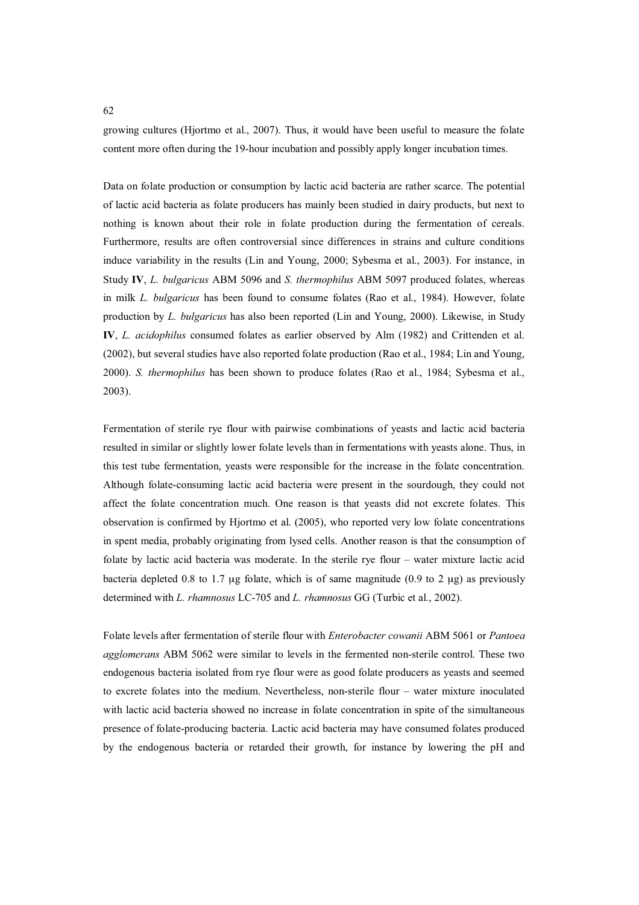growing cultures (Hjortmo et al., 2007). Thus, it would have been useful to measure the folate content more often during the 19-hour incubation and possibly apply longer incubation times.

Data on folate production or consumption by lactic acid bacteria are rather scarce. The potential of lactic acid bacteria as folate producers has mainly been studied in dairy products, but next to nothing is known about their role in folate production during the fermentation of cereals. Furthermore, results are often controversial since differences in strains and culture conditions induce variability in the results (Lin and Young, 2000; Sybesma et al., 2003). For instance, in Study **IV**, *L. bulgaricus* ABM 5096 and *S. thermophilus* ABM 5097 produced folates, whereas in milk *L. bulgaricus* has been found to consume folates (Rao et al., 1984). However, folate production by *L. bulgaricus* has also been reported (Lin and Young, 2000). Likewise, in Study **IV**, *L. acidophilus* consumed folates as earlier observed by Alm (1982) and Crittenden et al. (2002), but several studies have also reported folate production (Rao et al., 1984; Lin and Young, 2000). *S. thermophilus* has been shown to produce folates (Rao et al., 1984; Sybesma et al., 2003).

Fermentation of sterile rye flour with pairwise combinations of yeasts and lactic acid bacteria resulted in similar or slightly lower folate levels than in fermentations with yeasts alone. Thus, in this test tube fermentation, yeasts were responsible for the increase in the folate concentration. Although folate-consuming lactic acid bacteria were present in the sourdough, they could not affect the folate concentration much. One reason is that yeasts did not excrete folates. This observation is confirmed by Hjortmo et al. (2005), who reported very low folate concentrations in spent media, probably originating from lysed cells. Another reason is that the consumption of folate by lactic acid bacteria was moderate. In the sterile rye flour – water mixture lactic acid bacteria depleted 0.8 to 1.7 μg folate, which is of same magnitude  $(0.9$  to 2 μg) as previously determined with *L. rhamnosus* LC-705 and *L. rhamnosus* GG (Turbic et al., 2002).

Folate levels after fermentation of sterile flour with *Enterobacter cowanii* ABM 5061 or *Pantoea agglomerans* ABM 5062 were similar to levels in the fermented non-sterile control. These two endogenous bacteria isolated from rye flour were as good folate producers as yeasts and seemed to excrete folates into the medium. Nevertheless, non-sterile flour – water mixture inoculated with lactic acid bacteria showed no increase in folate concentration in spite of the simultaneous presence of folate-producing bacteria. Lactic acid bacteria may have consumed folates produced by the endogenous bacteria or retarded their growth, for instance by lowering the pH and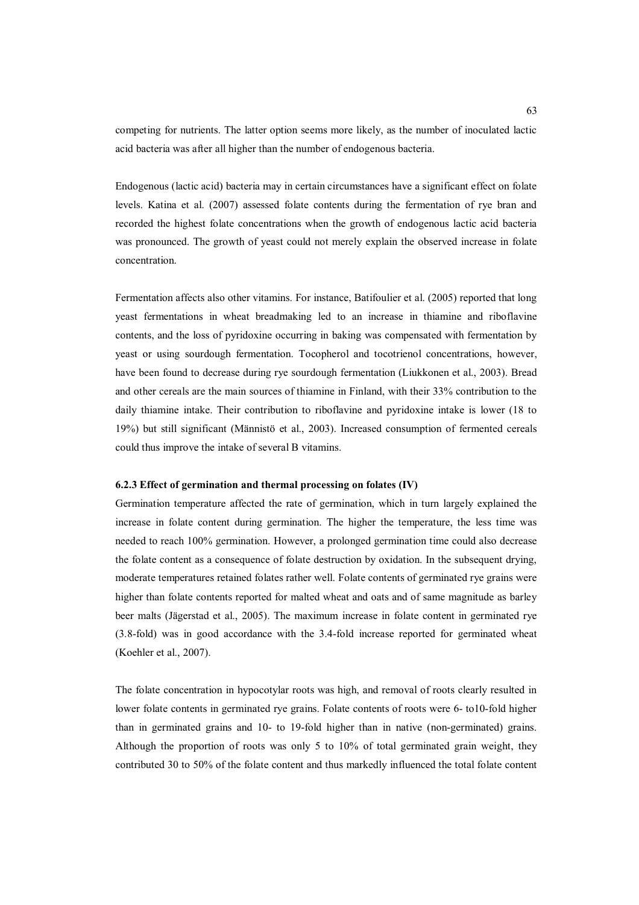competing for nutrients. The latter option seems more likely, as the number of inoculated lactic acid bacteria was after all higher than the number of endogenous bacteria.

Endogenous (lactic acid) bacteria may in certain circumstances have a significant effect on folate levels. Katina et al. (2007) assessed folate contents during the fermentation of rye bran and recorded the highest folate concentrations when the growth of endogenous lactic acid bacteria was pronounced. The growth of yeast could not merely explain the observed increase in folate concentration.

Fermentation affects also other vitamins. For instance, Batifoulier et al. (2005) reported that long yeast fermentations in wheat breadmaking led to an increase in thiamine and riboflavine contents, and the loss of pyridoxine occurring in baking was compensated with fermentation by yeast or using sourdough fermentation. Tocopherol and tocotrienol concentrations, however, have been found to decrease during rye sourdough fermentation (Liukkonen et al., 2003). Bread and other cereals are the main sources of thiamine in Finland, with their 33% contribution to the daily thiamine intake. Their contribution to riboflavine and pyridoxine intake is lower (18 to 19%) but still significant (Männistö et al., 2003). Increased consumption of fermented cereals could thus improve the intake of several B vitamins.

### **6.2.3 Effect of germination and thermal processing on folates (IV)**

Germination temperature affected the rate of germination, which in turn largely explained the increase in folate content during germination. The higher the temperature, the less time was needed to reach 100% germination. However, a prolonged germination time could also decrease the folate content as a consequence of folate destruction by oxidation. In the subsequent drying, moderate temperatures retained folates rather well. Folate contents of germinated rye grains were higher than folate contents reported for malted wheat and oats and of same magnitude as barley beer malts (Jägerstad et al., 2005). The maximum increase in folate content in germinated rye (3.8-fold) was in good accordance with the 3.4-fold increase reported for germinated wheat (Koehler et al., 2007).

The folate concentration in hypocotylar roots was high, and removal of roots clearly resulted in lower folate contents in germinated rye grains. Folate contents of roots were 6- to10-fold higher than in germinated grains and 10- to 19-fold higher than in native (non-germinated) grains. Although the proportion of roots was only 5 to 10% of total germinated grain weight, they contributed 30 to 50% of the folate content and thus markedly influenced the total folate content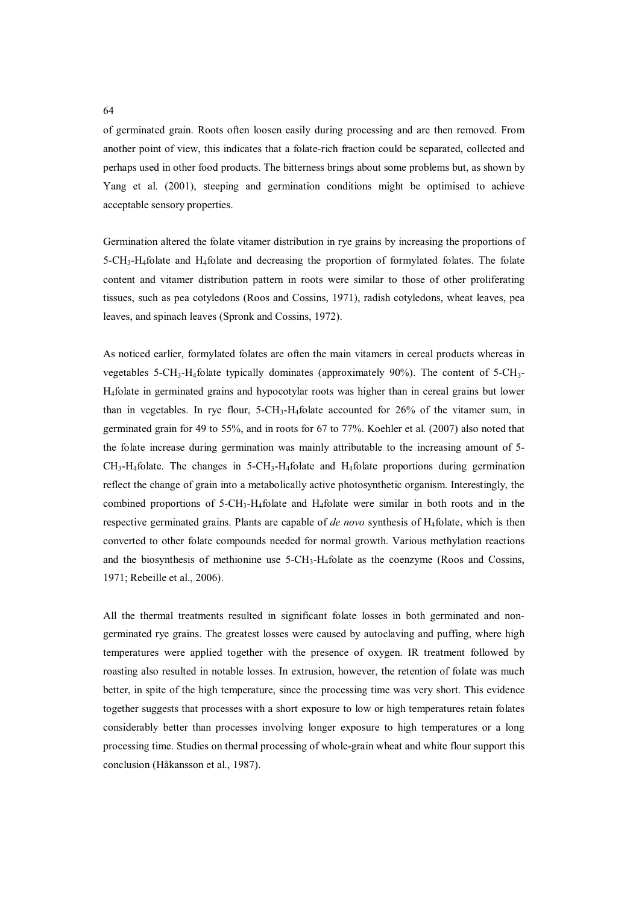of germinated grain. Roots often loosen easily during processing and are then removed. From another point of view, this indicates that a folate-rich fraction could be separated, collected and perhaps used in other food products. The bitterness brings about some problems but, as shown by Yang et al. (2001), steeping and germination conditions might be optimised to achieve acceptable sensory properties.

Germination altered the folate vitamer distribution in rye grains by increasing the proportions of 5-CH3-H4folate and H4folate and decreasing the proportion of formylated folates. The folate content and vitamer distribution pattern in roots were similar to those of other proliferating tissues, such as pea cotyledons (Roos and Cossins, 1971), radish cotyledons, wheat leaves, pea leaves, and spinach leaves (Spronk and Cossins, 1972).

As noticed earlier, formylated folates are often the main vitamers in cereal products whereas in vegetables 5-CH<sub>3</sub>-H<sub>4</sub>folate typically dominates (approximately 90%). The content of 5-CH<sub>3</sub>-H4folate in germinated grains and hypocotylar roots was higher than in cereal grains but lower than in vegetables. In rye flour,  $5\text{-}CH_3\text{-}H_4$  folate accounted for  $26\%$  of the vitamer sum, in germinated grain for 49 to 55%, and in roots for 67 to 77%. Koehler et al. (2007) also noted that the folate increase during germination was mainly attributable to the increasing amount of 5-  $CH<sub>3</sub>-H<sub>4</sub>$  folate. The changes in 5-CH<sub>3</sub>-H<sub>4</sub> folate and H<sub>4</sub> folate proportions during germination reflect the change of grain into a metabolically active photosynthetic organism. Interestingly, the combined proportions of  $5\text{-CH}_3\text{-H}_4$  folate and  $H_4$  folate were similar in both roots and in the respective germinated grains. Plants are capable of *de novo* synthesis of H4folate, which is then converted to other folate compounds needed for normal growth. Various methylation reactions and the biosynthesis of methionine use  $5-\text{CH}_3\text{-H}_4$  folate as the coenzyme (Roos and Cossins, 1971; Rebeille et al., 2006).

All the thermal treatments resulted in significant folate losses in both germinated and nongerminated rye grains. The greatest losses were caused by autoclaving and puffing, where high temperatures were applied together with the presence of oxygen. IR treatment followed by roasting also resulted in notable losses. In extrusion, however, the retention of folate was much better, in spite of the high temperature, since the processing time was very short. This evidence together suggests that processes with a short exposure to low or high temperatures retain folates considerably better than processes involving longer exposure to high temperatures or a long processing time. Studies on thermal processing of whole-grain wheat and white flour support this conclusion (Håkansson et al., 1987).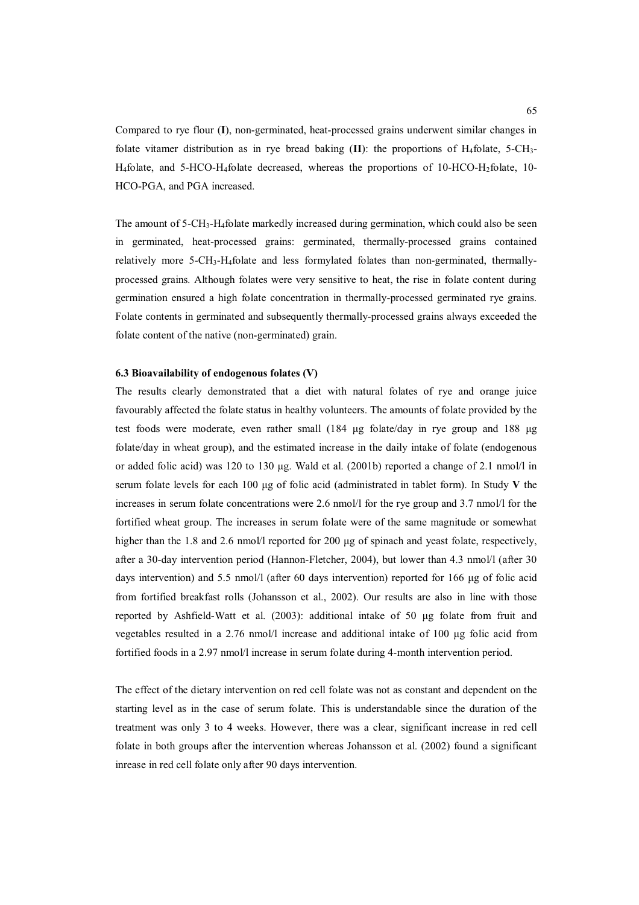Compared to rye flour (**I**), non-germinated, heat-processed grains underwent similar changes in folate vitamer distribution as in rye bread baking **: the proportions of H<sub>4</sub>folate, 5-CH<sub>3</sub>-**H4folate, and 5-HCO-H4folate decreased, whereas the proportions of 10-HCO-H2folate, 10- HCO-PGA, and PGA increased.

The amount of  $5\text{-}CH_3\text{-}H_4$  folate markedly increased during germination, which could also be seen in germinated, heat-processed grains: germinated, thermally-processed grains contained relatively more 5-CH3-H4folate and less formylated folates than non-germinated, thermallyprocessed grains. Although folates were very sensitive to heat, the rise in folate content during germination ensured a high folate concentration in thermally-processed germinated rye grains. Folate contents in germinated and subsequently thermally-processed grains always exceeded the folate content of the native (non-germinated) grain.

# **6.3 Bioavailability of endogenous folates (V)**

The results clearly demonstrated that a diet with natural folates of rye and orange juice favourably affected the folate status in healthy volunteers. The amounts of folate provided by the test foods were moderate, even rather small (184 µg folate/day in rye group and 188 µg folate/day in wheat group), and the estimated increase in the daily intake of folate (endogenous or added folic acid) was 120 to 130  $\mu$ g. Wald et al. (2001b) reported a change of 2.1 nmol/l in serum folate levels for each 100  $\mu$ g of folic acid (administrated in tablet form). In Study V the increases in serum folate concentrations were 2.6 nmol/l for the rye group and 3.7 nmol/l for the fortified wheat group. The increases in serum folate were of the same magnitude or somewhat higher than the 1.8 and 2.6 nmol/l reported for 200  $\mu$ g of spinach and yeast folate, respectively, after a 30-day intervention period (Hannon-Fletcher, 2004), but lower than 4.3 nmol/l (after 30 days intervention) and 5.5 nmol/l (after 60 days intervention) reported for 166 µg of folic acid from fortified breakfast rolls (Johansson et al., 2002). Our results are also in line with those reported by Ashfield-Watt et al.  $(2003)$ : additional intake of 50  $\mu$ g folate from fruit and vegetables resulted in a 2.76 nmol/l increase and additional intake of 100  $\mu$ g folic acid from fortified foods in a 2.97 nmol/l increase in serum folate during 4-month intervention period.

The effect of the dietary intervention on red cell folate was not as constant and dependent on the starting level as in the case of serum folate. This is understandable since the duration of the treatment was only 3 to 4 weeks. However, there was a clear, significant increase in red cell folate in both groups after the intervention whereas Johansson et al. (2002) found a significant inrease in red cell folate only after 90 days intervention.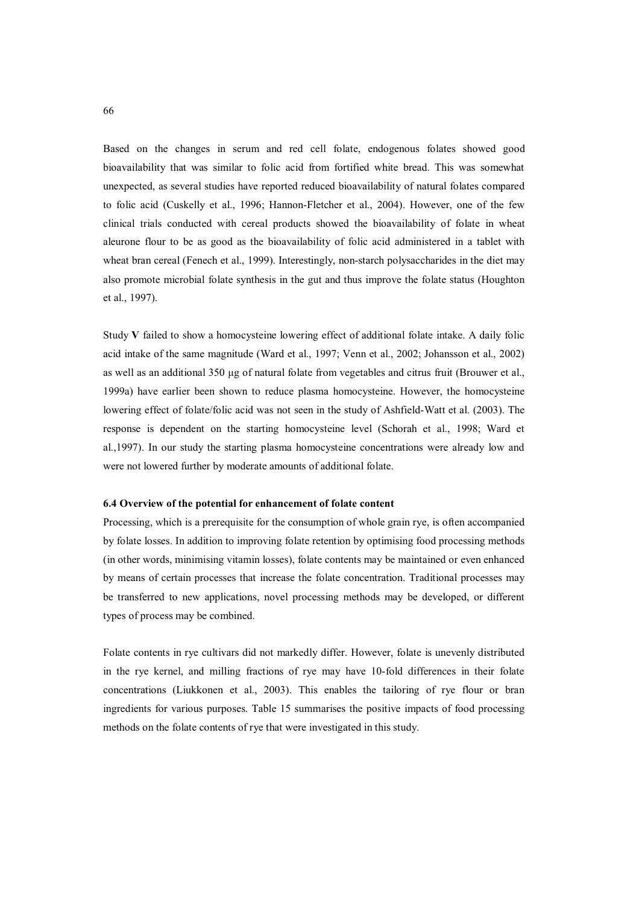Based on the changes in serum and red cell folate, endogenous folates showed good bioavailability that was similar to folic acid from fortified white bread. This was somewhat unexpected, as several studies have reported reduced bioavailability of natural folates compared to folic acid (Cuskelly et al., 1996; Hannon-Fletcher et al., 2004). However, one of the few clinical trials conducted with cereal products showed the bioavailability of folate in wheat aleurone flour to be as good as the bioavailability of folic acid administered in a tablet with wheat bran cereal (Fenech et al., 1999). Interestingly, non-starch polysaccharides in the diet may also promote microbial folate synthesis in the gut and thus improve the folate status (Houghton et al., 1997).

Study **V** failed to show a homocysteine lowering effect of additional folate intake. A daily folic acid intake of the same magnitude (Ward et al., 1997; Venn et al., 2002; Johansson et al., 2002) as well as an additional 350 µg of natural folate from vegetables and citrus fruit (Brouwer et al., 1999a) have earlier been shown to reduce plasma homocysteine. However, the homocysteine lowering effect of folate/folic acid was not seen in the study of Ashfield-Watt et al. (2003). The response is dependent on the starting homocysteine level (Schorah et al., 1998; Ward et al.,1997). In our study the starting plasma homocysteine concentrations were already low and were not lowered further by moderate amounts of additional folate.

### **6.4 Overview of the potential for enhancement of folate content**

Processing, which is a prerequisite for the consumption of whole grain rye, is often accompanied by folate losses. In addition to improving folate retention by optimising food processing methods (in other words, minimising vitamin losses), folate contents may be maintained or even enhanced by means of certain processes that increase the folate concentration. Traditional processes may be transferred to new applications, novel processing methods may be developed, or different types of process may be combined.

Folate contents in rye cultivars did not markedly differ. However, folate is unevenly distributed in the rye kernel, and milling fractions of rye may have 10-fold differences in their folate concentrations (Liukkonen et al., 2003). This enables the tailoring of rye flour or bran ingredients for various purposes. Table 15 summarises the positive impacts of food processing methods on the folate contents of rye that were investigated in this study.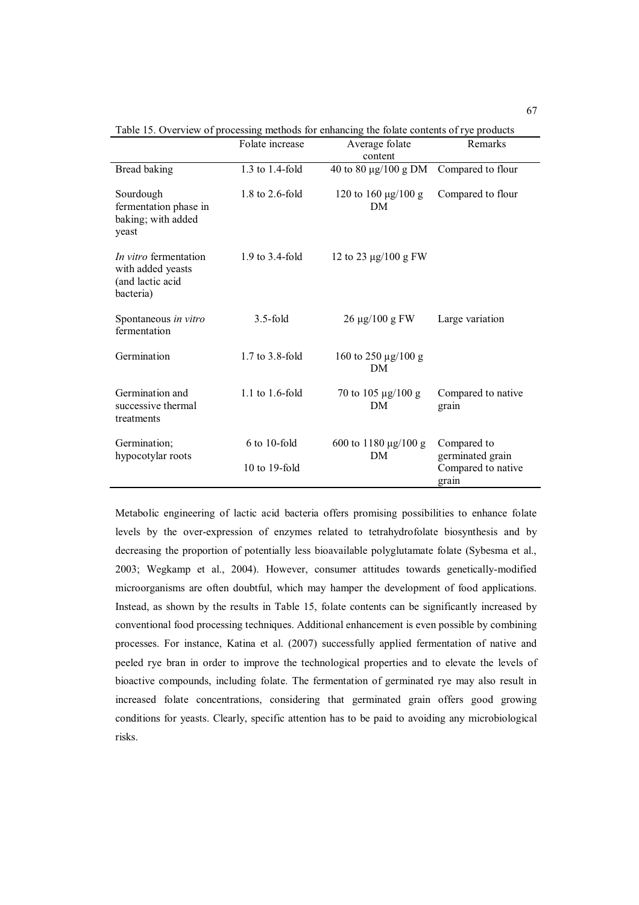|                                                                                    | Folate increase      | Average folate<br>content       | Remarks                         |
|------------------------------------------------------------------------------------|----------------------|---------------------------------|---------------------------------|
| Bread baking                                                                       | 1.3 to 1.4-fold      | 40 to 80 $\mu$ g/100 g DM       | Compared to flour               |
| Sourdough<br>fermentation phase in<br>baking; with added<br>yeast                  | $1.8$ to $2.6$ -fold | 120 to 160 μg/100 g<br>DM       | Compared to flour               |
| <i>In vitro</i> fermentation<br>with added yeasts<br>(and lactic acid<br>bacteria) | 1.9 to 3.4-fold      | 12 to 23 $\mu$ g/100 g FW       |                                 |
| Spontaneous in vitro<br>fermentation                                               | $3.5$ -fold          | $26 \mu g / 100 g$ FW           | Large variation                 |
| Germination                                                                        | $1.7$ to $3.8$ -fold | 160 to 250 $\mu$ g/100 g<br>DM  |                                 |
| Germination and<br>successive thermal<br>treatments                                | $1.1$ to $1.6$ -fold | 70 to 105 $\mu$ g/100 g<br>DM   | Compared to native<br>grain     |
| Germination;<br>hypocotylar roots                                                  | $6$ to 10-fold       | 600 to 1180 $\mu$ g/100 g<br>DM | Compared to<br>germinated grain |
|                                                                                    | $10$ to $19$ -fold   |                                 | Compared to native<br>grain     |

Table 15. Overview of processing methods for enhancing the folate contents of rye products

Metabolic engineering of lactic acid bacteria offers promising possibilities to enhance folate levels by the over-expression of enzymes related to tetrahydrofolate biosynthesis and by decreasing the proportion of potentially less bioavailable polyglutamate folate (Sybesma et al., 2003; Wegkamp et al., 2004). However, consumer attitudes towards genetically-modified microorganisms are often doubtful, which may hamper the development of food applications. Instead, as shown by the results in Table 15, folate contents can be significantly increased by conventional food processing techniques. Additional enhancement is even possible by combining processes. For instance, Katina et al. (2007) successfully applied fermentation of native and peeled rye bran in order to improve the technological properties and to elevate the levels of bioactive compounds, including folate. The fermentation of germinated rye may also result in increased folate concentrations, considering that germinated grain offers good growing conditions for yeasts. Clearly, specific attention has to be paid to avoiding any microbiological risks.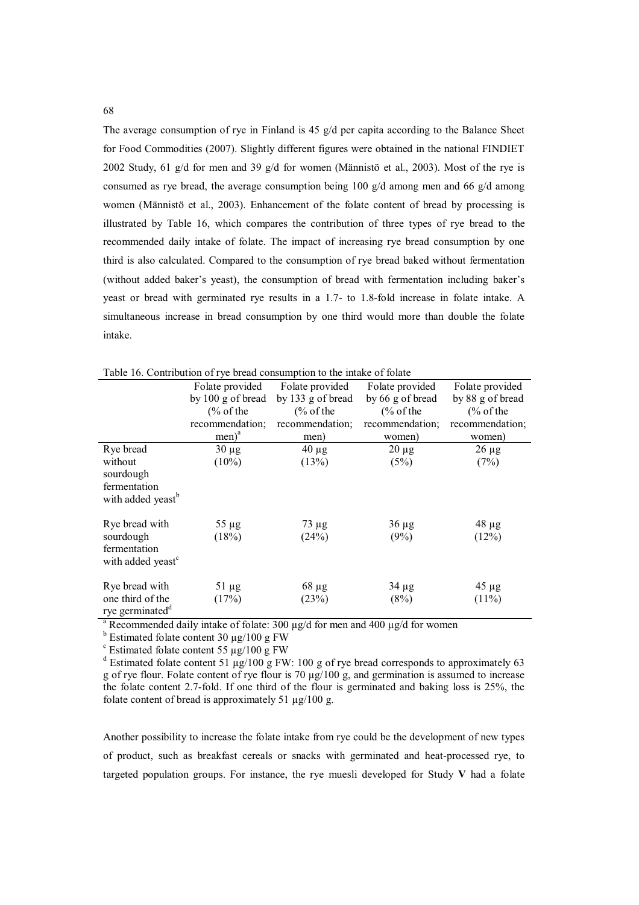The average consumption of rye in Finland is 45  $g/d$  per capita according to the Balance Sheet for Food Commodities (2007). Slightly different figures were obtained in the national FINDIET 2002 Study, 61 g/d for men and 39 g/d for women (Männistö et al., 2003). Most of the rye is consumed as rye bread, the average consumption being 100  $g/d$  among men and 66  $g/d$  among women (Männistö et al., 2003). Enhancement of the folate content of bread by processing is illustrated by Table 16, which compares the contribution of three types of rye bread to the recommended daily intake of folate. The impact of increasing rye bread consumption by one third is also calculated. Compared to the consumption of rye bread baked without fermentation (without added baker's yeast), the consumption of bread with fermentation including baker's yeast or bread with germinated rye results in a 1.7- to 1.8-fold increase in folate intake. A simultaneous increase in bread consumption by one third would more than double the folate intake.

|                               |                      | Tuble To. Contribution of Fye order consumption to the middle of fourte |                      |                      |
|-------------------------------|----------------------|-------------------------------------------------------------------------|----------------------|----------------------|
|                               | Folate provided      | Folate provided                                                         | Folate provided      | Folate provided      |
|                               | by $100$ g of bread  | by 133 g of bread                                                       | by 66 g of bread     | by 88 g of bread     |
|                               | $\frac{6}{6}$ of the | $\frac{6}{6}$ of the                                                    | $\frac{6}{6}$ of the | $\frac{6}{6}$ of the |
|                               | recommendation;      | recommendation;                                                         | recommendation;      | recommendation;      |
|                               | $men)^a$             | men)                                                                    | women)               | women)               |
| Rye bread                     | $30 \mu g$           | $40 \mu g$                                                              | $20 \mu g$           | $26 \mu g$           |
| without                       | $(10\%)$             | (13%)                                                                   | (5%)                 | (7%)                 |
| sourdough                     |                      |                                                                         |                      |                      |
| fermentation                  |                      |                                                                         |                      |                      |
| with added yeast <sup>b</sup> |                      |                                                                         |                      |                      |
| Rye bread with                | $55 \mu g$           | $73 \mu g$                                                              | $36 \mu g$           | $48 \mu g$           |
| sourdough                     | (18%)                | (24%)                                                                   | (9%)                 | (12%)                |
| fermentation                  |                      |                                                                         |                      |                      |
| with added yeast <sup>c</sup> |                      |                                                                         |                      |                      |
|                               |                      |                                                                         |                      |                      |
| Rye bread with                | $51 \mu g$           | $68 \mu g$                                                              | $34 \mu g$           | $45 \mu g$           |
| one third of the              | (17%)                | (23%)                                                                   | (8%)                 | $(11\%)$             |
| rye germinated <sup>d</sup>   |                      |                                                                         |                      |                      |

Table 16. Contribution of rye bread consumption to the intake of folate

<sup>a</sup> Recommended daily intake of folate: 300  $\mu$ g/d for men and 400  $\mu$ g/d for women

<sup>b</sup> Estimated folate content 30  $\mu$ g/100 g FW<br><sup>c</sup> Estimated folate content 55 ug/100 g FW

 $\degree$  Estimated folate content 55  $\mu$ g/100 g FW

<sup>d</sup> Estimated folate content 51 µg/100 g FW: 100 g of rye bread corresponds to approximately 63 g of rye flour. Folate content of rye flour is 70  $\mu$ g/100 g, and germination is assumed to increase the folate content 2.7-fold. If one third of the flour is germinated and baking loss is 25%, the folate content of bread is approximately 51  $\mu$ g/100 g.

Another possibility to increase the folate intake from rye could be the development of new types of product, such as breakfast cereals or snacks with germinated and heat-processed rye, to targeted population groups. For instance, the rye muesli developed for Study **V** had a folate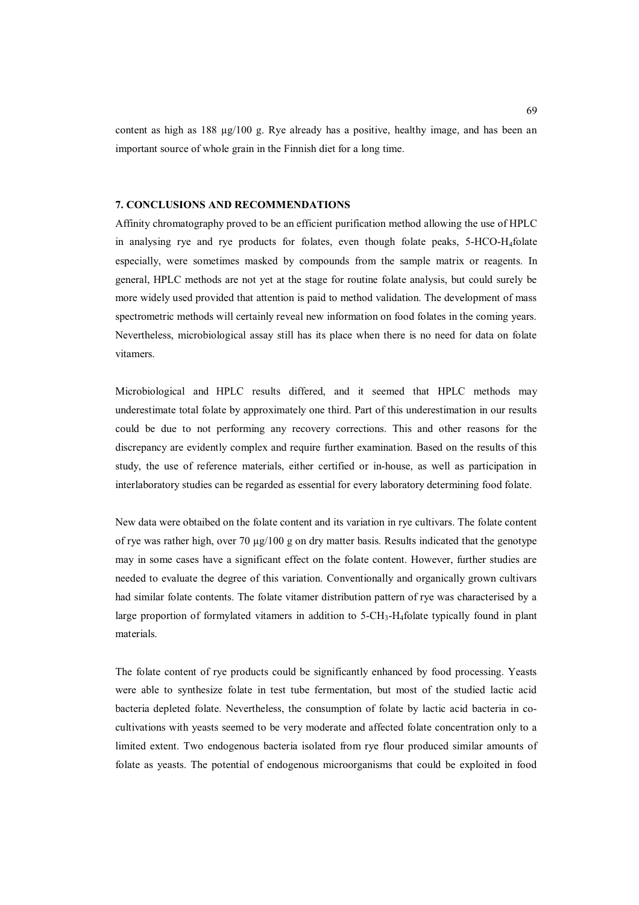content as high as  $188 \text{ µg}/100 \text{ g}$ . Rye already has a positive, healthy image, and has been an important source of whole grain in the Finnish diet for a long time.

#### **7. CONCLUSIONS AND RECOMMENDATIONS**

Affinity chromatography proved to be an efficient purification method allowing the use of HPLC in analysing rye and rye products for folates, even though folate peaks, 5-HCO-H4folate especially, were sometimes masked by compounds from the sample matrix or reagents. In general, HPLC methods are not yet at the stage for routine folate analysis, but could surely be more widely used provided that attention is paid to method validation. The development of mass spectrometric methods will certainly reveal new information on food folates in the coming years. Nevertheless, microbiological assay still has its place when there is no need for data on folate vitamers.

Microbiological and HPLC results differed, and it seemed that HPLC methods may underestimate total folate by approximately one third. Part of this underestimation in our results could be due to not performing any recovery corrections. This and other reasons for the discrepancy are evidently complex and require further examination. Based on the results of this study, the use of reference materials, either certified or in-house, as well as participation in interlaboratory studies can be regarded as essential for every laboratory determining food folate.

New data were obtaibed on the folate content and its variation in rye cultivars. The folate content of rye was rather high, over 70  $\mu$ g/100 g on dry matter basis. Results indicated that the genotype may in some cases have a significant effect on the folate content. However, further studies are needed to evaluate the degree of this variation. Conventionally and organically grown cultivars had similar folate contents. The folate vitamer distribution pattern of rye was characterised by a large proportion of formylated vitamers in addition to 5-CH<sub>3</sub>-H<sub>4</sub>folate typically found in plant materials.

The folate content of rye products could be significantly enhanced by food processing. Yeasts were able to synthesize folate in test tube fermentation, but most of the studied lactic acid bacteria depleted folate. Nevertheless, the consumption of folate by lactic acid bacteria in cocultivations with yeasts seemed to be very moderate and affected folate concentration only to a limited extent. Two endogenous bacteria isolated from rye flour produced similar amounts of folate as yeasts. The potential of endogenous microorganisms that could be exploited in food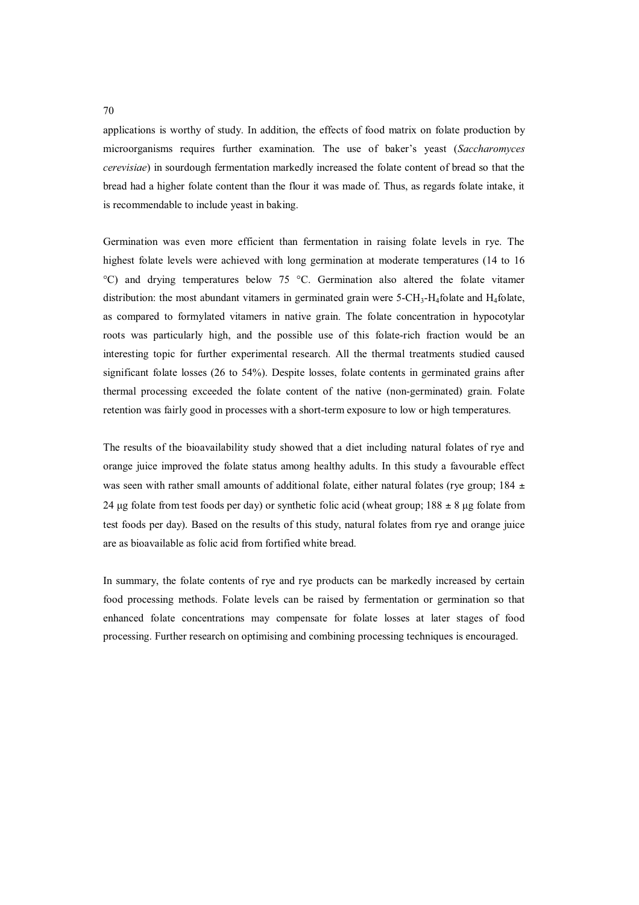applications is worthy of study. In addition, the effects of food matrix on folate production by microorganisms requires further examination. The use of baker's yeast (*Saccharomyces cerevisiae*) in sourdough fermentation markedly increased the folate content of bread so that the bread had a higher folate content than the flour it was made of. Thus, as regards folate intake, it is recommendable to include yeast in baking.

Germination was even more efficient than fermentation in raising folate levels in rye. The highest folate levels were achieved with long germination at moderate temperatures (14 to 16 °C) and drying temperatures below 75 °C. Germination also altered the folate vitamer distribution: the most abundant vitamers in germinated grain were 5-CH<sub>3</sub>-H<sub>4</sub>folate and H<sub>4</sub>folate, as compared to formylated vitamers in native grain. The folate concentration in hypocotylar roots was particularly high, and the possible use of this folate-rich fraction would be an interesting topic for further experimental research. All the thermal treatments studied caused significant folate losses (26 to 54%). Despite losses, folate contents in germinated grains after thermal processing exceeded the folate content of the native (non-germinated) grain. Folate retention was fairly good in processes with a short-term exposure to low or high temperatures.

The results of the bioavailability study showed that a diet including natural folates of rye and orange juice improved the folate status among healthy adults. In this study a favourable effect was seen with rather small amounts of additional folate, either natural folates (rye group; 184  $\pm$ 24 µg folate from test foods per day) or synthetic folic acid (wheat group;  $188 \pm 8$  µg folate from test foods per day). Based on the results of this study, natural folates from rye and orange juice are as bioavailable as folic acid from fortified white bread.

In summary, the folate contents of rye and rye products can be markedly increased by certain food processing methods. Folate levels can be raised by fermentation or germination so that enhanced folate concentrations may compensate for folate losses at later stages of food processing. Further research on optimising and combining processing techniques is encouraged.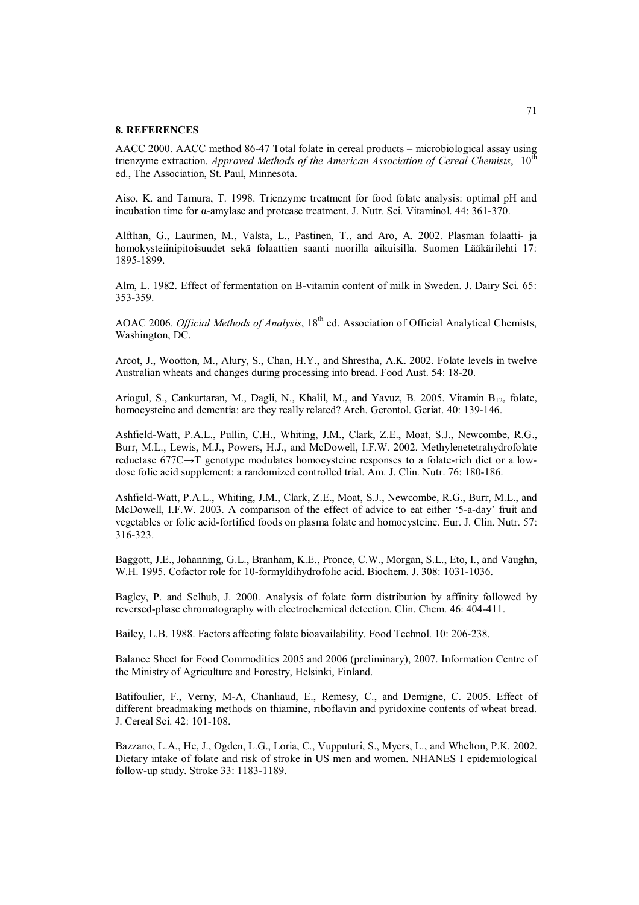### **8. REFERENCES**

AACC 2000. AACC method 86-47 Total folate in cereal products – microbiological assay using trienzyme extraction. *Approved Methods of the American Association of Cereal Chemists*, 10<sup>th</sup> ed., The Association, St. Paul, Minnesota.

Aiso, K. and Tamura, T. 1998. Trienzyme treatment for food folate analysis: optimal pH and incubation time for  $\alpha$ -amylase and protease treatment. J. Nutr. Sci. Vitaminol. 44: 361-370.

Alfthan, G., Laurinen, M., Valsta, L., Pastinen, T., and Aro, A. 2002. Plasman folaatti- ja homokysteiinipitoisuudet sekä folaattien saanti nuorilla aikuisilla. Suomen Lääkärilehti 17: 1895-1899.

Alm, L. 1982. Effect of fermentation on B-vitamin content of milk in Sweden. J. Dairy Sci. 65: 353-359.

AOAC 2006. *Official Methods of Analysis*, 18<sup>th</sup> ed. Association of Official Analytical Chemists, Washington, DC.

Arcot, J., Wootton, M., Alury, S., Chan, H.Y., and Shrestha, A.K. 2002. Folate levels in twelve Australian wheats and changes during processing into bread. Food Aust. 54: 18-20.

Ariogul, S., Cankurtaran, M., Dagli, N., Khalil, M., and Yavuz, B. 2005. Vitamin B<sub>12</sub>, folate, homocysteine and dementia: are they really related? Arch. Gerontol. Geriat. 40: 139-146.

Ashfield-Watt, P.A.L., Pullin, C.H., Whiting, J.M., Clark, Z.E., Moat, S.J., Newcombe, R.G., Burr, M.L., Lewis, M.J., Powers, H.J., and McDowell, I.F.W. 2002. Methylenetetrahydrofolate reductase  $677C \rightarrow T$  genotype modulates homocysteine responses to a folate-rich diet or a lowdose folic acid supplement: a randomized controlled trial. Am. J. Clin. Nutr. 76: 180-186.

Ashfield-Watt, P.A.L., Whiting, J.M., Clark, Z.E., Moat, S.J., Newcombe, R.G., Burr, M.L., and McDowell, I.F.W. 2003. A comparison of the effect of advice to eat either '5-a-day' fruit and vegetables or folic acid-fortified foods on plasma folate and homocysteine. Eur. J. Clin. Nutr. 57: 316-323.

Baggott, J.E., Johanning, G.L., Branham, K.E., Pronce, C.W., Morgan, S.L., Eto, I., and Vaughn, W.H. 1995. Cofactor role for 10-formyldihydrofolic acid. Biochem. J. 308: 1031-1036.

Bagley, P. and Selhub, J. 2000. Analysis of folate form distribution by affinity followed by reversed-phase chromatography with electrochemical detection. Clin. Chem. 46: 404-411.

Bailey, L.B. 1988. Factors affecting folate bioavailability. Food Technol. 10: 206-238.

Balance Sheet for Food Commodities 2005 and 2006 (preliminary), 2007. Information Centre of the Ministry of Agriculture and Forestry, Helsinki, Finland.

Batifoulier, F., Verny, M-A, Chanliaud, E., Remesy, C., and Demigne, C. 2005. Effect of different breadmaking methods on thiamine, riboflavin and pyridoxine contents of wheat bread. J. Cereal Sci. 42: 101-108.

Bazzano, L.A., He, J., Ogden, L.G., Loria, C., Vupputuri, S., Myers, L., and Whelton, P.K. 2002. Dietary intake of folate and risk of stroke in US men and women. NHANES I epidemiological follow-up study. Stroke 33: 1183-1189.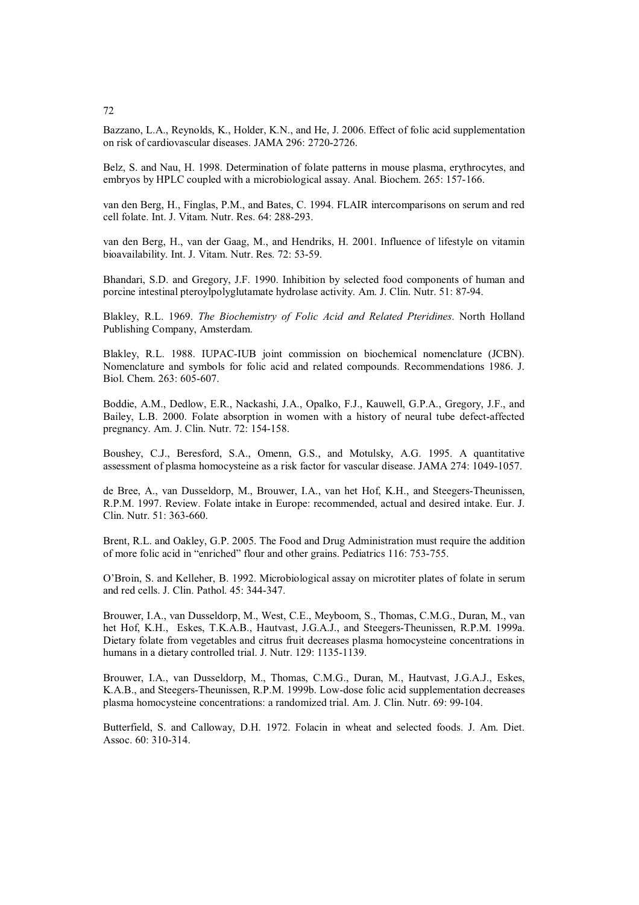72

Bazzano, L.A., Reynolds, K., Holder, K.N., and He, J. 2006. Effect of folic acid supplementation on risk of cardiovascular diseases. JAMA 296: 2720-2726.

Belz, S. and Nau, H. 1998. Determination of folate patterns in mouse plasma, erythrocytes, and embryos by HPLC coupled with a microbiological assay. Anal. Biochem. 265: 157-166.

van den Berg, H., Finglas, P.M., and Bates, C. 1994. FLAIR intercomparisons on serum and red cell folate. Int. J. Vitam. Nutr. Res. 64: 288-293.

van den Berg, H., van der Gaag, M., and Hendriks, H. 2001. Influence of lifestyle on vitamin bioavailability. Int. J. Vitam. Nutr. Res. 72: 53-59.

Bhandari, S.D. and Gregory, J.F. 1990. Inhibition by selected food components of human and porcine intestinal pteroylpolyglutamate hydrolase activity. Am. J. Clin. Nutr. 51: 87-94.

Blakley, R.L. 1969. *The Biochemistry of Folic Acid and Related Pteridines*. North Holland Publishing Company, Amsterdam.

Blakley, R.L. 1988. IUPAC-IUB joint commission on biochemical nomenclature (JCBN). Nomenclature and symbols for folic acid and related compounds. Recommendations 1986. J. Biol. Chem. 263: 605-607.

Boddie, A.M., Dedlow, E.R., Nackashi, J.A., Opalko, F.J., Kauwell, G.P.A., Gregory, J.F., and Bailey, L.B. 2000. Folate absorption in women with a history of neural tube defect-affected pregnancy. Am. J. Clin. Nutr. 72: 154-158.

Boushey, C.J., Beresford, S.A., Omenn, G.S., and Motulsky, A.G. 1995. A quantitative assessment of plasma homocysteine as a risk factor for vascular disease. JAMA 274: 1049-1057.

de Bree, A., van Dusseldorp, M., Brouwer, I.A., van het Hof, K.H., and Steegers-Theunissen, R.P.M. 1997. Review. Folate intake in Europe: recommended, actual and desired intake. Eur. J. Clin. Nutr. 51: 363-660.

Brent, R.L. and Oakley, G.P. 2005. The Food and Drug Administration must require the addition of more folic acid in "enriched" flour and other grains. Pediatrics 116: 753-755.

O'Broin, S. and Kelleher, B. 1992. Microbiological assay on microtiter plates of folate in serum and red cells. J. Clin. Pathol. 45: 344-347.

Brouwer, I.A., van Dusseldorp, M., West, C.E., Meyboom, S., Thomas, C.M.G., Duran, M., van het Hof, K.H., Eskes, T.K.A.B., Hautvast, J.G.A.J., and Steegers-Theunissen, R.P.M. 1999a. Dietary folate from vegetables and citrus fruit decreases plasma homocysteine concentrations in humans in a dietary controlled trial. J. Nutr. 129: 1135-1139.

Brouwer, I.A., van Dusseldorp, M., Thomas, C.M.G., Duran, M., Hautvast, J.G.A.J., Eskes, K.A.B., and Steegers-Theunissen, R.P.M. 1999b. Low-dose folic acid supplementation decreases plasma homocysteine concentrations: a randomized trial. Am. J. Clin. Nutr. 69: 99-104.

Butterfield, S. and Calloway, D.H. 1972. Folacin in wheat and selected foods. J. Am. Diet. Assoc. 60: 310-314.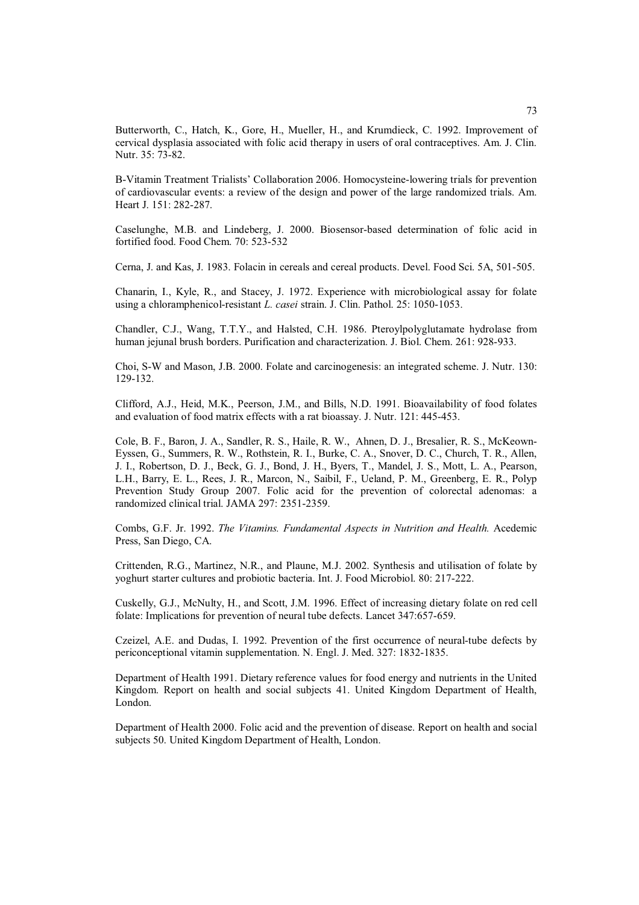Butterworth, C., Hatch, K., Gore, H., Mueller, H., and Krumdieck, C. 1992. Improvement of cervical dysplasia associated with folic acid therapy in users of oral contraceptives. Am. J. Clin. Nutr. 35: 73-82.

B-Vitamin Treatment Trialists' Collaboration 2006. Homocysteine-lowering trials for prevention of cardiovascular events: a review of the design and power of the large randomized trials. Am. Heart J. 151: 282-287.

Caselunghe, M.B. and Lindeberg, J. 2000. Biosensor-based determination of folic acid in fortified food. Food Chem. 70: 523-532

Cerna, J. and Kas, J. 1983. Folacin in cereals and cereal products. Devel. Food Sci. 5A, 501-505.

Chanarin, I., Kyle, R., and Stacey, J. 1972. Experience with microbiological assay for folate using a chloramphenicol-resistant *L. casei* strain. J. Clin. Pathol. 25: 1050-1053.

Chandler, C.J., Wang, T.T.Y., and Halsted, C.H. 1986. Pteroylpolyglutamate hydrolase from human jejunal brush borders. Purification and characterization. J. Biol. Chem. 261: 928-933.

Choi, S-W and Mason, J.B. 2000. Folate and carcinogenesis: an integrated scheme. J. Nutr. 130: 129-132.

Clifford, A.J., Heid, M.K., Peerson, J.M., and Bills, N.D. 1991. Bioavailability of food folates and evaluation of food matrix effects with a rat bioassay. J. Nutr. 121: 445-453.

Cole, B. F., Baron, J. A., Sandler, R. S., Haile, R. W., Ahnen, D. J., Bresalier, R. S., McKeown-Eyssen, G., Summers, R. W., Rothstein, R. I., Burke, C. A., Snover, D. C., Church, T. R., Allen, J. I., Robertson, D. J., Beck, G. J., Bond, J. H., Byers, T., Mandel, J. S., Mott, L. A., Pearson, L.H., Barry, E. L., Rees, J. R., Marcon, N., Saibil, F., Ueland, P. M., Greenberg, E. R., Polyp Prevention Study Group 2007. Folic acid for the prevention of colorectal adenomas: a randomized clinical trial. JAMA 297: 2351-2359.

Combs, G.F. Jr. 1992. *The Vitamins. Fundamental Aspects in Nutrition and Health.* Acedemic Press, San Diego, CA.

Crittenden, R.G., Martinez, N.R., and Plaune, M.J. 2002. Synthesis and utilisation of folate by yoghurt starter cultures and probiotic bacteria. Int. J. Food Microbiol. 80: 217-222.

Cuskelly, G.J., McNulty, H., and Scott, J.M. 1996. Effect of increasing dietary folate on red cell folate: Implications for prevention of neural tube defects. Lancet 347:657-659.

Czeizel, A.E. and Dudas, I. 1992. Prevention of the first occurrence of neural-tube defects by periconceptional vitamin supplementation. N. Engl. J. Med. 327: 1832-1835.

Department of Health 1991. Dietary reference values for food energy and nutrients in the United Kingdom. Report on health and social subjects 41. United Kingdom Department of Health, London.

Department of Health 2000. Folic acid and the prevention of disease. Report on health and social subjects 50. United Kingdom Department of Health, London.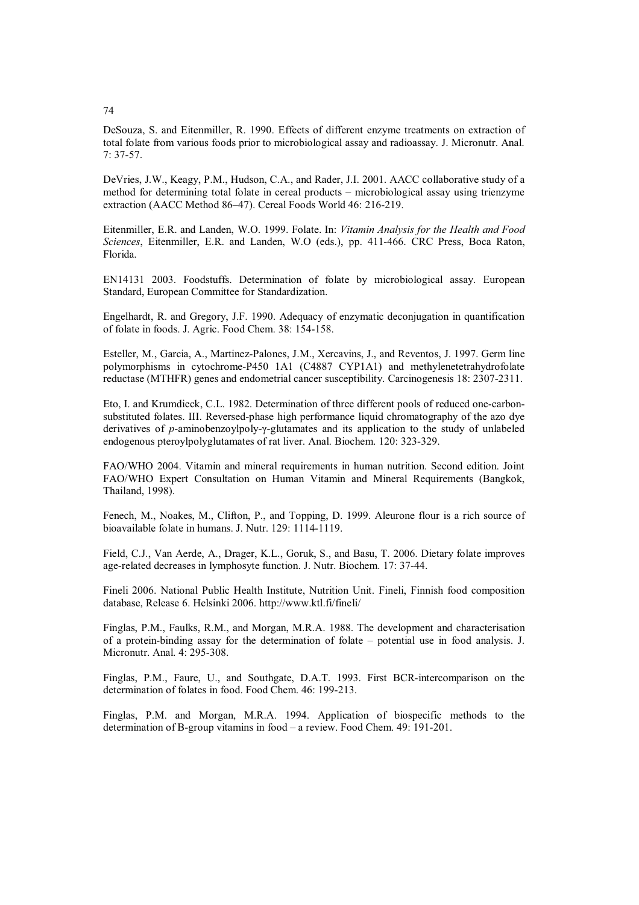DeSouza, S. and Eitenmiller, R. 1990. Effects of different enzyme treatments on extraction of total folate from various foods prior to microbiological assay and radioassay. J. Micronutr. Anal. 7: 37-57.

DeVries, J.W., Keagy, P.M., Hudson, C.A., and Rader, J.I. 2001. AACC collaborative study of a method for determining total folate in cereal products – microbiological assay using trienzyme extraction (AACC Method 86–47). Cereal Foods World 46: 216-219.

Eitenmiller, E.R. and Landen, W.O. 1999. Folate. In: *Vitamin Analysis for the Health and Food Sciences*, Eitenmiller, E.R. and Landen, W.O (eds.), pp. 411-466. CRC Press, Boca Raton, Florida.

EN14131 2003. Foodstuffs. Determination of folate by microbiological assay. European Standard, European Committee for Standardization.

Engelhardt, R. and Gregory, J.F. 1990. Adequacy of enzymatic deconjugation in quantification of folate in foods. J. Agric. Food Chem. 38: 154-158.

Esteller, M., Garcia, A., Martinez-Palones, J.M., Xercavins, J., and Reventos, J. 1997. Germ line polymorphisms in cytochrome-P450 1A1 (C4887 CYP1A1) and methylenetetrahydrofolate reductase (MTHFR) genes and endometrial cancer susceptibility. Carcinogenesis 18: 2307-2311.

Eto, I. and Krumdieck, C.L. 1982. Determination of three different pools of reduced one-carbonsubstituted folates. III. Reversed-phase high performance liquid chromatography of the azo dye derivatives of *p*-aminobenzoylpoly- $\gamma$ -glutamates and its application to the study of unlabeled endogenous pteroylpolyglutamates of rat liver. Anal. Biochem. 120: 323-329.

FAO/WHO 2004. Vitamin and mineral requirements in human nutrition. Second edition. Joint FAO/WHO Expert Consultation on Human Vitamin and Mineral Requirements (Bangkok, Thailand, 1998).

Fenech, M., Noakes, M., Clifton, P., and Topping, D. 1999. Aleurone flour is a rich source of bioavailable folate in humans. J. Nutr. 129: 1114-1119.

Field, C.J., Van Aerde, A., Drager, K.L., Goruk, S., and Basu, T. 2006. Dietary folate improves age-related decreases in lymphosyte function. J. Nutr. Biochem. 17: 37-44.

Fineli 2006. National Public Health Institute, Nutrition Unit. Fineli, Finnish food composition database, Release 6. Helsinki 2006. http://www.ktl.fi/fineli/

Finglas, P.M., Faulks, R.M., and Morgan, M.R.A. 1988. The development and characterisation of a protein-binding assay for the determination of folate – potential use in food analysis. J. Micronutr. Anal. 4: 295-308.

Finglas, P.M., Faure, U., and Southgate, D.A.T. 1993. First BCR-intercomparison on the determination of folates in food. Food Chem. 46: 199-213.

Finglas, P.M. and Morgan, M.R.A. 1994. Application of biospecific methods to the determination of B-group vitamins in food – a review. Food Chem. 49: 191-201.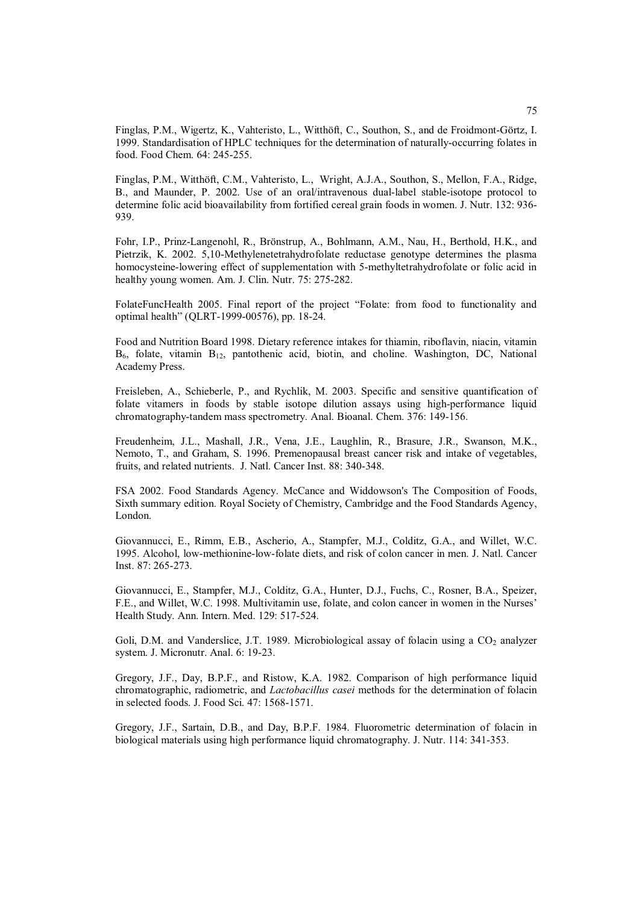Finglas, P.M., Wigertz, K., Vahteristo, L., Witthöft, C., Southon, S., and de Froidmont-Görtz, I. 1999. Standardisation of HPLC techniques for the determination of naturally-occurring folates in food. Food Chem. 64: 245-255.

Finglas, P.M., Witthöft, C.M., Vahteristo, L., Wright, A.J.A., Southon, S., Mellon, F.A., Ridge, B., and Maunder, P. 2002. Use of an oral/intravenous dual-label stable-isotope protocol to determine folic acid bioavailability from fortified cereal grain foods in women. J. Nutr. 132: 936- 939.

Fohr, I.P., Prinz-Langenohl, R., Brönstrup, A., Bohlmann, A.M., Nau, H., Berthold, H.K., and Pietrzik, K. 2002. 5,10-Methylenetetrahydrofolate reductase genotype determines the plasma homocysteine-lowering effect of supplementation with 5-methyltetrahydrofolate or folic acid in healthy young women. Am. J. Clin. Nutr. 75: 275-282.

FolateFuncHealth 2005. Final report of the project "Folate: from food to functionality and optimal health" (QLRT-1999-00576), pp. 18-24.

Food and Nutrition Board 1998. Dietary reference intakes for thiamin, riboflavin, niacin, vitamin  $B_6$ , folate, vitamin  $B_{12}$ , pantothenic acid, biotin, and choline. Washington, DC, National Academy Press.

Freisleben, A., Schieberle, P., and Rychlik, M. 2003. Specific and sensitive quantification of folate vitamers in foods by stable isotope dilution assays using high-performance liquid chromatography-tandem mass spectrometry. Anal. Bioanal. Chem. 376: 149-156.

Freudenheim, J.L., Mashall, J.R., Vena, J.E., Laughlin, R., Brasure, J.R., Swanson, M.K., Nemoto, T., and Graham, S. 1996. Premenopausal breast cancer risk and intake of vegetables, fruits, and related nutrients. J. Natl. Cancer Inst. 88: 340-348.

FSA 2002. Food Standards Agency. McCance and Widdowson's The Composition of Foods, Sixth summary edition. Royal Society of Chemistry, Cambridge and the Food Standards Agency, London.

Giovannucci, E., Rimm, E.B., Ascherio, A., Stampfer, M.J., Colditz, G.A., and Willet, W.C. 1995. Alcohol, low-methionine-low-folate diets, and risk of colon cancer in men. J. Natl. Cancer Inst. 87: 265-273.

Giovannucci, E., Stampfer, M.J., Colditz, G.A., Hunter, D.J., Fuchs, C., Rosner, B.A., Speizer, F.E., and Willet, W.C. 1998. Multivitamin use, folate, and colon cancer in women in the Nurses' Health Study. Ann. Intern. Med. 129: 517-524.

Goli, D.M. and Vanderslice, J.T. 1989. Microbiological assay of folacin using a  $CO<sub>2</sub>$  analyzer system. J. Micronutr. Anal. 6: 19-23.

Gregory, J.F., Day, B.P.F., and Ristow, K.A. 1982. Comparison of high performance liquid chromatographic, radiometric, and *Lactobacillus casei* methods for the determination of folacin in selected foods. J. Food Sci. 47: 1568-1571.

Gregory, J.F., Sartain, D.B., and Day, B.P.F. 1984. Fluorometric determination of folacin in biological materials using high performance liquid chromatography. J. Nutr. 114: 341-353.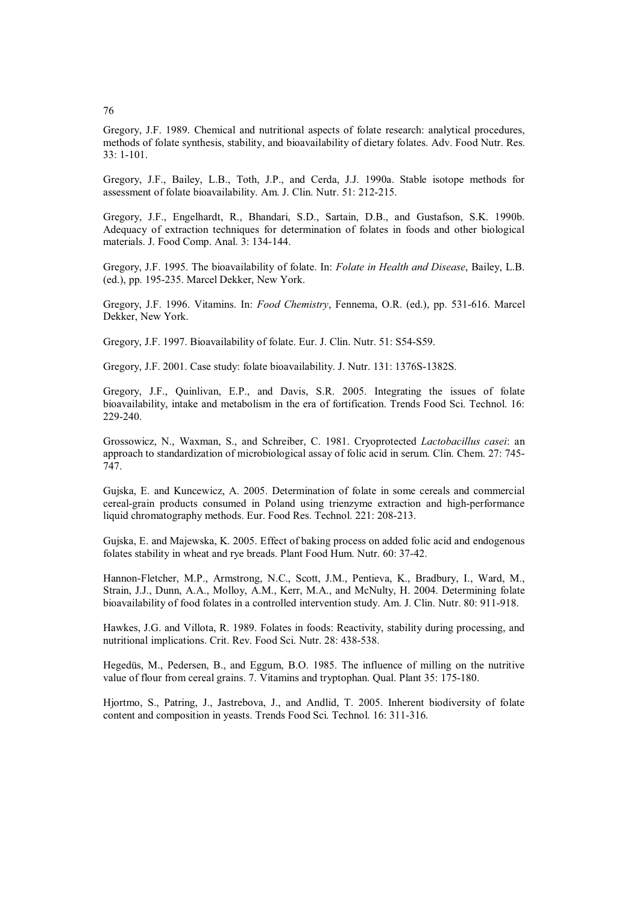Gregory, J.F. 1989. Chemical and nutritional aspects of folate research: analytical procedures, methods of folate synthesis, stability, and bioavailability of dietary folates. Adv. Food Nutr. Res. 33: 1-101.

Gregory, J.F., Bailey, L.B., Toth, J.P., and Cerda, J.J. 1990a. Stable isotope methods for assessment of folate bioavailability. Am. J. Clin. Nutr. 51: 212-215.

Gregory, J.F., Engelhardt, R., Bhandari, S.D., Sartain, D.B., and Gustafson, S.K. 1990b. Adequacy of extraction techniques for determination of folates in foods and other biological materials. J. Food Comp. Anal. 3: 134-144.

Gregory, J.F. 1995. The bioavailability of folate. In: *Folate in Health and Disease*, Bailey, L.B. (ed.), pp. 195-235. Marcel Dekker, New York.

Gregory, J.F. 1996. Vitamins. In: *Food Chemistry*, Fennema, O.R. (ed.), pp. 531-616. Marcel Dekker, New York.

Gregory, J.F. 1997. Bioavailability of folate. Eur. J. Clin. Nutr. 51: S54-S59.

Gregory, J.F. 2001. Case study: folate bioavailability. J. Nutr. 131: 1376S-1382S.

Gregory, J.F., Quinlivan, E.P., and Davis, S.R. 2005. Integrating the issues of folate bioavailability, intake and metabolism in the era of fortification. Trends Food Sci. Technol. 16: 229-240.

Grossowicz, N., Waxman, S., and Schreiber, C. 1981. Cryoprotected *Lactobacillus casei*: an approach to standardization of microbiological assay of folic acid in serum. Clin. Chem. 27: 745- 747.

Gujska, E. and Kuncewicz, A. 2005. Determination of folate in some cereals and commercial cereal-grain products consumed in Poland using trienzyme extraction and high-performance liquid chromatography methods. Eur. Food Res. Technol. 221: 208-213.

Gujska, E. and Majewska, K. 2005. Effect of baking process on added folic acid and endogenous folates stability in wheat and rye breads. Plant Food Hum. Nutr. 60: 37-42.

Hannon-Fletcher, M.P., Armstrong, N.C., Scott, J.M., Pentieva, K., Bradbury, I., Ward, M., Strain, J.J., Dunn, A.A., Molloy, A.M., Kerr, M.A., and McNulty, H. 2004. Determining folate bioavailability of food folates in a controlled intervention study. Am. J. Clin. Nutr. 80: 911-918.

Hawkes, J.G. and Villota, R. 1989. Folates in foods: Reactivity, stability during processing, and nutritional implications. Crit. Rev. Food Sci. Nutr. 28: 438-538.

Hegedüs, M., Pedersen, B., and Eggum, B.O. 1985. The influence of milling on the nutritive value of flour from cereal grains. 7. Vitamins and tryptophan. Qual. Plant 35: 175-180.

Hjortmo, S., Patring, J., Jastrebova, J., and Andlid, T. 2005. Inherent biodiversity of folate content and composition in yeasts. Trends Food Sci. Technol. 16: 311-316.

76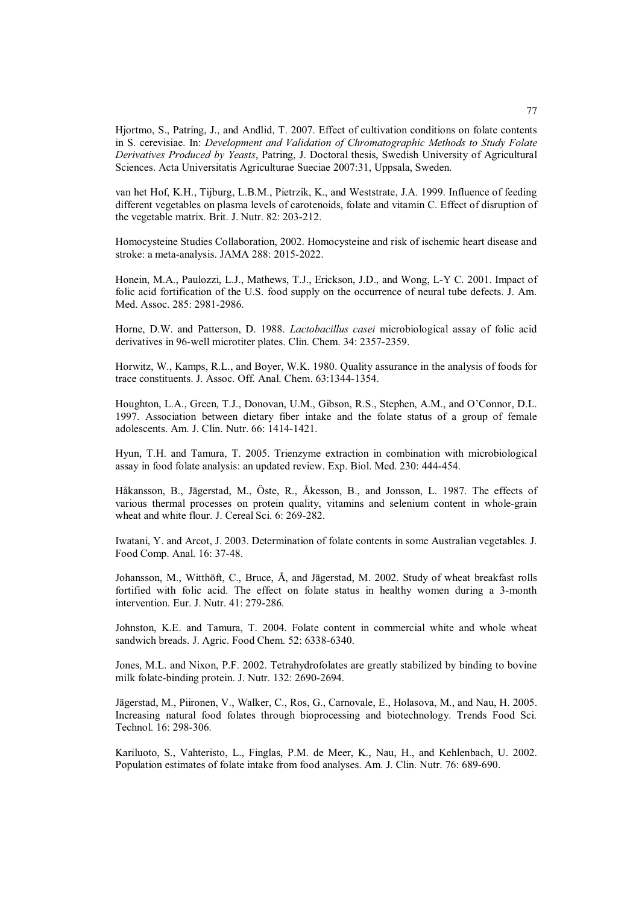Hjortmo, S., Patring, J., and Andlid, T. 2007. Effect of cultivation conditions on folate contents in S. cerevisiae. In: *Development and Validation of Chromatographic Methods to Study Folate Derivatives Produced by Yeasts*, Patring, J. Doctoral thesis, Swedish University of Agricultural Sciences. Acta Universitatis Agriculturae Sueciae 2007:31, Uppsala, Sweden.

van het Hof, K.H., Tijburg, L.B.M., Pietrzik, K., and Weststrate, J.A. 1999. Influence of feeding different vegetables on plasma levels of carotenoids, folate and vitamin C. Effect of disruption of the vegetable matrix. Brit. J. Nutr. 82: 203-212.

Homocysteine Studies Collaboration, 2002. Homocysteine and risk of ischemic heart disease and stroke: a meta-analysis. JAMA 288: 2015-2022.

Honein, M.A., Paulozzi, L.J., Mathews, T.J., Erickson, J.D., and Wong, L-Y C. 2001. Impact of folic acid fortification of the U.S. food supply on the occurrence of neural tube defects. J. Am. Med. Assoc. 285: 2981-2986.

Horne, D.W. and Patterson, D. 1988. *Lactobacillus casei* microbiological assay of folic acid derivatives in 96-well microtiter plates. Clin. Chem. 34: 2357-2359.

Horwitz, W., Kamps, R.L., and Boyer, W.K. 1980. Quality assurance in the analysis of foods for trace constituents. J. Assoc. Off. Anal. Chem. 63:1344-1354.

Houghton, L.A., Green, T.J., Donovan, U.M., Gibson, R.S., Stephen, A.M., and O'Connor, D.L. 1997. Association between dietary fiber intake and the folate status of a group of female adolescents. Am. J. Clin. Nutr. 66: 1414-1421.

Hyun, T.H. and Tamura, T. 2005. Trienzyme extraction in combination with microbiological assay in food folate analysis: an updated review. Exp. Biol. Med. 230: 444-454.

Håkansson, B., Jägerstad, M., Öste, R., Åkesson, B., and Jonsson, L. 1987. The effects of various thermal processes on protein quality, vitamins and selenium content in whole-grain wheat and white flour. J. Cereal Sci. 6: 269-282.

Iwatani, Y. and Arcot, J. 2003. Determination of folate contents in some Australian vegetables. J. Food Comp. Anal. 16: 37-48.

Johansson, M., Witthöft, C., Bruce, Å, and Jägerstad, M. 2002. Study of wheat breakfast rolls fortified with folic acid. The effect on folate status in healthy women during a 3-month intervention. Eur. J. Nutr. 41: 279-286.

Johnston, K.E. and Tamura, T. 2004. Folate content in commercial white and whole wheat sandwich breads. J. Agric. Food Chem. 52: 6338-6340.

Jones, M.L. and Nixon, P.F. 2002. Tetrahydrofolates are greatly stabilized by binding to bovine milk folate-binding protein. J. Nutr. 132: 2690-2694.

Jägerstad, M., Piironen, V., Walker, C., Ros, G., Carnovale, E., Holasova, M., and Nau, H. 2005. Increasing natural food folates through bioprocessing and biotechnology. Trends Food Sci. Technol. 16: 298-306.

Kariluoto, S., Vahteristo, L., Finglas, P.M. de Meer, K., Nau, H., and Kehlenbach, U. 2002. Population estimates of folate intake from food analyses. Am. J. Clin. Nutr. 76: 689-690.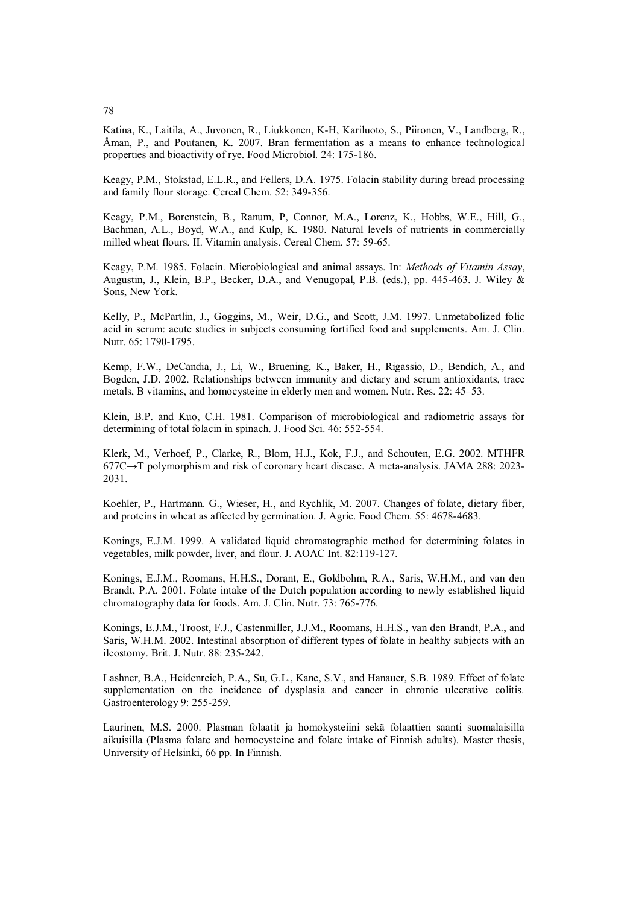Katina, K., Laitila, A., Juvonen, R., Liukkonen, K-H, Kariluoto, S., Piironen, V., Landberg, R., Åman, P., and Poutanen, K. 2007. Bran fermentation as a means to enhance technological

properties and bioactivity of rye. Food Microbiol. 24: 175-186.

Keagy, P.M., Stokstad, E.L.R., and Fellers, D.A. 1975. Folacin stability during bread processing and family flour storage. Cereal Chem. 52: 349-356.

Keagy, P.M., Borenstein, B., Ranum, P, Connor, M.A., Lorenz, K., Hobbs, W.E., Hill, G., Bachman, A.L., Boyd, W.A., and Kulp, K. 1980. Natural levels of nutrients in commercially milled wheat flours. II. Vitamin analysis. Cereal Chem. 57: 59-65.

Keagy, P.M. 1985. Folacin. Microbiological and animal assays. In: *Methods of Vitamin Assay*, Augustin, J., Klein, B.P., Becker, D.A., and Venugopal, P.B. (eds.), pp. 445-463. J. Wiley & Sons, New York.

Kelly, P., McPartlin, J., Goggins, M., Weir, D.G., and Scott, J.M. 1997. Unmetabolized folic acid in serum: acute studies in subjects consuming fortified food and supplements. Am. J. Clin. Nutr. 65: 1790-1795.

Kemp, F.W., DeCandia, J., Li, W., Bruening, K., Baker, H., Rigassio, D., Bendich, A., and Bogden, J.D. 2002. Relationships between immunity and dietary and serum antioxidants, trace metals, B vitamins, and homocysteine in elderly men and women. Nutr. Res. 22: 45–53.

Klein, B.P. and Kuo, C.H. 1981. Comparison of microbiological and radiometric assays for determining of total folacin in spinach. J. Food Sci. 46: 552-554.

Klerk, M., Verhoef, P., Clarke, R., Blom, H.J., Kok, F.J., and Schouten, E.G. 2002. MTHFR  $677C \rightarrow T$  polymorphism and risk of coronary heart disease. A meta-analysis. JAMA 288: 2023-2031.

Koehler, P., Hartmann. G., Wieser, H., and Rychlik, M. 2007. Changes of folate, dietary fiber, and proteins in wheat as affected by germination. J. Agric. Food Chem. 55: 4678-4683.

Konings, E.J.M. 1999. A validated liquid chromatographic method for determining folates in vegetables, milk powder, liver, and flour. J. AOAC Int. 82:119-127.

Konings, E.J.M., Roomans, H.H.S., Dorant, E., Goldbohm, R.A., Saris, W.H.M., and van den Brandt, P.A. 2001. Folate intake of the Dutch population according to newly established liquid chromatography data for foods. Am. J. Clin. Nutr. 73: 765-776.

Konings, E.J.M., Troost, F.J., Castenmiller, J.J.M., Roomans, H.H.S., van den Brandt, P.A., and Saris, W.H.M. 2002. Intestinal absorption of different types of folate in healthy subjects with an ileostomy. Brit. J. Nutr. 88: 235-242.

Lashner, B.A., Heidenreich, P.A., Su, G.L., Kane, S.V., and Hanauer, S.B. 1989. Effect of folate supplementation on the incidence of dysplasia and cancer in chronic ulcerative colitis. Gastroenterology 9: 255-259.

Laurinen, M.S. 2000. Plasman folaatit ja homokysteiini sekä folaattien saanti suomalaisilla aikuisilla (Plasma folate and homocysteine and folate intake of Finnish adults). Master thesis, University of Helsinki, 66 pp. In Finnish.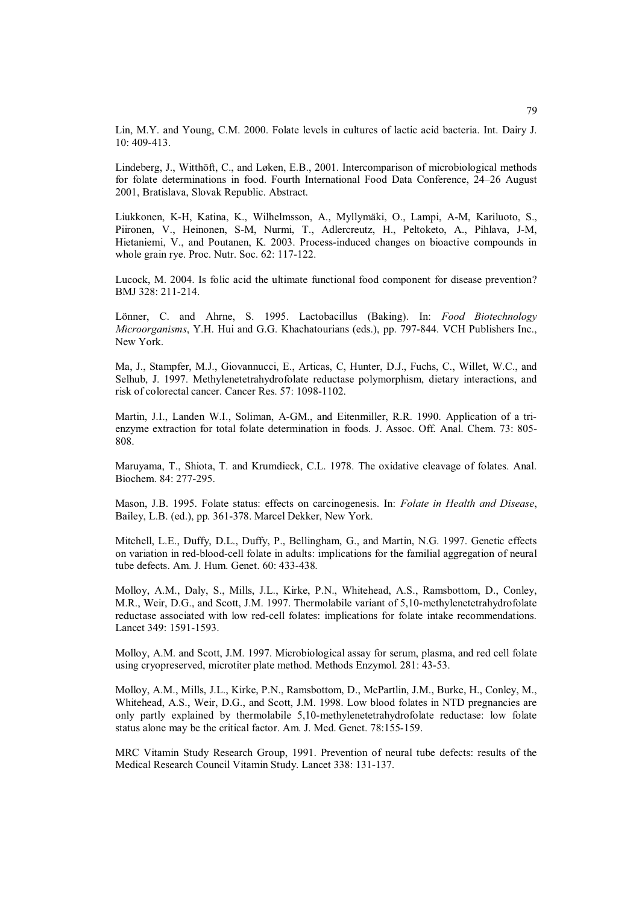Lin, M.Y. and Young, C.M. 2000. Folate levels in cultures of lactic acid bacteria. Int. Dairy J. 10: 409-413.

Lindeberg, J., Witthöft, C., and Løken, E.B., 2001. Intercomparison of microbiological methods for folate determinations in food. Fourth International Food Data Conference, 24–26 August 2001, Bratislava, Slovak Republic. Abstract.

Liukkonen, K-H, Katina, K., Wilhelmsson, A., Myllymäki, O., Lampi, A-M, Kariluoto, S., Piironen, V., Heinonen, S-M, Nurmi, T., Adlercreutz, H., Peltoketo, A., Pihlava, J-M, Hietaniemi, V., and Poutanen, K. 2003. Process-induced changes on bioactive compounds in whole grain rye. Proc. Nutr. Soc. 62: 117-122.

Lucock, M. 2004. Is folic acid the ultimate functional food component for disease prevention? BMJ 328: 211-214.

Lönner, C. and Ahrne, S. 1995. Lactobacillus (Baking). In: *Food Biotechnology Microorganisms*, Y.H. Hui and G.G. Khachatourians (eds.), pp. 797-844. VCH Publishers Inc., New York.

Ma, J., Stampfer, M.J., Giovannucci, E., Articas, C, Hunter, D.J., Fuchs, C., Willet, W.C., and Selhub, J. 1997. Methylenetetrahydrofolate reductase polymorphism, dietary interactions, and risk of colorectal cancer. Cancer Res. 57: 1098-1102.

Martin, J.I., Landen W.I., Soliman, A-GM., and Eitenmiller, R.R. 1990. Application of a trienzyme extraction for total folate determination in foods. J. Assoc. Off. Anal. Chem. 73: 805- 808.

Maruyama, T., Shiota, T. and Krumdieck, C.L. 1978. The oxidative cleavage of folates. Anal. Biochem. 84: 277-295.

Mason, J.B. 1995. Folate status: effects on carcinogenesis. In: *Folate in Health and Disease*, Bailey, L.B. (ed.), pp. 361-378. Marcel Dekker, New York.

Mitchell, L.E., Duffy, D.L., Duffy, P., Bellingham, G., and Martin, N.G. 1997. Genetic effects on variation in red-blood-cell folate in adults: implications for the familial aggregation of neural tube defects. Am. J. Hum. Genet. 60: 433-438.

Molloy, A.M., Daly, S., Mills, J.L., Kirke, P.N., Whitehead, A.S., Ramsbottom, D., Conley, M.R., Weir, D.G., and Scott, J.M. 1997. Thermolabile variant of 5,10-methylenetetrahydrofolate reductase associated with low red-cell folates: implications for folate intake recommendations. Lancet 349: 1591-1593.

Molloy, A.M. and Scott, J.M. 1997. Microbiological assay for serum, plasma, and red cell folate using cryopreserved, microtiter plate method. Methods Enzymol. 281: 43-53.

Molloy, A.M., Mills, J.L., Kirke, P.N., Ramsbottom, D., McPartlin, J.M., Burke, H., Conley, M., Whitehead, A.S., Weir, D.G., and Scott, J.M. 1998. Low blood folates in NTD pregnancies are only partly explained by thermolabile 5,10-methylenetetrahydrofolate reductase: low folate status alone may be the critical factor. Am. J. Med. Genet. 78:155-159.

MRC Vitamin Study Research Group, 1991. Prevention of neural tube defects: results of the Medical Research Council Vitamin Study. Lancet 338: 131-137.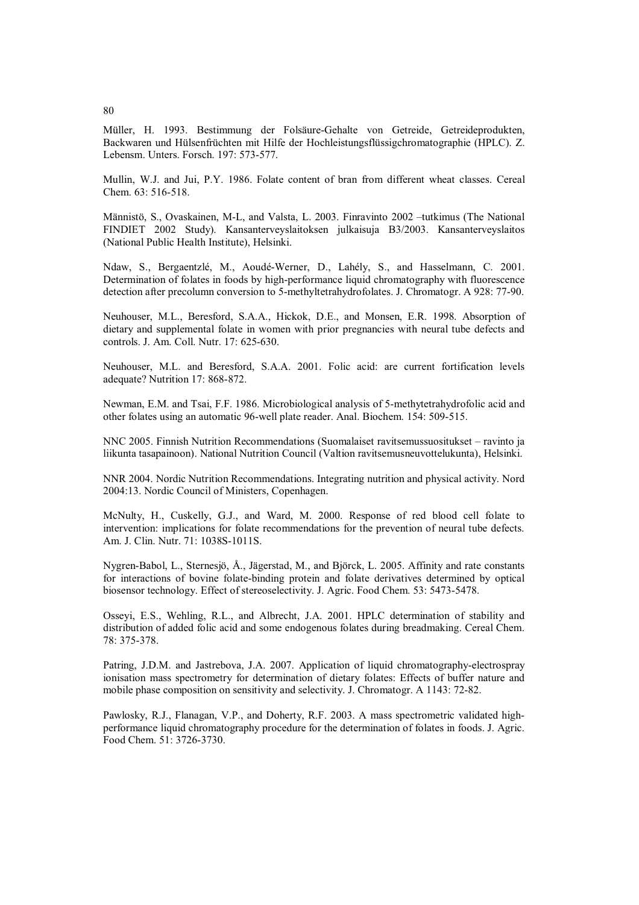Müller, H. 1993. Bestimmung der Folsäure-Gehalte von Getreide, Getreideprodukten, Backwaren und Hülsenfrüchten mit Hilfe der Hochleistungsflüssigchromatographie (HPLC). Z. Lebensm. Unters. Forsch. 197: 573-577.

Mullin, W.J. and Jui, P.Y. 1986. Folate content of bran from different wheat classes. Cereal Chem. 63: 516-518.

Männistö, S., Ovaskainen, M-L, and Valsta, L. 2003. Finravinto 2002 -tutkimus (The National FINDIET 2002 Study). Kansanterveyslaitoksen julkaisuja B3/2003. Kansanterveyslaitos (National Public Health Institute), Helsinki.

Ndaw, S., Bergaentzlé, M., Aoudé-Werner, D., Lahély, S., and Hasselmann, C. 2001. Determination of folates in foods by high-performance liquid chromatography with fluorescence detection after precolumn conversion to 5-methyltetrahydrofolates. J. Chromatogr. A 928: 77-90.

Neuhouser, M.L., Beresford, S.A.A., Hickok, D.E., and Monsen, E.R. 1998. Absorption of dietary and supplemental folate in women with prior pregnancies with neural tube defects and controls. J. Am. Coll. Nutr. 17: 625-630.

Neuhouser, M.L. and Beresford, S.A.A. 2001. Folic acid: are current fortification levels adequate? Nutrition 17: 868-872.

Newman, E.M. and Tsai, F.F. 1986. Microbiological analysis of 5-methytetrahydrofolic acid and other folates using an automatic 96-well plate reader. Anal. Biochem. 154: 509-515.

NNC 2005. Finnish Nutrition Recommendations (Suomalaiset ravitsemussuositukset – ravinto ja liikunta tasapainoon). National Nutrition Council (Valtion ravitsemusneuvottelukunta), Helsinki.

NNR 2004. Nordic Nutrition Recommendations. Integrating nutrition and physical activity. Nord 2004:13. Nordic Council of Ministers, Copenhagen.

McNulty, H., Cuskelly, G.J., and Ward, M. 2000. Response of red blood cell folate to intervention: implications for folate recommendations for the prevention of neural tube defects. Am. J. Clin. Nutr. 71: 1038S-1011S.

Nygren-Babol, L., Sternesjö, Å., Jägerstad, M., and Björck, L. 2005. Affinity and rate constants for interactions of bovine folate-binding protein and folate derivatives determined by optical biosensor technology. Effect of stereoselectivity. J. Agric. Food Chem. 53: 5473-5478.

Osseyi, E.S., Wehling, R.L., and Albrecht, J.A. 2001. HPLC determination of stability and distribution of added folic acid and some endogenous folates during breadmaking. Cereal Chem. 78: 375-378.

Patring, J.D.M. and Jastrebova, J.A. 2007. Application of liquid chromatography-electrospray ionisation mass spectrometry for determination of dietary folates: Effects of buffer nature and mobile phase composition on sensitivity and selectivity. J. Chromatogr. A 1143: 72-82.

Pawlosky, R.J., Flanagan, V.P., and Doherty, R.F. 2003. A mass spectrometric validated highperformance liquid chromatography procedure for the determination of folates in foods. J. Agric. Food Chem. 51: 3726-3730.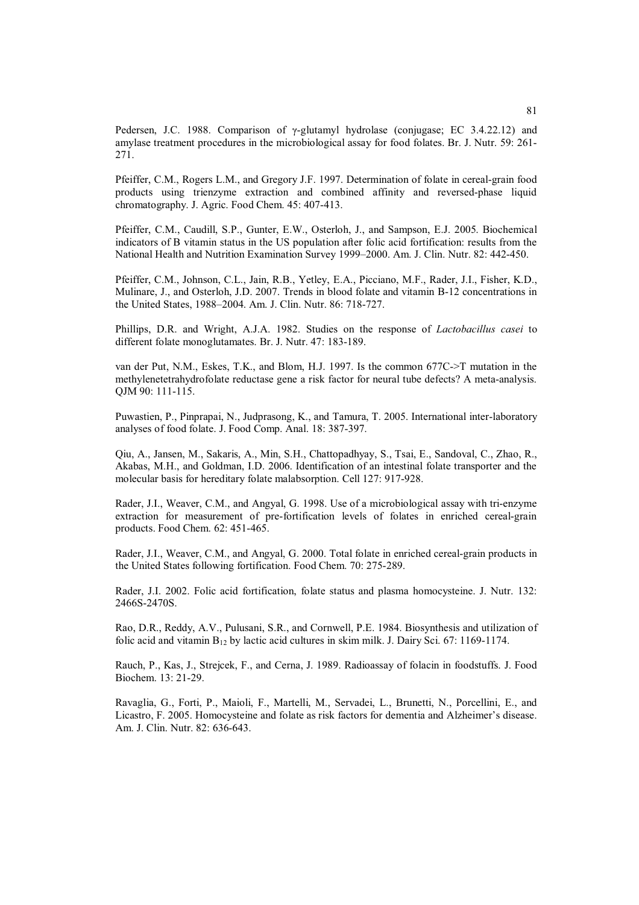Pedersen, J.C. 1988. Comparison of  $\gamma$ -glutamyl hydrolase (conjugase; EC 3.4.22.12) and amylase treatment procedures in the microbiological assay for food folates. Br. J. Nutr. 59: 261- 271.

Pfeiffer, C.M., Rogers L.M., and Gregory J.F. 1997. Determination of folate in cereal-grain food products using trienzyme extraction and combined affinity and reversed-phase liquid chromatography. J. Agric. Food Chem. 45: 407-413.

Pfeiffer, C.M., Caudill, S.P., Gunter, E.W., Osterloh, J., and Sampson, E.J. 2005. Biochemical indicators of B vitamin status in the US population after folic acid fortification: results from the National Health and Nutrition Examination Survey 1999–2000. Am. J. Clin. Nutr. 82: 442-450.

Pfeiffer, C.M., Johnson, C.L., Jain, R.B., Yetley, E.A., Picciano, M.F., Rader, J.I., Fisher, K.D., Mulinare, J., and Osterloh, J.D. 2007. Trends in blood folate and vitamin B-12 concentrations in the United States, 1988–2004. Am. J. Clin. Nutr. 86: 718-727.

Phillips, D.R. and Wright, A.J.A. 1982. Studies on the response of *Lactobacillus casei* to different folate monoglutamates. Br. J. Nutr. 47: 183-189.

van der Put, N.M., Eskes, T.K., and Blom, H.J. 1997. Is the common 677C->T mutation in the methylenetetrahydrofolate reductase gene a risk factor for neural tube defects? A meta-analysis. QJM 90: 111-115.

Puwastien, P., Pinprapai, N., Judprasong, K., and Tamura, T. 2005. International inter-laboratory analyses of food folate. J. Food Comp. Anal. 18: 387-397.

Qiu, A., Jansen, M., Sakaris, A., Min, S.H., Chattopadhyay, S., Tsai, E., Sandoval, C., Zhao, R., Akabas, M.H., and Goldman, I.D. 2006. Identification of an intestinal folate transporter and the molecular basis for hereditary folate malabsorption. Cell 127: 917-928.

Rader, J.I., Weaver, C.M., and Angyal, G. 1998. Use of a microbiological assay with tri-enzyme extraction for measurement of pre-fortification levels of folates in enriched cereal-grain products. Food Chem. 62: 451-465.

Rader, J.I., Weaver, C.M., and Angyal, G. 2000. Total folate in enriched cereal-grain products in the United States following fortification. Food Chem. 70: 275-289.

Rader, J.I. 2002. Folic acid fortification, folate status and plasma homocysteine. J. Nutr. 132: 2466S-2470S.

Rao, D.R., Reddy, A.V., Pulusani, S.R., and Cornwell, P.E. 1984. Biosynthesis and utilization of folic acid and vitamin  $B_{12}$  by lactic acid cultures in skim milk. J. Dairy Sci. 67: 1169-1174.

Rauch, P., Kas, J., Strejcek, F., and Cerna, J. 1989. Radioassay of folacin in foodstuffs. J. Food Biochem. 13: 21-29.

Ravaglia, G., Forti, P., Maioli, F., Martelli, M., Servadei, L., Brunetti, N., Porcellini, E., and Licastro, F. 2005. Homocysteine and folate as risk factors for dementia and Alzheimer's disease. Am. J. Clin. Nutr. 82: 636-643.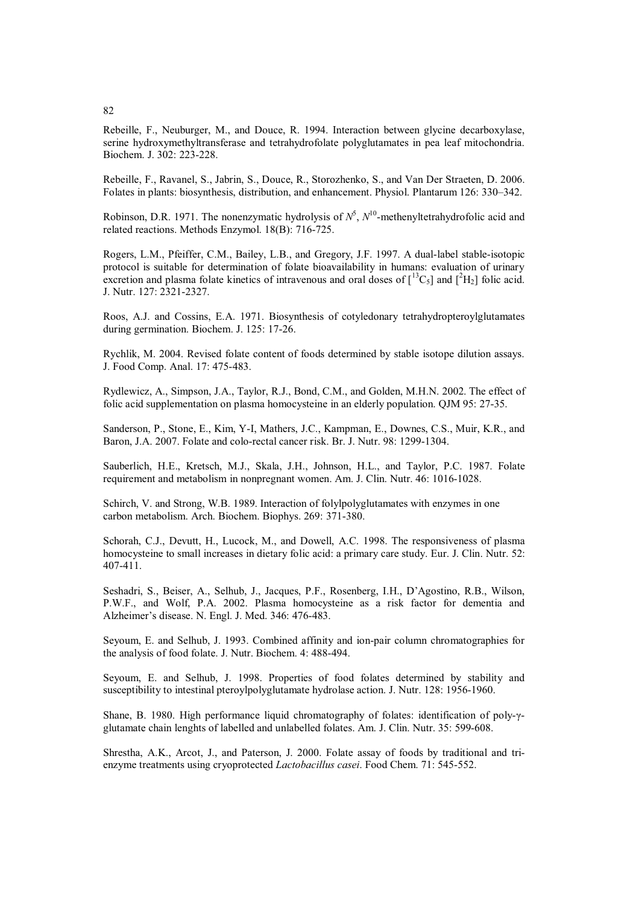Rebeille, F., Neuburger, M., and Douce, R. 1994. Interaction between glycine decarboxylase, serine hydroxymethyltransferase and tetrahydrofolate polyglutamates in pea leaf mitochondria. Biochem. J. 302: 223-228.

Rebeille, F., Ravanel, S., Jabrin, S., Douce, R., Storozhenko, S., and Van Der Straeten, D. 2006. Folates in plants: biosynthesis, distribution, and enhancement. Physiol. Plantarum 126: 330–342.

Robinson, D.R. 1971. The nonenzymatic hydrolysis of  $N^5$ ,  $N^{10}$ -methenyltetrahydrofolic acid and related reactions. Methods Enzymol. 18(B): 716-725.

Rogers, L.M., Pfeiffer, C.M., Bailey, L.B., and Gregory, J.F. 1997. A dual-label stable-isotopic protocol is suitable for determination of folate bioavailability in humans: evaluation of urinary excretion and plasma folate kinetics of intravenous and oral doses of  $\left[^{13}C_5\right]$  and  $\left[^{2}H_2\right]$  folic acid. J. Nutr. 127: 2321-2327.

Roos, A.J. and Cossins, E.A. 1971. Biosynthesis of cotyledonary tetrahydropteroylglutamates during germination. Biochem. J. 125: 17-26.

Rychlik, M. 2004. Revised folate content of foods determined by stable isotope dilution assays. J. Food Comp. Anal. 17: 475-483.

Rydlewicz, A., Simpson, J.A., Taylor, R.J., Bond, C.M., and Golden, M.H.N. 2002. The effect of folic acid supplementation on plasma homocysteine in an elderly population. QJM 95: 27-35.

Sanderson, P., Stone, E., Kim, Y-I, Mathers, J.C., Kampman, E., Downes, C.S., Muir, K.R., and Baron, J.A. 2007. Folate and colo-rectal cancer risk. Br. J. Nutr. 98: 1299-1304.

Sauberlich, H.E., Kretsch, M.J., Skala, J.H., Johnson, H.L., and Taylor, P.C. 1987. Folate requirement and metabolism in nonpregnant women. Am. J. Clin. Nutr. 46: 1016-1028.

Schirch, V. and Strong, W.B. 1989. Interaction of folylpolyglutamates with enzymes in one carbon metabolism. Arch. Biochem. Biophys. 269: 371-380.

Schorah, C.J., Devutt, H., Lucock, M., and Dowell, A.C. 1998. The responsiveness of plasma homocysteine to small increases in dietary folic acid: a primary care study. Eur. J. Clin. Nutr. 52: 407-411.

Seshadri, S., Beiser, A., Selhub, J., Jacques, P.F., Rosenberg, I.H., D'Agostino, R.B., Wilson, P.W.F., and Wolf, P.A. 2002. Plasma homocysteine as a risk factor for dementia and Alzheimer's disease. N. Engl. J. Med. 346: 476-483.

Seyoum, E. and Selhub, J. 1993. Combined affinity and ion-pair column chromatographies for the analysis of food folate. J. Nutr. Biochem. 4: 488-494.

Seyoum, E. and Selhub, J. 1998. Properties of food folates determined by stability and susceptibility to intestinal pteroylpolyglutamate hydrolase action. J. Nutr. 128: 1956-1960.

Shane, B. 1980. High performance liquid chromatography of folates: identification of poly- $\gamma$ glutamate chain lenghts of labelled and unlabelled folates. Am. J. Clin. Nutr. 35: 599-608.

Shrestha, A.K., Arcot, J., and Paterson, J. 2000. Folate assay of foods by traditional and trienzyme treatments using cryoprotected *Lactobacillus casei*. Food Chem. 71: 545-552.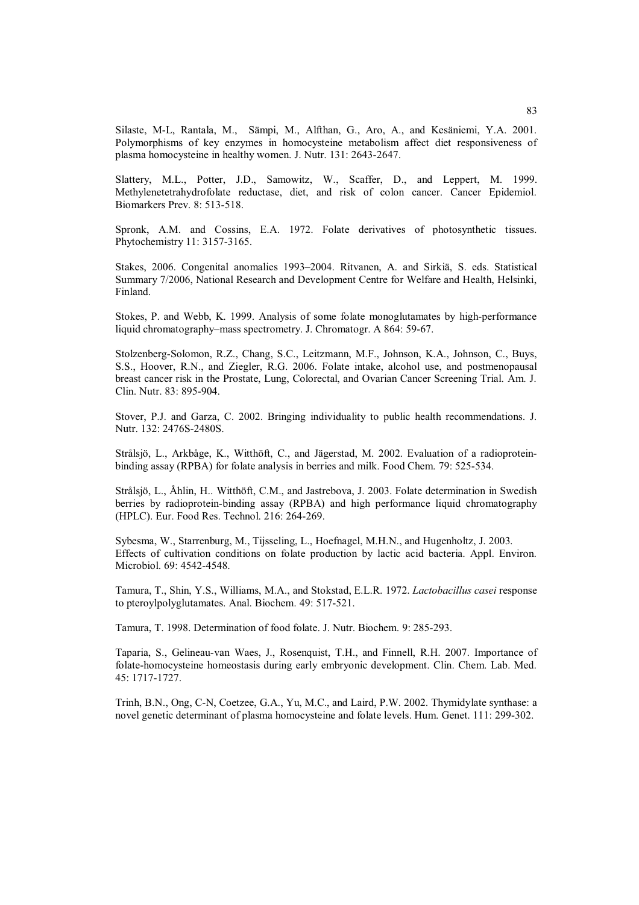Silaste, M-L, Rantala, M., Sämpi, M., Alfthan, G., Aro, A., and Kesäniemi, Y.A. 2001. Polymorphisms of key enzymes in homocysteine metabolism affect diet responsiveness of plasma homocysteine in healthy women. J. Nutr. 131: 2643-2647.

Slattery, M.L., Potter, J.D., Samowitz, W., Scaffer, D., and Leppert, M. 1999. Methylenetetrahydrofolate reductase, diet, and risk of colon cancer. Cancer Epidemiol. Biomarkers Prev. 8: 513-518.

Spronk, A.M. and Cossins, E.A. 1972. Folate derivatives of photosynthetic tissues. Phytochemistry 11: 3157-3165.

Stakes, 2006. Congenital anomalies 1993–2004. Ritvanen, A. and Sirkiä, S. eds. Statistical Summary 7/2006, National Research and Development Centre for Welfare and Health, Helsinki, Finland.

Stokes, P. and Webb, K. 1999. Analysis of some folate monoglutamates by high-performance liquid chromatography–mass spectrometry. J. Chromatogr. A 864: 59-67.

Stolzenberg-Solomon, R.Z., Chang, S.C., Leitzmann, M.F., Johnson, K.A., Johnson, C., Buys, S.S., Hoover, R.N., and Ziegler, R.G. 2006. Folate intake, alcohol use, and postmenopausal breast cancer risk in the Prostate, Lung, Colorectal, and Ovarian Cancer Screening Trial. Am. J. Clin. Nutr. 83: 895-904.

Stover, P.J. and Garza, C. 2002. Bringing individuality to public health recommendations. J. Nutr. 132: 2476S-2480S.

Strålsjö, L., Arkbåge, K., Witthöft, C., and Jägerstad, M. 2002. Evaluation of a radioproteinbinding assay (RPBA) for folate analysis in berries and milk. Food Chem. 79: 525-534.

Strålsjö, L., Åhlin, H.. Witthöft, C.M., and Jastrebova, J. 2003. Folate determination in Swedish berries by radioprotein-binding assay (RPBA) and high performance liquid chromatography (HPLC). Eur. Food Res. Technol. 216: 264-269.

Sybesma, W., Starrenburg, M., Tijsseling, L., Hoefnagel, M.H.N., and Hugenholtz, J. 2003. Effects of cultivation conditions on folate production by lactic acid bacteria. Appl. Environ. Microbiol. 69: 4542-4548.

Tamura, T., Shin, Y.S., Williams, M.A., and Stokstad, E.L.R. 1972. *Lactobacillus casei* response to pteroylpolyglutamates. Anal. Biochem. 49: 517-521.

Tamura, T. 1998. Determination of food folate. J. Nutr. Biochem. 9: 285-293.

Taparia, S., Gelineau-van Waes, J., Rosenquist, T.H., and Finnell, R.H. 2007. Importance of folate-homocysteine homeostasis during early embryonic development. Clin. Chem. Lab. Med. 45: 1717-1727.

Trinh, B.N., Ong, C-N, Coetzee, G.A., Yu, M.C., and Laird, P.W. 2002. Thymidylate synthase: a novel genetic determinant of plasma homocysteine and folate levels. Hum. Genet. 111: 299-302.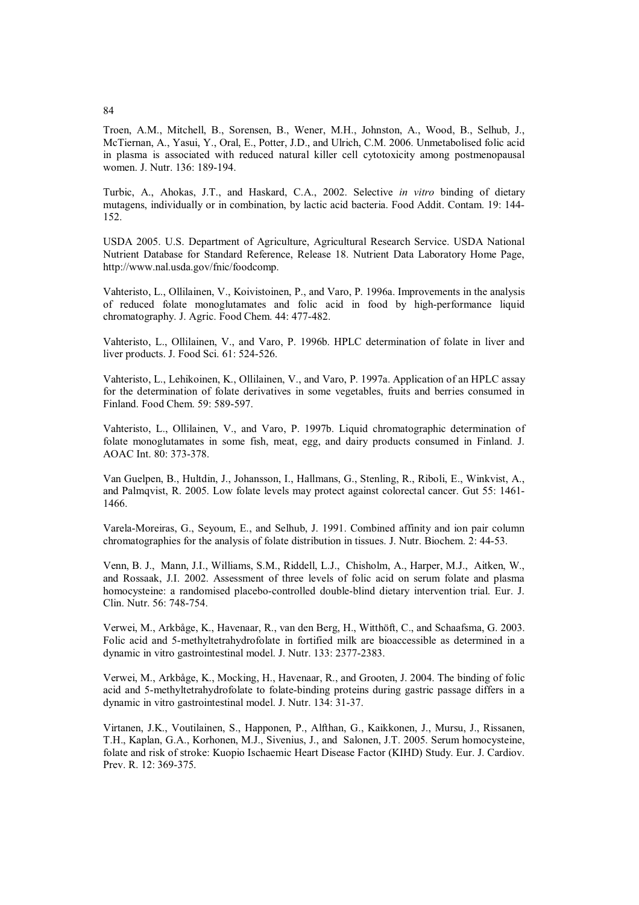Troen, A.M., Mitchell, B., Sorensen, B., Wener, M.H., Johnston, A., Wood, B., Selhub, J., McTiernan, A., Yasui, Y., Oral, E., Potter, J.D., and Ulrich, C.M. 2006. Unmetabolised folic acid in plasma is associated with reduced natural killer cell cytotoxicity among postmenopausal women. J. Nutr. 136: 189-194.

Turbic, A., Ahokas, J.T., and Haskard, C.A., 2002. Selective *in vitro* binding of dietary mutagens, individually or in combination, by lactic acid bacteria. Food Addit. Contam. 19: 144- 152.

USDA 2005. U.S. Department of Agriculture, Agricultural Research Service. USDA National Nutrient Database for Standard Reference, Release 18. Nutrient Data Laboratory Home Page, http://www.nal.usda.gov/fnic/foodcomp.

Vahteristo, L., Ollilainen, V., Koivistoinen, P., and Varo, P. 1996a. Improvements in the analysis of reduced folate monoglutamates and folic acid in food by high-performance liquid chromatography. J. Agric. Food Chem. 44: 477-482.

Vahteristo, L., Ollilainen, V., and Varo, P. 1996b. HPLC determination of folate in liver and liver products. J. Food Sci. 61: 524-526.

Vahteristo, L., Lehikoinen, K., Ollilainen, V., and Varo, P. 1997a. Application of an HPLC assay for the determination of folate derivatives in some vegetables, fruits and berries consumed in Finland. Food Chem. 59: 589-597.

Vahteristo, L., Ollilainen, V., and Varo, P. 1997b. Liquid chromatographic determination of folate monoglutamates in some fish, meat, egg, and dairy products consumed in Finland. J. AOAC Int. 80: 373-378.

Van Guelpen, B., Hultdin, J., Johansson, I., Hallmans, G., Stenling, R., Riboli, E., Winkvist, A., and Palmqvist, R. 2005. Low folate levels may protect against colorectal cancer. Gut 55: 1461- 1466.

Varela-Moreiras, G., Seyoum, E., and Selhub, J. 1991. Combined affinity and ion pair column chromatographies for the analysis of folate distribution in tissues. J. Nutr. Biochem. 2: 44-53.

Venn, B. J., Mann, J.I., Williams, S.M., Riddell, L.J., Chisholm, A., Harper, M.J., Aitken, W., and Rossaak, J.I. 2002. Assessment of three levels of folic acid on serum folate and plasma homocysteine: a randomised placebo-controlled double-blind dietary intervention trial. Eur. J. Clin. Nutr. 56: 748-754.

Verwei, M., Arkbåge, K., Havenaar, R., van den Berg, H., Witthöft, C., and Schaafsma, G. 2003. Folic acid and 5-methyltetrahydrofolate in fortified milk are bioaccessible as determined in a dynamic in vitro gastrointestinal model. J. Nutr. 133: 2377-2383.

Verwei, M., Arkbåge, K., Mocking, H., Havenaar, R., and Grooten, J. 2004. The binding of folic acid and 5-methyltetrahydrofolate to folate-binding proteins during gastric passage differs in a dynamic in vitro gastrointestinal model. J. Nutr. 134: 31-37.

Virtanen, J.K., Voutilainen, S., Happonen, P., Alfthan, G., Kaikkonen, J., Mursu, J., Rissanen, T.H., Kaplan, G.A., Korhonen, M.J., Sivenius, J., and Salonen, J.T. 2005. Serum homocysteine, folate and risk of stroke: Kuopio Ischaemic Heart Disease Factor (KIHD) Study. Eur. J. Cardiov. Prev. R. 12: 369-375.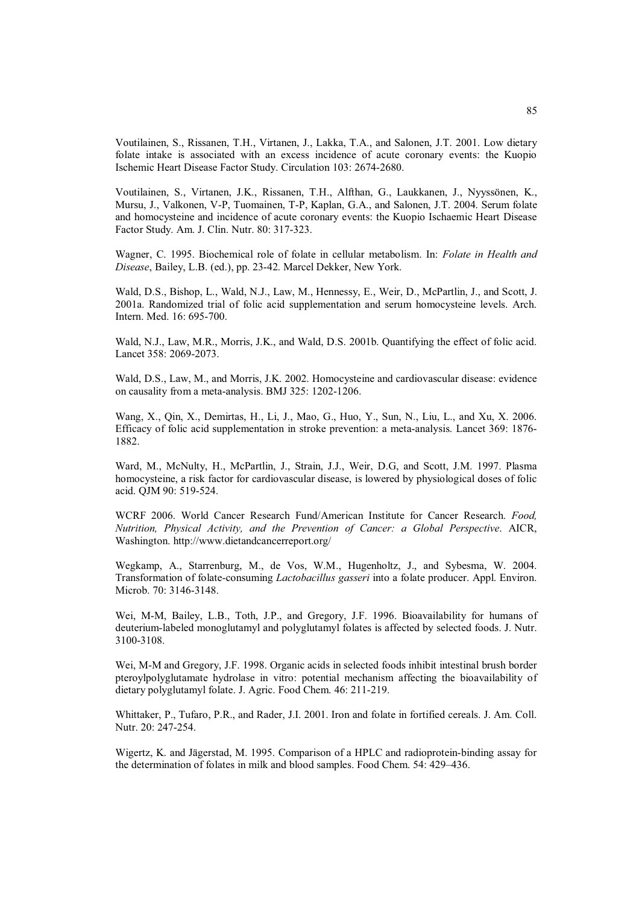Voutilainen, S., Rissanen, T.H., Virtanen, J., Lakka, T.A., and Salonen, J.T. 2001. Low dietary folate intake is associated with an excess incidence of acute coronary events: the Kuopio Ischemic Heart Disease Factor Study. Circulation 103: 2674-2680.

Voutilainen, S., Virtanen, J.K., Rissanen, T.H., Alfthan, G., Laukkanen, J., Nyyssönen, K., Mursu, J., Valkonen, V-P, Tuomainen, T-P, Kaplan, G.A., and Salonen, J.T. 2004. Serum folate and homocysteine and incidence of acute coronary events: the Kuopio Ischaemic Heart Disease Factor Study. Am. J. Clin. Nutr. 80: 317-323.

Wagner, C. 1995. Biochemical role of folate in cellular metabolism. In: *Folate in Health and Disease*, Bailey, L.B. (ed.), pp. 23-42. Marcel Dekker, New York.

Wald, D.S., Bishop, L., Wald, N.J., Law, M., Hennessy, E., Weir, D., McPartlin, J., and Scott, J. 2001a. Randomized trial of folic acid supplementation and serum homocysteine levels. Arch. Intern. Med. 16: 695-700.

Wald, N.J., Law, M.R., Morris, J.K., and Wald, D.S. 2001b. Quantifying the effect of folic acid. Lancet 358: 2069-2073.

Wald, D.S., Law, M., and Morris, J.K. 2002. Homocysteine and cardiovascular disease: evidence on causality from a meta-analysis. BMJ 325: 1202-1206.

Wang, X., Qin, X., Demirtas, H., Li, J., Mao, G., Huo, Y., Sun, N., Liu, L., and Xu, X. 2006. Efficacy of folic acid supplementation in stroke prevention: a meta-analysis. Lancet 369: 1876- 1882.

Ward, M., McNulty, H., McPartlin, J., Strain, J.J., Weir, D.G, and Scott, J.M. 1997. Plasma homocysteine, a risk factor for cardiovascular disease, is lowered by physiological doses of folic acid. QJM 90: 519-524.

WCRF 2006. World Cancer Research Fund/American Institute for Cancer Research. *Food, Nutrition, Physical Activity, and the Prevention of Cancer: a Global Perspective*. AICR, Washington. http://www.dietandcancerreport.org/

Wegkamp, A., Starrenburg, M., de Vos, W.M., Hugenholtz, J., and Sybesma, W. 2004. Transformation of folate-consuming *Lactobacillus gasseri* into a folate producer. Appl. Environ. Microb. 70: 3146-3148.

Wei, M-M, Bailey, L.B., Toth, J.P., and Gregory, J.F. 1996. Bioavailability for humans of deuterium-labeled monoglutamyl and polyglutamyl folates is affected by selected foods. J. Nutr. 3100-3108.

Wei, M-M and Gregory, J.F. 1998. Organic acids in selected foods inhibit intestinal brush border pteroylpolyglutamate hydrolase in vitro: potential mechanism affecting the bioavailability of dietary polyglutamyl folate. J. Agric. Food Chem. 46: 211-219.

Whittaker, P., Tufaro, P.R., and Rader, J.I. 2001. Iron and folate in fortified cereals. J. Am. Coll. Nutr. 20: 247-254.

Wigertz, K. and Jägerstad, M. 1995. Comparison of a HPLC and radioprotein-binding assay for the determination of folates in milk and blood samples. Food Chem. 54: 429–436.